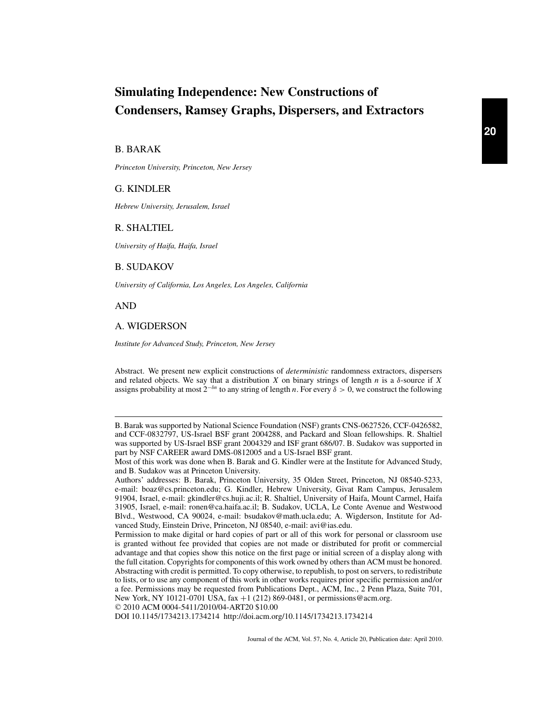# **Simulating Independence: New Constructions of Condensers, Ramsey Graphs, Dispersers, and Extractors**

# B. BARAK

*Princeton University, Princeton, New Jersey*

#### G. KINDLER

*Hebrew University, Jerusalem, Israel*

# R. SHALTIEL

*University of Haifa, Haifa, Israel*

#### B. SUDAKOV

*University of California, Los Angeles, Los Angeles, California*

AND

# A. WIGDERSON

*Institute for Advanced Study, Princeton, New Jersey*

Abstract. We present new explicit constructions of *deterministic* randomness extractors, dispersers and related objects. We say that a distribution *X* on binary strings of length *n* is a δ-source if *X* assigns probability at most  $2^{-\delta n}$  to any string of length *n*. For every  $\delta > 0$ , we construct the following

© 2010 ACM 0004-5411/2010/04-ART20 \$10.00

DOI 10.1145/1734213.1734214 http://doi.acm.org/10.1145/1734213.1734214

B. Barak was supported by National Science Foundation (NSF) grants CNS-0627526, CCF-0426582, and CCF-0832797, US-Israel BSF grant 2004288, and Packard and Sloan fellowships. R. Shaltiel was supported by US-Israel BSF grant 2004329 and ISF grant 686/07. B. Sudakov was supported in part by NSF CAREER award DMS-0812005 and a US-Israel BSF grant.

Most of this work was done when B. Barak and G. Kindler were at the Institute for Advanced Study, and B. Sudakov was at Princeton University.

Authors' addresses: B. Barak, Princeton University, 35 Olden Street, Princeton, NJ 08540-5233, e-mail: boaz@cs.princeton.edu; G. Kindler, Hebrew University, Givat Ram Campus, Jerusalem 91904, Israel, e-mail: gkindler@cs.huji.ac.il; R. Shaltiel, University of Haifa, Mount Carmel, Haifa 31905, Israel, e-mail: ronen@ca.haifa.ac.il; B. Sudakov, UCLA, Le Conte Avenue and Westwood Blvd., Westwood, CA 90024, e-mail: bsudakov@math.ucla.edu; A. Wigderson, Institute for Advanced Study, Einstein Drive, Princeton, NJ 08540, e-mail: avi@ias.edu.

Permission to make digital or hard copies of part or all of this work for personal or classroom use is granted without fee provided that copies are not made or distributed for profit or commercial advantage and that copies show this notice on the first page or initial screen of a display along with the full citation. Copyrights for components of this work owned by others than ACM must be honored. Abstracting with credit is permitted. To copy otherwise, to republish, to post on servers, to redistribute to lists, or to use any component of this work in other works requires prior specific permission and/or a fee. Permissions may be requested from Publications Dept., ACM, Inc., 2 Penn Plaza, Suite 701, New York, NY 10121-0701 USA, fax +1 (212) 869-0481, or permissions@acm.org.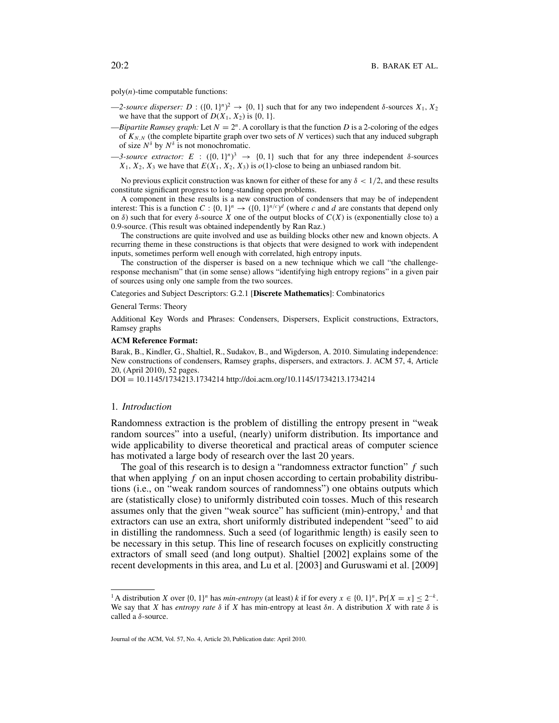$poly(n)$ -time computable functions:

- $-2$ -source disperser:  $D : (\{0, 1\}^n)^2 \to \{0, 1\}$  such that for any two independent  $\delta$ -sources  $X_1, X_2$ we have that the support of  $D(X_1, X_2)$  is  $\{0, 1\}$ .
- $-Bipartite Ramsey graph: Let  $N = 2^n$ . A corollary is that the function *D* is a 2-coloring of the edges$ of  $K_{N,N}$  (the complete bipartite graph over two sets of N vertices) such that any induced subgraph of size  $N^{\delta}$  by  $N^{\delta}$  is not monochromatic.
- $-3$ -source extractor: E :  $({0, 1})^n$ <sup>3</sup>  $\rightarrow$   ${0, 1}$  such that for any three independent  $\delta$ -sources  $X_1, X_2, X_3$  we have that  $E(X_1, X_2, X_3)$  is  $o(1)$ -close to being an unbiased random bit.

No previous explicit construction was known for either of these for any  $\delta < 1/2$ , and these results constitute significant progress to long-standing open problems.

A component in these results is a new construction of condensers that may be of independent interest: This is a function  $C : \{0, 1\}^n \to (\{0, 1\}^{n/c})^d$  (where *c* and *d* are constants that depend only on  $\delta$ ) such that for every  $\delta$ -source *X* one of the output blocks of  $C(X)$  is (exponentially close to) a 0.9-source. (This result was obtained independently by Ran Raz.)

The constructions are quite involved and use as building blocks other new and known objects. A recurring theme in these constructions is that objects that were designed to work with independent inputs, sometimes perform well enough with correlated, high entropy inputs.

The construction of the disperser is based on a new technique which we call "the challengeresponse mechanism" that (in some sense) allows "identifying high entropy regions" in a given pair of sources using only one sample from the two sources.

Categories and Subject Descriptors: G.2.1 [**Discrete Mathematics**]: Combinatorics

General Terms: Theory

Additional Key Words and Phrases: Condensers, Dispersers, Explicit constructions, Extractors, Ramsey graphs

#### **ACM Reference Format:**

Barak, B., Kindler, G., Shaltiel, R., Sudakov, B., and Wigderson, A. 2010. Simulating independence: New constructions of condensers, Ramsey graphs, dispersers, and extractors. J. ACM 57, 4, Article 20, (April 2010), 52 pages.

DOI = 10.1145/1734213.1734214 http://doi.acm.org/10.1145/1734213.1734214

#### 1*. Introduction*

Randomness extraction is the problem of distilling the entropy present in "weak random sources" into a useful, (nearly) uniform distribution. Its importance and wide applicability to diverse theoretical and practical areas of computer science has motivated a large body of research over the last 20 years.

The goal of this research is to design a "randomness extractor function" *f* such that when applying *f* on an input chosen according to certain probability distributions (i.e., on "weak random sources of randomness") one obtains outputs which are (statistically close) to uniformly distributed coin tosses. Much of this research assumes only that the given "weak source" has sufficient  $(min)$ -entropy, $<sup>1</sup>$  and that</sup> extractors can use an extra, short uniformly distributed independent "seed" to aid in distilling the randomness. Such a seed (of logarithmic length) is easily seen to be necessary in this setup. This line of research focuses on explicitly constructing extractors of small seed (and long output). Shaltiel [2002] explains some of the recent developments in this area, and Lu et al. [2003] and Guruswami et al. [2009]

<sup>&</sup>lt;sup>1</sup>A distribution *X* over  $\{0, 1\}^n$  has *min-entropy* (at least) *k* if for every  $x \in \{0, 1\}^n$ ,  $Pr[X = x] \leq 2^{-k}$ . We say that *X* has *entropy rate*  $\delta$  if *X* has min-entropy at least  $\delta n$ . A distribution *X* with rate  $\delta$  is called a δ-source.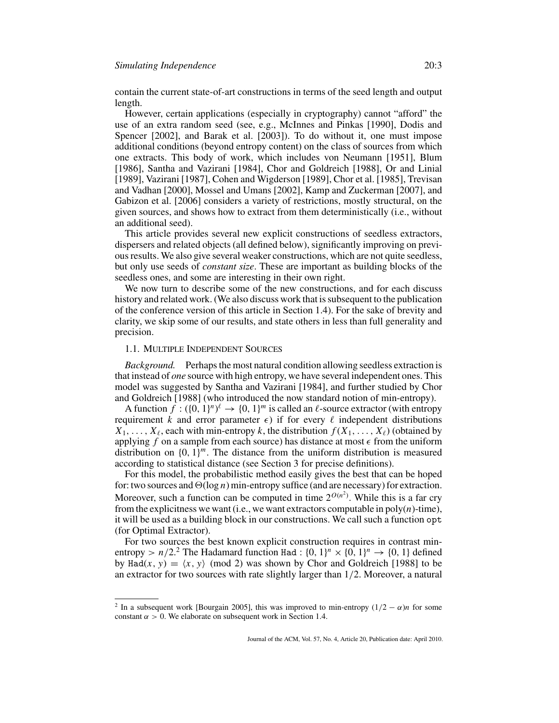contain the current state-of-art constructions in terms of the seed length and output length.

However, certain applications (especially in cryptography) cannot "afford" the use of an extra random seed (see, e.g., McInnes and Pinkas [1990], Dodis and Spencer [2002], and Barak et al. [2003]). To do without it, one must impose additional conditions (beyond entropy content) on the class of sources from which one extracts. This body of work, which includes von Neumann [1951], Blum [1986], Santha and Vazirani [1984], Chor and Goldreich [1988], Or and Linial [1989], Vazirani [1987], Cohen and Wigderson [1989], Chor et al. [1985], Trevisan and Vadhan [2000], Mossel and Umans [2002], Kamp and Zuckerman [2007], and Gabizon et al. [2006] considers a variety of restrictions, mostly structural, on the given sources, and shows how to extract from them deterministically (i.e., without an additional seed).

This article provides several new explicit constructions of seedless extractors, dispersers and related objects (all defined below), significantly improving on previous results. We also give several weaker constructions, which are not quite seedless, but only use seeds of *constant size*. These are important as building blocks of the seedless ones, and some are interesting in their own right.

We now turn to describe some of the new constructions, and for each discuss history and related work. (We also discuss work that is subsequent to the publication of the conference version of this article in Section 1.4). For the sake of brevity and clarity, we skip some of our results, and state others in less than full generality and precision.

## 1.1. MULTIPLE INDEPENDENT SOURCES

*Background.* Perhaps the most natural condition allowing seedless extraction is that instead of *one* source with high entropy, we have several independent ones. This model was suggested by Santha and Vazirani [1984], and further studied by Chor and Goldreich [1988] (who introduced the now standard notion of min-entropy).

A function  $f: (\{0, 1\}^n)^{\ell} \to \{0, 1\}^m$  is called an  $\ell$ -source extractor (with entropy requirement *k* and error parameter  $\epsilon$ ) if for every  $\ell$  independent distributions  $X_1, \ldots, X_\ell$ , each with min-entropy *k*, the distribution  $f(X_1, \ldots, X_\ell)$  (obtained by applying  $f$  on a sample from each source) has distance at most  $\epsilon$  from the uniform distribution on  $\{0, 1\}$ <sup>*m*</sup>. The distance from the uniform distribution is measured according to statistical distance (see Section 3 for precise definitions).

For this model, the probabilistic method easily gives the best that can be hoped for: two sources and  $\Theta(\log n)$  min-entropy suffice (and are necessary) for extraction. Moreover, such a function can be computed in time  $2^{O(n^2)}$ . While this is a far cry from the explicitness we want (i.e., we want extractors computable in  $poly(n)$ -time), it will be used as a building block in our constructions. We call such a function opt (for Optimal Extractor).

For two sources the best known explicit construction requires in contrast minentropy >  $n/2$ <sup>2</sup>. The Hadamard function Had :  $\{0, 1\}^n \times \{0, 1\}^n \rightarrow \{0, 1\}$  defined by Had(*x*, *y*) =  $\langle x, y \rangle$  (mod 2) was shown by Chor and Goldreich [1988] to be an extractor for two sources with rate slightly larger than 1/2. Moreover, a natural

<sup>&</sup>lt;sup>2</sup> In a subsequent work [Bourgain 2005], this was improved to min-entropy  $(1/2 - \alpha)n$  for some constant  $\alpha > 0$ . We elaborate on subsequent work in Section 1.4.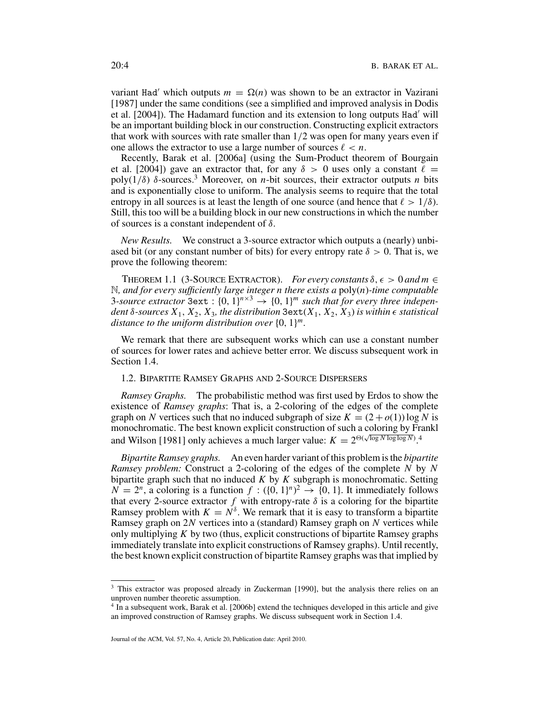variant Had' which outputs  $m = \Omega(n)$  was shown to be an extractor in Vazirani [1987] under the same conditions (see a simplified and improved analysis in Dodis et al. [2004]). The Hadamard function and its extension to long outputs Had' will be an important building block in our construction. Constructing explicit extractors that work with sources with rate smaller than  $1/2$  was open for many years even if one allows the extractor to use a large number of sources  $\ell < n$ .

Recently, Barak et al. [2006a] (using the Sum-Product theorem of Bourgain et al. [2004]) gave an extractor that, for any  $\delta > 0$  uses only a constant  $\ell =$ poly( $1/\delta$ )  $\delta$ -sources.<sup>3</sup> Moreover, on *n*-bit sources, their extractor outputs *n* bits and is exponentially close to uniform. The analysis seems to require that the total entropy in all sources is at least the length of one source (and hence that  $\ell > 1/\delta$ ). Still, this too will be a building block in our new constructions in which the number of sources is a constant independent of  $\delta$ .

*New Results.* We construct a 3-source extractor which outputs a (nearly) unbiased bit (or any constant number of bits) for every entropy rate  $\delta > 0$ . That is, we prove the following theorem:

THEOREM 1.1 (3-SOURCE EXTRACTOR). *For every constants*  $\delta$ ,  $\epsilon > 0$  *and*  $m \in$ N*, and for every sufficiently large integer n there exists a* poly(*n*)*-time computable* 3-source extractor 3ext:  $\{0, 1\}^{n \times 3} \rightarrow \{0, 1\}^{m}$  such that for every three indepen*dent* δ*-sources X*1, *X*2, *X*3*, the distribution* 3ext(*X*1, *X*2, *X*3) *is within statistical distance to the uniform distribution over* {0, 1}*m.*

We remark that there are subsequent works which can use a constant number of sources for lower rates and achieve better error. We discuss subsequent work in Section 1.4.

# 1.2. BIPARTITE RAMSEY GRAPHS AND 2-SOURCE DISPERSERS

*Ramsey Graphs.* The probabilistic method was first used by Erdos to show the existence of *Ramsey graphs*: That is, a 2-coloring of the edges of the complete graph on *N* vertices such that no induced subgraph of size  $K = (2 + o(1)) \log N$  is monochromatic. The best known explicit construction of such a coloring by Frankl and Wilson [1981] only achieves a much larger value:  $K = 2^{\Theta(\sqrt{\log N \log \log N})}$ .<sup>4</sup>

*Bipartite Ramsey graphs.* An even harder variant of this problem is the *bipartite Ramsey problem:* Construct a 2-coloring of the edges of the complete *N* by *N* bipartite graph such that no induced *K* by *K* subgraph is monochromatic. Setting  $N = 2^n$ , a coloring is a function  $f : (\{0, 1\}^n)^2 \rightarrow \{0, 1\}$ . It immediately follows that every 2-source extractor  $f$  with entropy-rate  $\delta$  is a coloring for the bipartite Ramsey problem with  $K = N^{\delta}$ . We remark that it is easy to transform a bipartite Ramsey graph on 2*N* vertices into a (standard) Ramsey graph on *N* vertices while only multiplying *K* by two (thus, explicit constructions of bipartite Ramsey graphs immediately translate into explicit constructions of Ramsey graphs). Until recently, the best known explicit construction of bipartite Ramsey graphs was that implied by

<sup>&</sup>lt;sup>3</sup> This extractor was proposed already in Zuckerman [1990], but the analysis there relies on an unproven number theoretic assumption.

<sup>4</sup> In a subsequent work, Barak et al. [2006b] extend the techniques developed in this article and give an improved construction of Ramsey graphs. We discuss subsequent work in Section 1.4.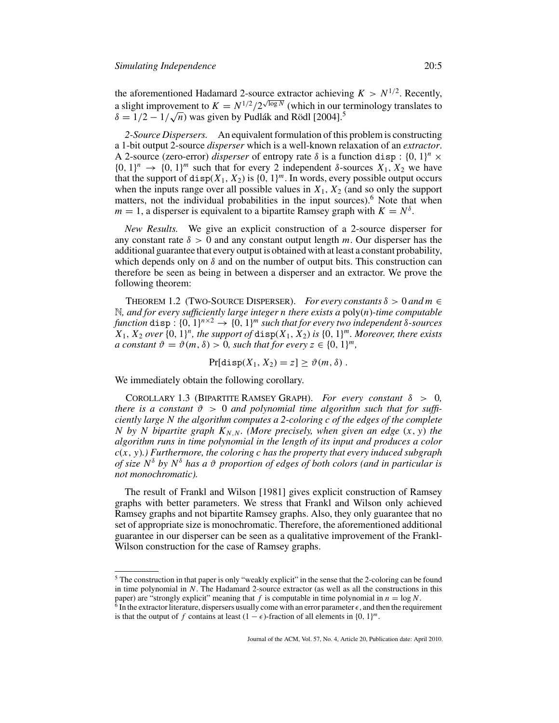the aforementioned Hadamard 2-source extractor achieving  $K > N^{1/2}$ . Recently, a slight improvement to  $K = N^{1/2}/2^{\sqrt{\log N}}$  (which in our terminology translates to a sught improvement to  $K = N^{1/2} / 2^{N \log N}$  (which in our to  $\delta = 1/2 - 1/\sqrt{n}$ ) was given by Pudlák and Rödl [2004].<sup>5</sup>

*2-Source Dispersers.* An equivalent formulation of this problem is constructing a 1-bit output 2-source *disperser* which is a well-known relaxation of an *extractor*. A 2-source (zero-error) *disperser* of entropy rate  $\delta$  is a function disp:  $\{0, 1\}^n \times$  $\{0, 1\}^n \rightarrow \{0, 1\}^m$  such that for every 2 independent  $\delta$ -sources  $X_1, X_2$  we have that the support of disp( $X_1, X_2$ ) is  $\{0, 1\}^m$ . In words, every possible output occurs when the inputs range over all possible values in  $X_1$ ,  $X_2$  (and so only the support matters, not the individual probabilities in the input sources).<sup>6</sup> Note that when  $m = 1$ , a disperser is equivalent to a bipartite Ramsey graph with  $K = N^{\delta}$ .

*New Results.* We give an explicit construction of a 2-source disperser for any constant rate  $\delta > 0$  and any constant output length *m*. Our disperser has the additional guarantee that every output is obtained with at least a constant probability, which depends only on  $\delta$  and on the number of output bits. This construction can therefore be seen as being in between a disperser and an extractor. We prove the following theorem:

THEOREM 1.2 (TWO-SOURCE DISPERSER). *For every constants*  $\delta > 0$  and  $m \in$ N*, and for every sufficiently large integer n there exists a* poly(*n*)*-time computable function* disp:  $\{0, 1\}^{n \times 2} \rightarrow \{0, 1\}^{m}$  *such that for every two independent*  $\delta$ -*sources*  $X_1, X_2$  *over*  $\{0, 1\}^n$ *, the support of* disp( $X_1, X_2$ ) *is*  $\{0, 1\}^m$ *. Moreover, there exists a constant*  $\vartheta = \vartheta(m, \delta) > 0$ , such that for every  $z \in \{0, 1\}^m$ ,

 $Pr[\text{disp}(X_1, X_2) = z] > \vartheta(m, \delta)$ .

We immediately obtain the following corollary.

COROLLARY 1.3 (BIPARTITE RAMSEY GRAPH). *For every constant*  $\delta > 0$ , *there is a constant*  $\vartheta > 0$  *and polynomial time algorithm such that for sufficiently large N the algorithm computes a 2-coloring c of the edges of the complete N* by *N* bipartite graph  $K_{N,N}$ *. (More precisely, when given an edge*  $(x, y)$  *the algorithm runs in time polynomial in the length of its input and produces a color c*(*x*, *y*)*.) Furthermore, the coloring c has the property that every induced subgraph of size N*<sup>δ</sup> *by N*<sup>δ</sup> *has a* ϑ *proportion of edges of both colors (and in particular is not monochromatic).*

The result of Frankl and Wilson [1981] gives explicit construction of Ramsey graphs with better parameters. We stress that Frankl and Wilson only achieved Ramsey graphs and not bipartite Ramsey graphs. Also, they only guarantee that no set of appropriate size is monochromatic. Therefore, the aforementioned additional guarantee in our disperser can be seen as a qualitative improvement of the Frankl-Wilson construction for the case of Ramsey graphs.

<sup>&</sup>lt;sup>5</sup> The construction in that paper is only "weakly explicit" in the sense that the 2-coloring can be found in time polynomial in *N*. The Hadamard 2-source extractor (as well as all the constructions in this paper) are "strongly explicit" meaning that  $f$  is computable in time polynomial in  $n = \log N$ .

 $6$  In the extractor literature, dispersers usually come with an error parameter  $\epsilon$ , and then the requirement is that the output of *f* contains at least  $(1 - \epsilon)$ -fraction of all elements in  $\{0, 1\}^m$ .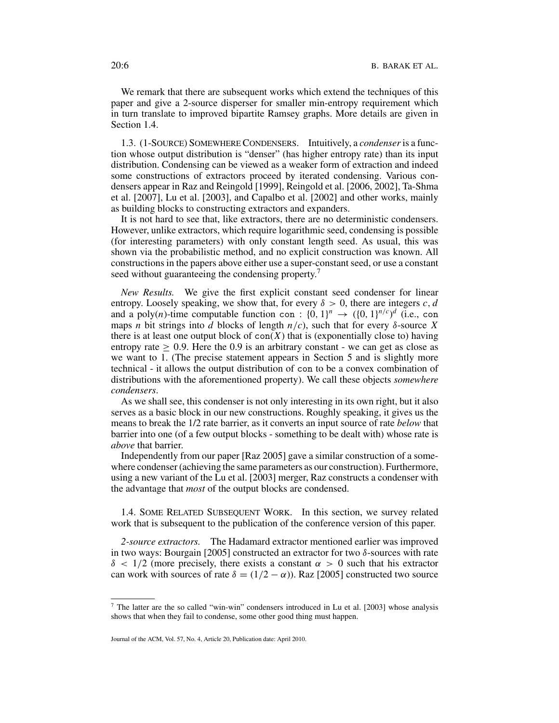We remark that there are subsequent works which extend the techniques of this paper and give a 2-source disperser for smaller min-entropy requirement which in turn translate to improved bipartite Ramsey graphs. More details are given in Section 1.4.

1.3. (1-SOURCE) SOMEWHERE CONDENSERS. Intuitively, a *condenser* is a function whose output distribution is "denser" (has higher entropy rate) than its input distribution. Condensing can be viewed as a weaker form of extraction and indeed some constructions of extractors proceed by iterated condensing. Various condensers appear in Raz and Reingold [1999], Reingold et al. [2006, 2002], Ta-Shma et al. [2007], Lu et al. [2003], and Capalbo et al. [2002] and other works, mainly as building blocks to constructing extractors and expanders.

It is not hard to see that, like extractors, there are no deterministic condensers. However, unlike extractors, which require logarithmic seed, condensing is possible (for interesting parameters) with only constant length seed. As usual, this was shown via the probabilistic method, and no explicit construction was known. All constructions in the papers above either use a super-constant seed, or use a constant seed without guaranteeing the condensing property.<sup>7</sup>

*New Results.* We give the first explicit constant seed condenser for linear entropy. Loosely speaking, we show that, for every  $\delta > 0$ , there are integers *c*, *d* and a poly(*n*)-time computable function con :  $\{0, 1\}^n \rightarrow (\{0, 1\}^{n/c})^d$  (i.e., con maps *n* bit strings into *d* blocks of length  $n/c$ , such that for every  $\delta$ -source X there is at least one output block of  $con(X)$  that is (exponentially close to) having entropy rate  $\geq 0.9$ . Here the 0.9 is an arbitrary constant - we can get as close as we want to 1. (The precise statement appears in Section 5 and is slightly more technical - it allows the output distribution of con to be a convex combination of distributions with the aforementioned property). We call these objects *somewhere condensers*.

As we shall see, this condenser is not only interesting in its own right, but it also serves as a basic block in our new constructions. Roughly speaking, it gives us the means to break the 1/2 rate barrier, as it converts an input source of rate *below* that barrier into one (of a few output blocks - something to be dealt with) whose rate is *above* that barrier.

Independently from our paper [Raz 2005] gave a similar construction of a somewhere condenser (achieving the same parameters as our construction). Furthermore, using a new variant of the Lu et al. [2003] merger, Raz constructs a condenser with the advantage that *most* of the output blocks are condensed.

1.4. SOME RELATED SUBSEQUENT WORK. In this section, we survey related work that is subsequent to the publication of the conference version of this paper.

*2-source extractors.* The Hadamard extractor mentioned earlier was improved in two ways: Bourgain [2005] constructed an extractor for two  $\delta$ -sources with rate  $\delta$  < 1/2 (more precisely, there exists a constant  $\alpha > 0$  such that his extractor can work with sources of rate  $\delta = (1/2 - \alpha)$ . Raz [2005] constructed two source

<sup>7</sup> The latter are the so called "win-win" condensers introduced in Lu et al. [2003] whose analysis shows that when they fail to condense, some other good thing must happen.

Journal of the ACM, Vol. 57, No. 4, Article 20, Publication date: April 2010.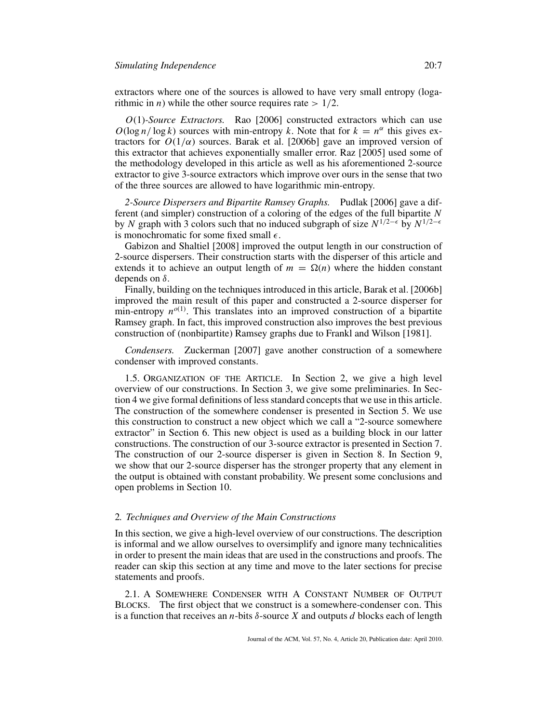extractors where one of the sources is allowed to have very small entropy (logarithmic in *n*) while the other source requires rate  $> 1/2$ .

*O*(1)*-Source Extractors.* Rao [2006] constructed extractors which can use  $O(\log n / \log k)$  sources with min-entropy *k*. Note that for  $k = n^{\alpha}$  this gives extractors for  $O(1/\alpha)$  sources. Barak et al. [2006b] gave an improved version of this extractor that achieves exponentially smaller error. Raz [2005] used some of the methodology developed in this article as well as his aforementioned 2-source extractor to give 3-source extractors which improve over ours in the sense that two of the three sources are allowed to have logarithmic min-entropy.

*2-Source Dispersers and Bipartite Ramsey Graphs.* Pudlak [2006] gave a different (and simpler) construction of a coloring of the edges of the full bipartite *N* by *N* graph with 3 colors such that no induced subgraph of size  $N^{1/2-\epsilon}$  by  $N^{1/2-\epsilon}$ is monochromatic for some fixed small  $\epsilon$ .

Gabizon and Shaltiel [2008] improved the output length in our construction of 2-source dispersers. Their construction starts with the disperser of this article and extends it to achieve an output length of  $m = \Omega(n)$  where the hidden constant depends on δ.

Finally, building on the techniques introduced in this article, Barak et al. [2006b] improved the main result of this paper and constructed a 2-source disperser for min-entropy  $n^{o(1)}$ . This translates into an improved construction of a bipartite Ramsey graph. In fact, this improved construction also improves the best previous construction of (nonbipartite) Ramsey graphs due to Frankl and Wilson [1981].

*Condensers.* Zuckerman [2007] gave another construction of a somewhere condenser with improved constants.

1.5. ORGANIZATION OF THE ARTICLE. In Section 2, we give a high level overview of our constructions. In Section 3, we give some preliminaries. In Section 4 we give formal definitions of less standard concepts that we use in this article. The construction of the somewhere condenser is presented in Section 5. We use this construction to construct a new object which we call a "2-source somewhere extractor" in Section 6. This new object is used as a building block in our latter constructions. The construction of our 3-source extractor is presented in Section 7. The construction of our 2-source disperser is given in Section 8. In Section 9, we show that our 2-source disperser has the stronger property that any element in the output is obtained with constant probability. We present some conclusions and open problems in Section 10.

# 2*. Techniques and Overview of the Main Constructions*

In this section, we give a high-level overview of our constructions. The description is informal and we allow ourselves to oversimplify and ignore many technicalities in order to present the main ideas that are used in the constructions and proofs. The reader can skip this section at any time and move to the later sections for precise statements and proofs.

2.1. A SOMEWHERE CONDENSER WITH A CONSTANT NUMBER OF OUTPUT BLOCKS. The first object that we construct is a somewhere-condenser con. This is a function that receives an *n*-bits δ-source *X* and outputs *d* blocks each of length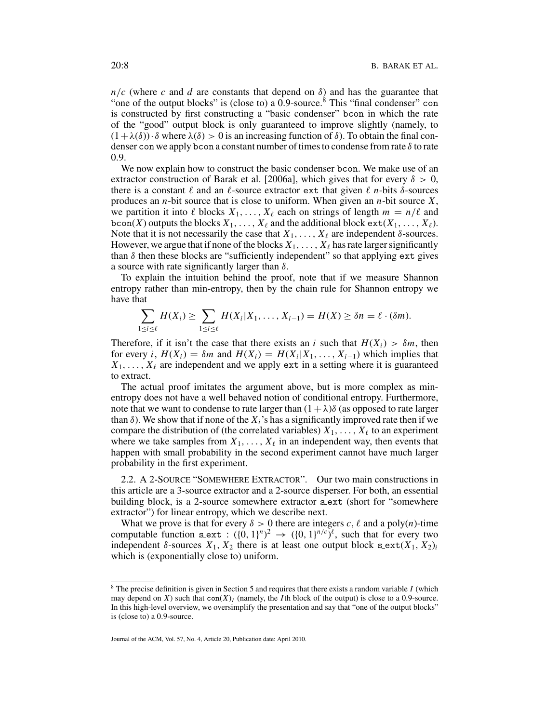$n/c$  (where *c* and *d* are constants that depend on  $\delta$ ) and has the guarantee that "one of the output blocks" is (close to) a  $0.9$ -source.<sup>8</sup> This "final condenser" con is constructed by first constructing a "basic condenser" bcon in which the rate of the "good" output block is only guaranteed to improve slightly (namely, to  $(1+\lambda(\delta)) \cdot \delta$  where  $\lambda(\delta) > 0$  is an increasing function of  $\delta$ ). To obtain the final condenser con we apply bcon a constant number of times to condense from rate  $\delta$  to rate 0.9.

We now explain how to construct the basic condenser bcon. We make use of an extractor construction of Barak et al. [2006a], which gives that for every  $\delta > 0$ , there is a constant  $\ell$  and an  $\ell$ -source extractor ext that given  $\ell$  *n*-bits  $\delta$ -sources produces an *n*-bit source that is close to uniform. When given an *n*-bit source *X*, we partition it into  $\ell$  blocks  $X_1, \ldots, X_\ell$  each on strings of length  $m = n/\ell$  and bcon(*X*) outputs the blocks  $X_1, \ldots, X_\ell$  and the additional block  $ext(X_1, \ldots, X_\ell)$ . Note that it is not necessarily the case that  $X_1, \ldots, X_\ell$  are independent  $\delta$ -sources. However, we argue that if none of the blocks  $X_1, \ldots, X_\ell$  has rate larger significantly than  $\delta$  then these blocks are "sufficiently independent" so that applying ext gives a source with rate significantly larger than  $\delta$ .

To explain the intuition behind the proof, note that if we measure Shannon entropy rather than min-entropy, then by the chain rule for Shannon entropy we have that

$$
\sum_{1 \leq i \leq \ell} H(X_i) \geq \sum_{1 \leq i \leq \ell} H(X_i | X_1, \ldots, X_{i-1}) = H(X) \geq \delta n = \ell \cdot (\delta m).
$$

Therefore, if it isn't the case that there exists an *i* such that  $H(X_i) > \delta m$ , then for every *i*,  $H(X_i) = \delta m$  and  $H(X_i) = H(X_i | X_1, \ldots, X_{i-1})$  which implies that  $X_1, \ldots, X_\ell$  are independent and we apply ext in a setting where it is guaranteed to extract.

The actual proof imitates the argument above, but is more complex as minentropy does not have a well behaved notion of conditional entropy. Furthermore, note that we want to condense to rate larger than  $(1+\lambda)\delta$  (as opposed to rate larger than  $\delta$ ). We show that if none of the  $X_i$ 's has a significantly improved rate then if we compare the distribution of (the correlated variables)  $X_1, \ldots, X_\ell$  to an experiment where we take samples from  $X_1, \ldots, X_\ell$  in an independent way, then events that happen with small probability in the second experiment cannot have much larger probability in the first experiment.

2.2. A 2-SOURCE "SOMEWHERE EXTRACTOR". Our two main constructions in this article are a 3-source extractor and a 2-source disperser. For both, an essential building block, is a 2-source somewhere extractor s\_ext (short for "somewhere extractor") for linear entropy, which we describe next.

What we prove is that for every  $\delta > 0$  there are integers *c*,  $\ell$  and a poly(*n*)-time computable function sext :  $({0, 1})^n$ <sup>2</sup>  $\rightarrow$   $({0, 1})^{n/c}$ , such that for every two independent  $\delta$ -sources  $X_1, X_2$  there is at least one output block s\_ext( $X_1, X_2$ )*i* which is (exponentially close to) uniform.

<sup>8</sup> The precise definition is given in Section 5 and requires that there exists a random variable *I* (which may depend on *X*) such that  $con(X)<sub>I</sub>$  (namely, the *I*th block of the output) is close to a 0.9-source. In this high-level overview, we oversimplify the presentation and say that "one of the output blocks" is (close to) a 0.9-source.

Journal of the ACM, Vol. 57, No. 4, Article 20, Publication date: April 2010.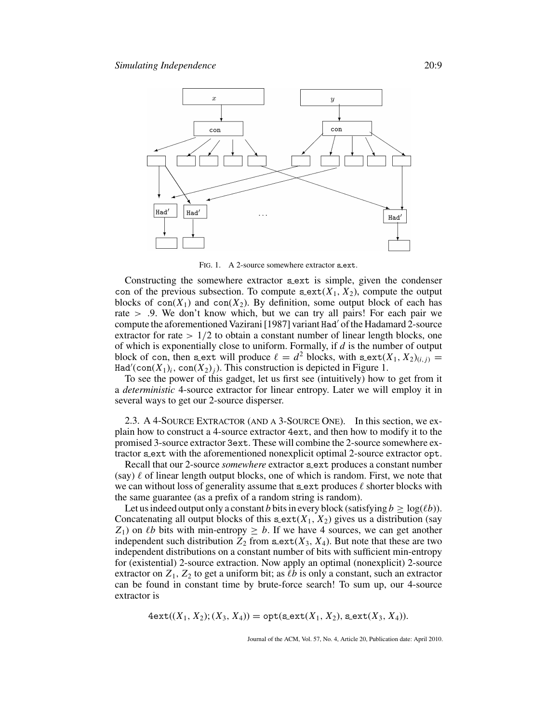

FIG. 1. A 2-source somewhere extractor s\_ext.

Constructing the somewhere extractor sext is simple, given the condenser con of the previous subsection. To compute  $s$ -ext $(X_1, X_2)$ , compute the output blocks of  $con(X_1)$  and  $con(X_2)$ . By definition, some output block of each has rate > .9. We don't know which, but we can try all pairs! For each pair we compute the aforementioned Vazirani [1987] variant Had' of the Hadamard 2-source extractor for rate  $> 1/2$  to obtain a constant number of linear length blocks, one of which is exponentially close to uniform. Formally, if *d* is the number of output block of con, then sext will produce  $\ell = d^2$  blocks, with sext $(X_1, X_2)_{(i,j)} =$ Had'(con( $X_1$ )<sub>i</sub>, con( $X_2$ )<sub>j</sub>). This construction is depicted in Figure 1.

To see the power of this gadget, let us first see (intuitively) how to get from it a *deterministic* 4-source extractor for linear entropy. Later we will employ it in several ways to get our 2-source disperser.

2.3. A 4-SOURCE EXTRACTOR (AND A 3-SOURCE ONE). In this section, we explain how to construct a 4-source extractor 4ext, and then how to modify it to the promised 3-source extractor 3ext. These will combine the 2-source somewhere extractor s ext with the aforementioned nonexplicit optimal 2-source extractor opt.

Recall that our 2-source *somewhere* extractor s ext produces a constant number (say)  $\ell$  of linear length output blocks, one of which is random. First, we note that we can without loss of generality assume that  $s$  ext produces  $\ell$  shorter blocks with the same guarantee (as a prefix of a random string is random).

Let us indeed output only a constant *b* bits in every block (satisfying  $b > log(\ell b)$ ). Concatenating all output blocks of this  $s$ **ext** $(X_1, X_2)$  gives us a distribution (say *Z*<sub>1</sub>) on *lb* bits with min-entropy  $\geq b$ . If we have 4 sources, we can get another independent such distribution  $Z_2$  from  $\texttt{sext}(X_3, X_4)$ . But note that these are two independent distributions on a constant number of bits with sufficient min-entropy for (existential) 2-source extraction. Now apply an optimal (nonexplicit) 2-source extractor on  $Z_1$ ,  $Z_2$  to get a uniform bit; as  $\ell b$  is only a constant, such an extractor can be found in constant time by brute-force search! To sum up, our 4-source extractor is

$$
4ext((X_1, X_2); (X_3, X_4)) = opt(s ext(X_1, X_2), s ext(X_3, X_4)).
$$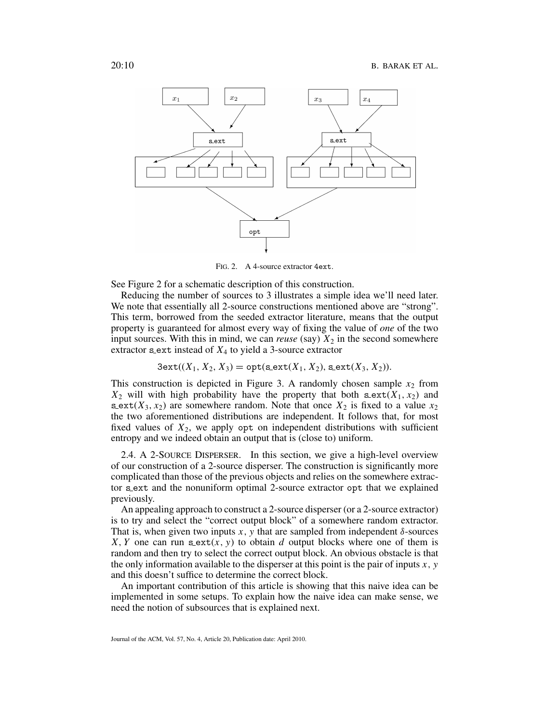

FIG. 2. A 4-source extractor 4ext.

See Figure 2 for a schematic description of this construction.

Reducing the number of sources to 3 illustrates a simple idea we'll need later. We note that essentially all 2-source constructions mentioned above are "strong". This term, borrowed from the seeded extractor literature, means that the output property is guaranteed for almost every way of fixing the value of *one* of the two input sources. With this in mind, we can *reuse* (say)  $X_2$  in the second somewhere extractor s ext instead of  $X_4$  to yield a 3-source extractor

$$
3ext((X_1, X_2, X_3) = opt(sext(X_1, X_2), sext(X_3, X_2)).
$$

This construction is depicted in Figure 3. A randomly chosen sample  $x_2$  from  $X_2$  will with high probability have the property that both  $\texttt{sext}(X_1, x_2)$  and s ext $(X_3, x_2)$  are somewhere random. Note that once  $X_2$  is fixed to a value  $x_2$ the two aforementioned distributions are independent. It follows that, for most fixed values of  $X_2$ , we apply opt on independent distributions with sufficient entropy and we indeed obtain an output that is (close to) uniform.

2.4. A 2-SOURCE DISPERSER. In this section, we give a high-level overview of our construction of a 2-source disperser. The construction is significantly more complicated than those of the previous objects and relies on the somewhere extractor s ext and the nonuniform optimal 2-source extractor opt that we explained previously.

An appealing approach to construct a 2-source disperser (or a 2-source extractor) is to try and select the "correct output block" of a somewhere random extractor. That is, when given two inputs  $x$ ,  $y$  that are sampled from independent  $\delta$ -sources *X*, *Y* one can run s\_ext(*x*, *y*) to obtain *d* output blocks where one of them is random and then try to select the correct output block. An obvious obstacle is that the only information available to the disperser at this point is the pair of inputs  $x$ ,  $y$ and this doesn't suffice to determine the correct block.

An important contribution of this article is showing that this naive idea can be implemented in some setups. To explain how the naive idea can make sense, we need the notion of subsources that is explained next.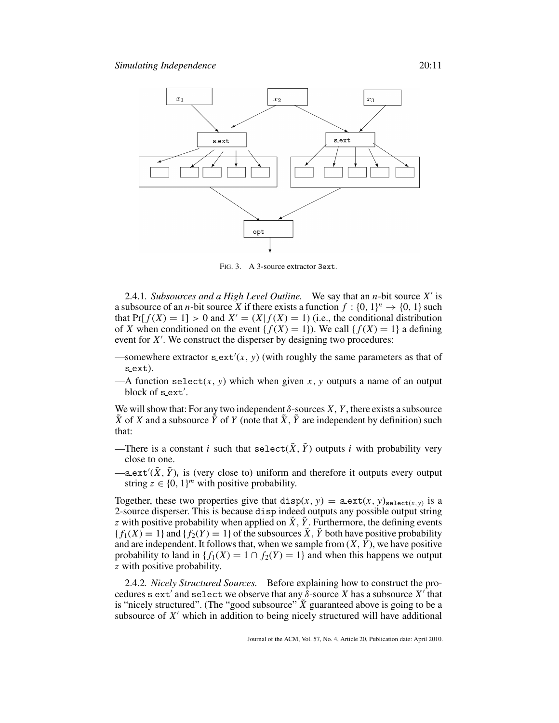

FIG. 3. A 3-source extractor 3ext.

2.4.1*. Subsources and a High Level Outline.* We say that an *n*-bit source X' is a subsource of an *n*-bit source X if there exists a function  $f : \{0, 1\}^n \rightarrow \{0, 1\}$  such that Pr[ $f(X) = 1$ ] > 0 and  $X' = (X | f(X) = 1)$  (i.e., the conditional distribution of *X* when conditioned on the event { $f(X) = 1$ }. We call { $f(X) = 1$ } a defining event for *X* . We construct the disperser by designing two procedures:

- —somewhere extractor  $\text{sext}'(x, y)$  (with roughly the same parameters as that of s ext).
- —A function select $(x, y)$  which when given  $x, y$  outputs a name of an output block of s\_ext'.

We will show that: For any two independent  $\delta$ -sources *X*, *Y*, there exists a subsource  $\tilde{X}$  of *X* and a subsource  $\tilde{Y}$  of *Y* (note that  $\tilde{X}$ ,  $\tilde{Y}$  are independent by definition) such that:

- —There is a constant *i* such that select $(\tilde{X}, \tilde{Y})$  outputs *i* with probability very close to one.
- $-\texttt{s}$ ext' $(\tilde{X}, \tilde{Y})_i$  is (very close to) uniform and therefore it outputs every output string  $z \in \{0, 1\}^m$  with positive probability.

Together, these two properties give that  $\text{disp}(x, y) = \text{sext}(x, y)_{\text{select}(x, y)}$  is a 2-source disperser. This is because disp indeed outputs any possible output string *z* with positive probability when applied on  $\tilde{X}$ ,  $\tilde{Y}$ . Furthermore, the defining events  ${f_1(X) = 1}$  and  ${f_2(Y) = 1}$  of the subsources  $\tilde{X}$ ,  $\tilde{Y}$  both have positive probability and are independent. It follows that, when we sample from  $(X, Y)$ , we have positive probability to land in  ${f_1(X) = 1 \cap f_2(Y) = 1}$  and when this happens we output *z* with positive probability.

2.4.2*. Nicely Structured Sources.* Before explaining how to construct the procedures s ext' and select we observe that any  $\delta$ -source *X* has a subsource *X'* that is "nicely structured". (The "good subsource"  $\tilde{X}$  guaranteed above is going to be a subsource of  $X'$  which in addition to being nicely structured will have additional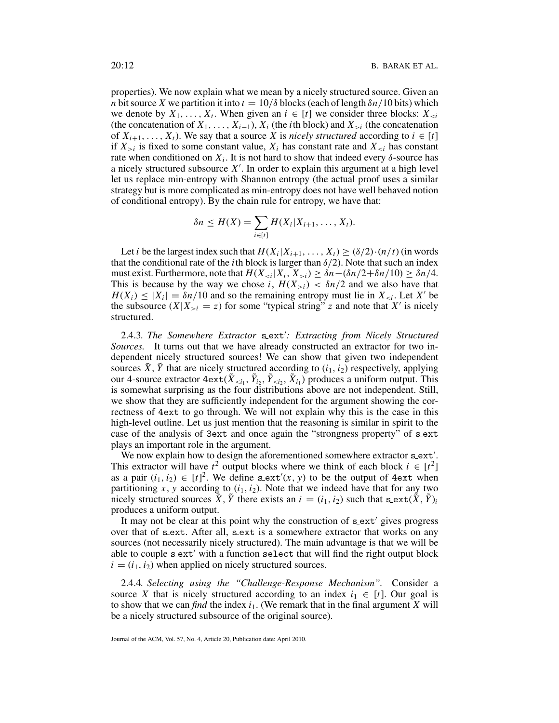properties). We now explain what we mean by a nicely structured source. Given an *n* bit source *X* we partition it into  $t = 10/\delta$  blocks (each of length  $\delta n/10$  bits) which we denote by  $X_1, \ldots, X_t$ . When given an  $i \in [t]$  we consider three blocks:  $X_{\leq i}$ (the concatenation of  $X_1, \ldots, X_{i-1}$ ),  $X_i$  (the *i*th block) and  $X_{>i}$  (the concatenation of  $X_{i+1}, \ldots, X_t$ ). We say that a source *X* is *nicely structured* according to  $i \in [t]$ if  $X_{\geq i}$  is fixed to some constant value,  $X_i$  has constant rate and  $X_{\leq i}$  has constant rate when conditioned on  $X_i$ . It is not hard to show that indeed every  $\delta$ -source has a nicely structured subsource *X* . In order to explain this argument at a high level let us replace min-entropy with Shannon entropy (the actual proof uses a similar strategy but is more complicated as min-entropy does not have well behaved notion of conditional entropy). By the chain rule for entropy, we have that:

$$
\delta n \leq H(X) = \sum_{i \in [t]} H(X_i | X_{i+1}, \ldots, X_t).
$$

Let *i* be the largest index such that  $H(X_i|X_{i+1},..., X_t) \geq (\delta/2) \cdot (n/t)$  (in words that the conditional rate of the *i*th block is larger than  $\delta/2$ ). Note that such an index must exist. Furthermore, note that  $H(X_{\le i}|X_i, X_{\ge i}) \ge \delta n - (\delta n/2 + \delta n/10) \ge \delta n/4$ . This is because by the way we chose *i*,  $H(X_{>i}) < \delta n/2$  and we also have that  $H(X_i) \leq |X_i| = \delta n/10$  and so the remaining entropy must lie in  $X_{\leq i}$ . Let X' be the subsource  $(X|X_{\geq i} = z)$  for some "typical string" *z* and note that *X'* is nicely structured.

2.4.3. The Somewhere Extractor s\_ext': Extracting from Nicely Structured *Sources.* It turns out that we have already constructed an extractor for two independent nicely structured sources! We can show that given two independent sources  $\tilde{X}$ ,  $\tilde{Y}$  that are nicely structured according to  $(i_1, i_2)$  respectively, applying our 4-source extractor  $4ext(\tilde{X}_{\le i_1}, \tilde{Y}_{i_2}, \tilde{Y}_{\le i_2}, \tilde{X}_{i_1})$  produces a uniform output. This is somewhat surprising as the four distributions above are not independent. Still, we show that they are sufficiently independent for the argument showing the correctness of 4ext to go through. We will not explain why this is the case in this high-level outline. Let us just mention that the reasoning is similar in spirit to the case of the analysis of 3ext and once again the "strongness property" of sext plays an important role in the argument.

We now explain how to design the aforementioned somewhere extractor s\_ext'. This extractor will have  $t^2$  output blocks where we think of each block  $i \in [t^2]$ as a pair  $(i_1, i_2) \in [t]^2$ . We define sext'(x, y) to be the output of 4ext when partitioning *x*, *y* according to  $(i_1, i_2)$ . Note that we indeed have that for any two nicely structured sources  $\tilde{X}$ ,  $\tilde{Y}$  there exists an  $i = (i_1, i_2)$  such that s\_ext( $\tilde{X}$ ,  $\tilde{Y}$ )*i* produces a uniform output.

It may not be clear at this point why the construction of  $s$  ext' gives progress over that of sext. After all, sext is a somewhere extractor that works on any sources (not necessarily nicely structured). The main advantage is that we will be able to couple  $\text{sext}'$  with a function select that will find the right output block  $i = (i_1, i_2)$  when applied on nicely structured sources.

2.4.4*. Selecting using the "Challenge-Response Mechanism".* Consider a source *X* that is nicely structured according to an index  $i_1 \in [t]$ . Our goal is to show that we can *find* the index  $i_1$ . (We remark that in the final argument X will be a nicely structured subsource of the original source).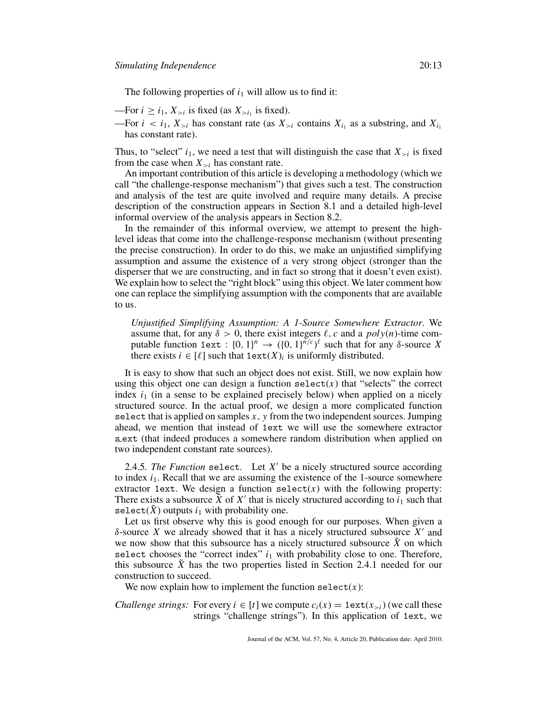The following properties of  $i_1$  will allow us to find it:

—For  $i \ge i_1, X_{>i}$  is fixed (as  $X_{>i_1}$  is fixed).

—For  $i < i_1, X_{>i}$  has constant rate (as  $X_{>i}$  contains  $X_{i_1}$  as a substring, and  $X_{i_1}$ has constant rate).

Thus, to "select"  $i_1$ , we need a test that will distinguish the case that  $X_{>i}$  is fixed from the case when  $X_{\geq i}$  has constant rate.

An important contribution of this article is developing a methodology (which we call "the challenge-response mechanism") that gives such a test. The construction and analysis of the test are quite involved and require many details. A precise description of the construction appears in Section 8.1 and a detailed high-level informal overview of the analysis appears in Section 8.2.

In the remainder of this informal overview, we attempt to present the highlevel ideas that come into the challenge-response mechanism (without presenting the precise construction). In order to do this, we make an unjustified simplifying assumption and assume the existence of a very strong object (stronger than the disperser that we are constructing, and in fact so strong that it doesn't even exist). We explain how to select the "right block" using this object. We later comment how one can replace the simplifying assumption with the components that are available to us.

*Unjustified Simplifying Assumption: A 1-Source Somewhere Extractor*. We assume that, for any  $\delta > 0$ , there exist integers  $\ell$ , *c* and a *poly*(*n*)-time computable function 1ext :  $\{0, 1\}^n \rightarrow (\{0, 1\}^{\bar{n}/c})^{\ell}$  such that for any  $\delta$ -source *X* there exists  $i \in [\ell]$  such that  $1 \text{ext}(X)_i$  is uniformly distributed.

It is easy to show that such an object does not exist. Still, we now explain how using this object one can design a function select $(x)$  that "selects" the correct index  $i_1$  (in a sense to be explained precisely below) when applied on a nicely structured source. In the actual proof, we design a more complicated function select that is applied on samples *x*, *y* from the two independent sources. Jumping ahead, we mention that instead of 1ext we will use the somewhere extractor s ext (that indeed produces a somewhere random distribution when applied on two independent constant rate sources).

2.4.5. The Function select. Let  $X'$  be a nicely structured source according to index  $i_1$ . Recall that we are assuming the existence of the 1-source somewhere extractor 1ext. We design a function  $select(x)$  with the following property: There exists a subsource  $\bar{X}$  of  $X'$  that is nicely structured according to  $i_1$  such that select( $\hat{X}$ ) outputs  $i_1$  with probability one.

Let us first observe why this is good enough for our purposes. When given a δ-source *X* we already showed that it has a nicely structured subsource  $X'$  and we now show that this subsource has a nicely structured subsource  $\tilde{X}$  on which select chooses the "correct index"  $i_1$  with probability close to one. Therefore, this subsource *X*˜ has the two properties listed in Section 2.4.1 needed for our construction to succeed.

We now explain how to implement the function  $select(x)$ :

*Challenge strings:* For every  $i \in [t]$  we compute  $c_i(x) = 1$  ext $(x_{>i})$  (we call these strings "challenge strings"). In this application of 1ext, we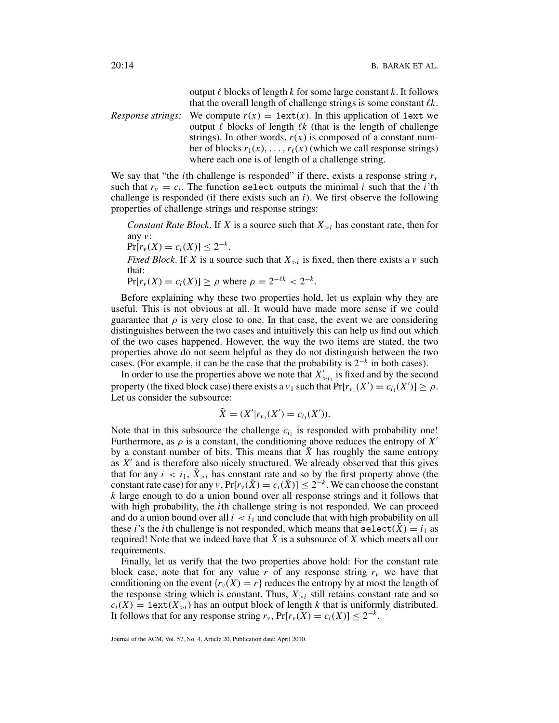output  $\ell$  blocks of length  $k$  for some large constant  $k$ . It follows that the overall length of challenge strings is some constant  $\ell k$ .

*Response strings:* We compute  $r(x) = 1$ ext $(x)$ . In this application of 1ext we output  $\ell$  blocks of length  $\ell k$  (that is the length of challenge strings). In other words,  $r(x)$  is composed of a constant number of blocks  $r_1(x), \ldots, r_\ell(x)$  (which we call response strings) where each one is of length of a challenge string.

We say that "the *i*th challenge is responded" if there, exists a response string  $r_v$ such that  $r_v = c_i$ . The function select outputs the minimal *i* such that the *i*'th challenge is responded (if there exists such an *i*). We first observe the following properties of challenge strings and response strings:

*Constant Rate Block.* If *X* is a source such that  $X_{\geq i}$  has constant rate, then for any *v*:

$$
\Pr[r_v(X) = c_i(X)] \leq 2^{-k}.
$$

*Fixed Block*. If *X* is a source such that  $X_{\geq i}$  is fixed, then there exists a *v* such that:

 $Pr[r_v(X) = c_i(X)] > \rho$  where  $\rho = 2^{-\ell k} < 2^{-k}$ .

Before explaining why these two properties hold, let us explain why they are useful. This is not obvious at all. It would have made more sense if we could guarantee that  $\rho$  is very close to one. In that case, the event we are considering distinguishes between the two cases and intuitively this can help us find out which of the two cases happened. However, the way the two items are stated, the two properties above do not seem helpful as they do not distinguish between the two cases. (For example, it can be the case that the probability is 2<sup>−</sup>*<sup>k</sup>* in both cases).

In order to use the properties above we note that  $X'_{\geq i_1}$  is fixed and by the second property (the fixed block case) there exists a  $v_1$  such that  $Pr[r_{v_1}(X') = c_{i_1}(X')] \ge \rho$ . Let us consider the subsource:

$$
\tilde{X} = (X'|r_{\nu_1}(X') = c_{i_1}(X')).
$$

Note that in this subsource the challenge  $c_{i_1}$  is responded with probability one! Furthermore, as  $\rho$  is a constant, the conditioning above reduces the entropy of  $X'$ by a constant number of bits. This means that  $\tilde{X}$  has roughly the same entropy as  $X'$  and is therefore also nicely structured. We already observed that this gives that for any  $i < i_1$ ,  $\tilde{X}_{>i}$  has constant rate and so by the first property above (the constant rate case) for any *v*,  $Pr[r_v(\tilde{X})] \leq 2^{-k}$ . We can choose the constant *k* large enough to do a union bound over all response strings and it follows that with high probability, the *i*th challenge string is not responded. We can proceed and do a union bound over all  $i < i_1$  and conclude that with high probability on all these *i*'s the *i*th challenge is not responded, which means that  $\text{select}(\tilde{X}) = i_1$  as required! Note that we indeed have that *X*˜ is a subsource of *X* which meets all our requirements.

Finally, let us verify that the two properties above hold: For the constant rate block case, note that for any value  $r$  of any response string  $r_v$  we have that conditioning on the event  ${r<sub>v</sub>(X) = r}$  reduces the entropy by at most the length of the response string which is constant. Thus,  $X_{>i}$  still retains constant rate and so  $c_i(X) = 1$ ext $(X_{>i})$  has an output block of length *k* that is uniformly distributed. It follows that for any response string  $r_v$ ,  $Pr[r_v(X) = c_i(X)] \leq 2^{-k}$ .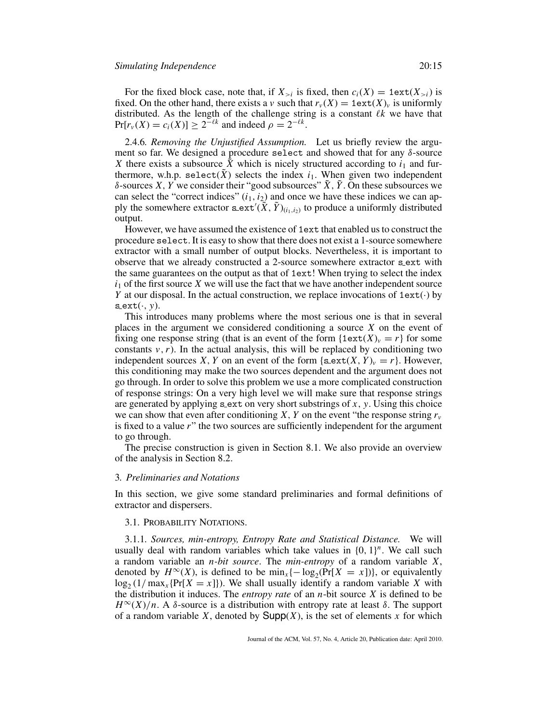For the fixed block case, note that, if  $X_{>i}$  is fixed, then  $c_i(X) = 1$ ext $(X_{>i})$  is fixed. On the other hand, there exists a *v* such that  $r_v(X) = 1$  ext $(X)_v$  is uniformly distributed. As the length of the challenge string is a constant  $\ell k$  we have that  $Pr[r_v(X) = c_i(X)] \geq 2^{-\ell k}$  and indeed  $\rho = 2^{-\ell k}$ .

2.4.6*. Removing the Unjustified Assumption.* Let us briefly review the argument so far. We designed a procedure select and showed that for any  $\delta$ -source *X* there exists a subsource *X* which is nicely structured according to  $i_1$  and furthermore, w.h.p. select( $\tilde{X}$ ) selects the index  $i_1$ . When given two independent δ-sources *X*, *Y* we consider their "good subsources"  $\tilde{X}$ ,  $\tilde{Y}$ . On these subsources we can select the "correct indices"  $(i_1, i_2)$  and once we have these indices we can apply the somewhere extractor  $\text{sext}'(\tilde{\tilde{X}}, \tilde{Y})_{(i_1, i_2)}$  to produce a uniformly distributed output.

However, we have assumed the existence of 1ext that enabled us to construct the procedure select. It is easy to show that there does not exist a 1-source somewhere extractor with a small number of output blocks. Nevertheless, it is important to observe that we already constructed a 2-source somewhere extractor s ext with the same guarantees on the output as that of 1ext! When trying to select the index  $i<sub>1</sub>$  of the first source *X* we will use the fact that we have another independent source *Y* at our disposal. In the actual construction, we replace invocations of  $1ext(\cdot)$  by  $s$ <sub>ext</sub> $(\cdot, y)$ .

This introduces many problems where the most serious one is that in several places in the argument we considered conditioning a source *X* on the event of fixing one response string (that is an event of the form  $\{1 \text{ext}(X)_v = r\}$  for some constants  $v, r$ ). In the actual analysis, this will be replaced by conditioning two independent sources *X*, *Y* on an event of the form {s\_ext(*X*, *Y*)<sub>*v*</sub> = *r*}. However, this conditioning may make the two sources dependent and the argument does not go through. In order to solve this problem we use a more complicated construction of response strings: On a very high level we will make sure that response strings are generated by applying s ext on very short substrings of *x*, *y*. Using this choice we can show that even after conditioning *X*, *Y* on the event "the response string  $r_v$ is fixed to a value *r*" the two sources are sufficiently independent for the argument to go through.

The precise construction is given in Section 8.1. We also provide an overview of the analysis in Section 8.2.

#### 3*. Preliminaries and Notations*

In this section, we give some standard preliminaries and formal definitions of extractor and dispersers.

#### 3.1. PROBABILITY NOTATIONS.

3.1.1*. Sources, min-entropy, Entropy Rate and Statistical Distance.* We will usually deal with random variables which take values in  ${0, 1}^n$ . We call such a random variable an *n-bit source*. The *min-entropy* of a random variable *X*, denoted by  $H^{\infty}(X)$ , is defined to be  $\min_{x} \{-\log_2(\Pr[X = x])\}$ , or equivalently  $\log_2(1/\max_x \{ \Pr[X = x] \})$ . We shall usually identify a random variable *X* with the distribution it induces. The *entropy rate* of an *n*-bit source *X* is defined to be  $H^{\infty}(X)/n$ . A  $\delta$ -source is a distribution with entropy rate at least  $\delta$ . The support of a random variable *X*, denoted by  $\text{Supp}(X)$ , is the set of elements *x* for which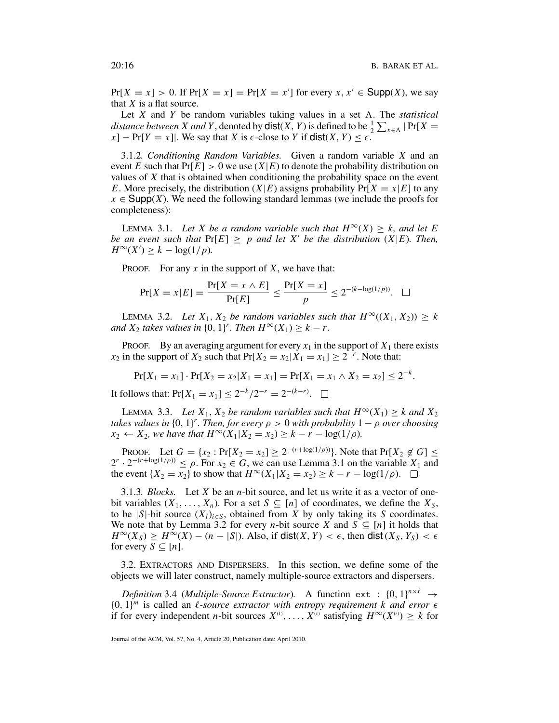$Pr[X = x] > 0$ . If  $Pr[X = x] = Pr[X = x']$  for every  $x, x' \in \text{Supp}(X)$ , we say that *X* is a flat source.

Let  $X$  and  $Y$  be random variables taking values in a set  $\Lambda$ . The *statistical distance between X and Y*, denoted by  $dist(X, Y)$  is defined to be  $\frac{1}{2} \sum_{x \in \Lambda} |Pr[X =$  $[x]$  – Pr[*Y* = *x*]|. We say that *X* is  $\epsilon$ -close to *Y* if dist(*X*, *Y*)  $\leq \epsilon$ .

3.1.2*. Conditioning Random Variables.* Given a random variable *X* and an event *E* such that  $Pr[E] > 0$  we use  $(X|E)$  to denote the probability distribution on values of *X* that is obtained when conditioning the probability space on the event *E*. More precisely, the distribution  $(X|E)$  assigns probability  $Pr[X = x|E]$  to any  $x \in \text{Supp}(X)$ . We need the following standard lemmas (we include the proofs for completeness):

LEMMA 3.1. Let X be a random variable such that  $H^{\infty}(X) > k$ , and let E *be an event such that*  $Pr[E] \geq p$  *and let X' be the distribution* (*X*|*E*)*. Then,*  $H^{\infty}(X') \geq k - \log(1/p).$ 

PROOF. For any *x* in the support of *X*, we have that:

$$
\Pr[X = x | E] = \frac{\Pr[X = x \land E]}{\Pr[E]} \le \frac{\Pr[X = x]}{p} \le 2^{-(k - \log(1/p))}. \quad \Box
$$

LEMMA 3.2. Let  $X_1, X_2$  be random variables such that  $H^\infty((X_1, X_2)) \geq k$ *and*  $X_2$  *takes values in*  $\{0, 1\}^r$ *. Then*  $H^\infty(X_1) \geq k - r$ *.* 

**PROOF.** By an averaging argument for every  $x_1$  in the support of  $X_1$  there exists *x*<sub>2</sub> in the support of *X*<sub>2</sub> such that  $Pr[X_2 = x_2 | X_1 = x_1] \ge 2^{-r}$ . Note that:

$$
Pr[X_1 = x_1] \cdot Pr[X_2 = x_2 | X_1 = x_1] = Pr[X_1 = x_1 \wedge X_2 = x_2] \le 2^{-k}.
$$

It follows that:  $Pr[X_1 = x_1] \le 2^{-k}/2^{-r} = 2^{-(k-r)}$ .

LEMMA 3.3. Let  $X_1, X_2$  be random variables such that  $H^\infty(X_1) \geq k$  and  $X_2$ *takes values in*  $\{0, 1\}^r$ . Then, for every  $\rho > 0$  with probability  $1 - \rho$  over choosing *x*<sub>2</sub> ← *X*<sub>2</sub>*, we have that*  $H^{\infty}(X_1 | X_2 = x_2) \geq k - r - \log(1/\rho)$ *.* 

PROOF. Let  $G = \{x_2 : \Pr[X_2 = x_2] \ge 2^{-(r + \log(1/\rho))}\}\)$ . Note that  $\Pr[X_2 \notin G] \le$  $2^r \cdot 2^{-(r+\log(1/\rho))} \le \rho$ . For  $x_2 \in G$ , we can use Lemma 3.1 on the variable  $X_1$  and the event {*X*<sub>2</sub> = *x*<sub>2</sub>} to show that  $H^\infty(X_1|X_2 = x_2) \ge k - r - \log(1/\rho)$ . □

3.1.3*. Blocks.* Let *X* be an *n*-bit source, and let us write it as a vector of onebit variables  $(X_1, \ldots, X_n)$ . For a set  $S \subseteq [n]$  of coordinates, we define the  $X_S$ , to be  $|S|$ -bit source  $(X_i)_{i \in S}$ , obtained from *X* by only taking its *S* coordinates. We note that by Lemma 3.2 for every *n*-bit source *X* and  $S \subseteq [n]$  it holds that  $H^{\infty}(X_S) \ge H^{\infty}(X) - (n - |S|)$ . Also, if dist(*X, Y*) <  $\epsilon$ , then dist(*X<sub>S</sub>, Y<sub>S</sub>*) <  $\epsilon$ for every  $S \subseteq [n]$ .

3.2. EXTRACTORS AND DISPERSERS. In this section, we define some of the objects we will later construct, namely multiple-source extractors and dispersers.

*Definition* 3.4 (*Multiple-Source Extractor*). A function ext :  $\{0, 1\}^{n \times \ell} \rightarrow$  $\{0, 1\}^m$  is called an *l*-source extractor with entropy requirement k and error  $\epsilon$ if for every independent *n*-bit sources  $X^{(1)}, \ldots, X^{(l)}$  satisfying  $H^{\infty}(X^{(i)}) \geq k$  for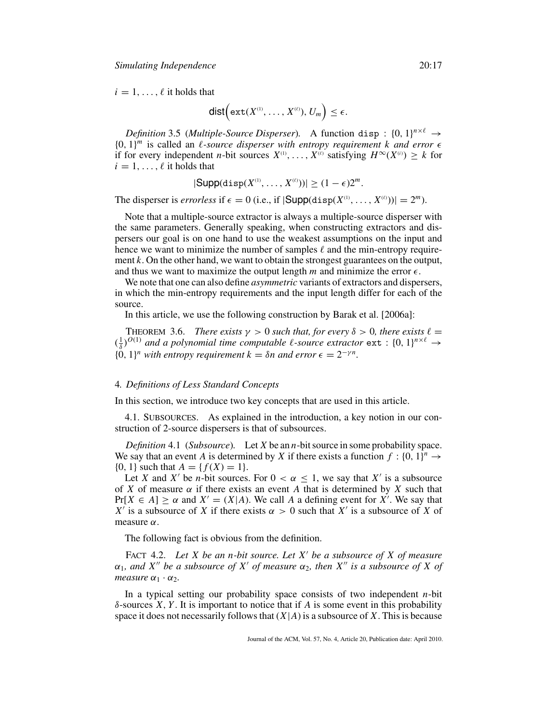$i = 1, \ldots, \ell$  it holds that

$$
\mathsf{dist}\Big(\mathsf{ext}(X^{\scriptscriptstyle(1)},\ldots,X^{\scriptscriptstyle(\ell)}),\,U_m\Big)\leq\epsilon.
$$

*Definition* 3.5 (*Multiple-Source Disperser*). A function disp :  $\{0, 1\}^{n \times \ell} \rightarrow$  ${0, 1}^m$  is called an *l*-source disperser with entropy requirement k and error  $\epsilon$ if for every independent *n*-bit sources  $X^{(1)}, \ldots, X^{(l)}$  satisfying  $H^{\infty}(X^{(i)}) \geq k$  for  $i = 1, \ldots, \ell$  it holds that

$$
|\mathsf{Supp}(\mathsf{disp}(X^{\scriptscriptstyle(1)},\ldots,X^{\scriptscriptstyle(\ell)}))| \geq (1-\epsilon)2^m.
$$

The disperser is *errorless* if  $\epsilon = 0$  (i.e., if  $|\textsf{Supp}(\text{disp}(X^{(1)},...,X^{(\ell)}))| = 2^m$ ).

Note that a multiple-source extractor is always a multiple-source disperser with the same parameters. Generally speaking, when constructing extractors and dispersers our goal is on one hand to use the weakest assumptions on the input and hence we want to minimize the number of samples  $\ell$  and the min-entropy requirement *k*. On the other hand, we want to obtain the strongest guarantees on the output, and thus we want to maximize the output length  $m$  and minimize the error  $\epsilon$ .

We note that one can also define *asymmetric* variants of extractors and dispersers, in which the min-entropy requirements and the input length differ for each of the source.

In this article, we use the following construction by Barak et al. [2006a]:

THEOREM 3.6. *There exists*  $\gamma > 0$  *such that, for every*  $\delta > 0$ *, there exists*  $\ell =$  $(\frac{1}{\delta})^{O(1)}$  *and a polynomial time computable*  $\ell$ *-source extractor*  $ext$  :  $\{0, 1\}^{n \times \ell} \rightarrow$  ${0, 1}^n$  *with entropy requirement*  $k = \delta n$  *and error*  $\epsilon = 2^{-\gamma n}$ .

## 4*. Definitions of Less Standard Concepts*

In this section, we introduce two key concepts that are used in this article.

4.1. SUBSOURCES. As explained in the introduction, a key notion in our construction of 2-source dispersers is that of subsources.

*Definition* 4.1 (*Subsource*)*.* Let *X* be an *n*-bit source in some probability space. We say that an event *A* is determined by *X* if there exists a function  $f : \{0, 1\}^n \rightarrow$  $\{0, 1\}$  such that  $A = \{f(X) = 1\}.$ 

Let *X* and *X'* be *n*-bit sources. For  $0 < \alpha \leq 1$ , we say that *X'* is a subsource of *X* of measure  $\alpha$  if there exists an event *A* that is determined by *X* such that  $Pr[X \in A] \ge \alpha$  and  $X' = (X|A)$ . We call A a defining event for X<sup>'</sup>. We say that *X'* is a subsource of *X* if there exists  $\alpha > 0$  such that *X'* is a subsource of *X* of measure  $\alpha$ .

The following fact is obvious from the definition.

FACT 4.2. *Let X be an n-bit source. Let X' be a subsource of X of measure*  $\alpha_1$ , and X'' be a subsource of X' of measure  $\alpha_2$ , then X'' is a subsource of X of *measure*  $\alpha_1 \cdot \alpha_2$ *.* 

In a typical setting our probability space consists of two independent *n*-bit δ-sources *X*, *Y* . It is important to notice that if *A* is some event in this probability space it does not necessarily follows that  $(X|A)$  is a subsource of X. This is because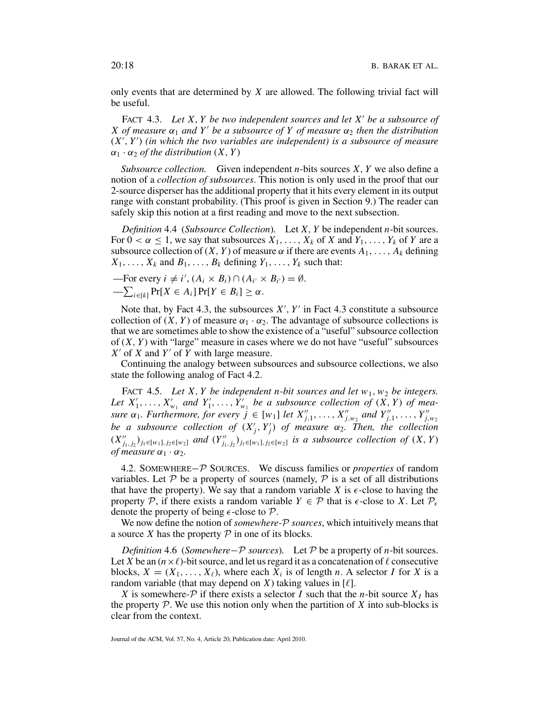only events that are determined by *X* are allowed. The following trivial fact will be useful.

FACT 4.3. *Let X*, *Y be two independent sources and let X be a subsource of X* of measure  $\alpha_1$  and Y' be a subsource of Y of measure  $\alpha_2$  then the distribution (*X* , *Y* ) *(in which the two variables are independent) is a subsource of measure*  $\alpha_1 \cdot \alpha_2$  *of the distribution*  $(X, Y)$ 

*Subsource collection.* Given independent *n*-bits sources *X*, *Y* we also define a notion of a *collection of subsources*. This notion is only used in the proof that our 2-source disperser has the additional property that it hits every element in its output range with constant probability. (This proof is given in Section 9.) The reader can safely skip this notion at a first reading and move to the next subsection.

*Definition* 4.4 (*Subsource Collection*)*.* Let *X*, *Y* be independent *n*-bit sources. For  $0 < \alpha \leq 1$ , we say that subsources  $X_1, \ldots, X_k$  of *X* and  $Y_1, \ldots, Y_k$  of *Y* are a subsource collection of  $(X, Y)$  of measure  $\alpha$  if there are events  $A_1, \ldots, A_k$  defining  $X_1, \ldots, X_k$  and  $B_1, \ldots, B_k$  defining  $Y_1, \ldots, Y_k$  such that:

—For every 
$$
i \neq i'
$$
,  $(A_i \times B_i) \cap (A_{i'} \times B_{i'}) = \emptyset$ .  
— $\sum_{i \in [k]} Pr[X \in A_i] Pr[Y \in B_i] \geq \alpha$ .

Note that, by Fact 4.3, the subsources  $X'$ ,  $Y'$  in Fact 4.3 constitute a subsource collection of  $(X, Y)$  of measure  $\alpha_1 \cdot \alpha_2$ . The advantage of subsource collections is that we are sometimes able to show the existence of a "useful" subsource collection of (*X*, *Y* ) with "large" measure in cases where we do not have "useful" subsources  $X'$  of *X* and  $Y'$  of *Y* with large measure.

Continuing the analogy between subsources and subsource collections, we also state the following analog of Fact 4.2.

FACT 4.5. Let X, Y be independent n-bit sources and let  $w_1$ ,  $w_2$  be integers. Let  $X'_1, \ldots, X'_{w_1}$  and  $Y'_1, \ldots, Y'_{w_1}$  be a subsource collection of  $(X, Y)$  of mea*sure*  $\alpha_1$ *. Furthermore, for every*  $j \in [w_1]$  *let*  $X''_{j,1}, \ldots, X''_{j,w_2}$  *and*  $Y''_{j,1}, \ldots, Y''_{j,w_2}$ *be a subsource collection of*  $(X'_j, Y'_j)$  *of measure*  $\alpha_2$ . Then, the collection  $(X''_{j_1,j_2})_{j_1 \in [w_1], j_2 \in [w_2]}$  and  $(Y''_{j_1,j_2})_{j_1 \in [w_1], j_2 \in [w_2]}$  is a subsource collection of  $(X, Y)$ *of measure*  $\alpha_1 \cdot \alpha_2$ .

4.2. SOMEWHERE−P SOURCES. We discuss families or *properties* of random variables. Let  $P$  be a property of sources (namely,  $P$  is a set of all distributions that have the property). We say that a random variable *X* is  $\epsilon$ -close to having the property P, if there exists a random variable  $Y \in \mathcal{P}$  that is  $\epsilon$ -close to X. Let  $\mathcal{P}_{\epsilon}$ denote the property of being  $\epsilon$ -close to  $\mathcal{P}$ .

We now define the notion of *somewhere-*P *sources*, which intuitively means that a source *X* has the property  $P$  in one of its blocks.

*Definition* 4.6 (*Somewhere*−P *sources*)*.* Let P be a property of *n*-bit sources. Let *X* be an  $(n \times \ell)$ -bit source, and let us regard it as a concatenation of  $\ell$  consecutive blocks,  $X = (X_1, \ldots, X_\ell)$ , where each  $X_i$  is of length *n*. A selector *I* for *X* is a random variable (that may depend on *X*) taking values in  $[\ell]$ .

*X* is somewhere- $P$  if there exists a selector *I* such that the *n*-bit source  $X_I$  has the property  $P$ . We use this notion only when the partition of  $X$  into sub-blocks is clear from the context.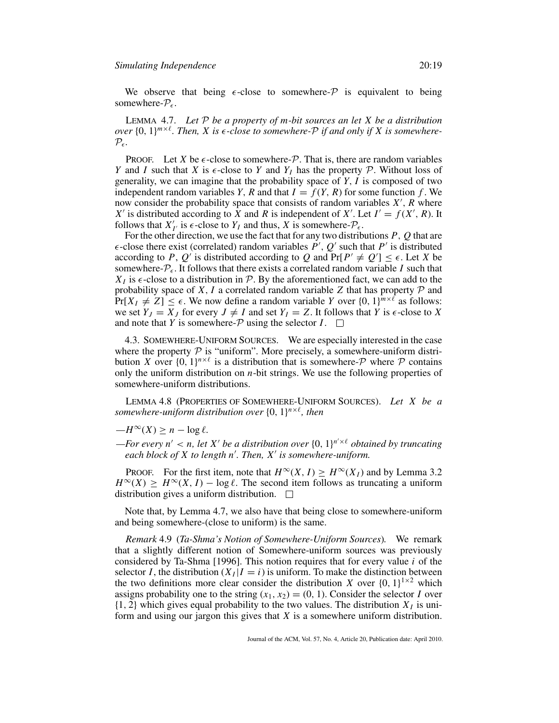We observe that being  $\epsilon$ -close to somewhere- $\mathcal P$  is equivalent to being somewhere- $P_{\epsilon}$ .

LEMMA 4.7. *Let* P *be a property of m-bit sources an let X be a distribution over*  $\{0, 1\}^{m \times \ell}$ . Then, X is  $\epsilon$ -close to somewhere-P if and only if X is somewhere- $\mathcal{P}_{\epsilon}$ .

**PROOF.** Let *X* be  $\epsilon$ -close to somewhere- $\mathcal{P}$ . That is, there are random variables *Y* and *I* such that *X* is  $\epsilon$ -close to *Y* and  $Y_I$  has the property *P*. Without loss of generality, we can imagine that the probability space of *Y*, *I* is composed of two independent random variables *Y*, *R* and that  $I = f(Y, R)$  for some function *f*. We now consider the probability space that consists of random variables *X* , *R* where *X* is distributed according to  $\hat{X}$  and  $\hat{R}$  is independent of  $X'$ . Let  $I' = f(X', \hat{R})$ . It follows that  $X'_{I'}$  is  $\epsilon$ -close to  $Y_I$  and thus,  $X$  is somewhere- $P_{\epsilon}$ .

For the other direction, we use the fact that for any two distributions *P*, *Q* that are  $\epsilon$ -close there exist (correlated) random variables  $\dot{P}$ ,  $Q$  such that  $P$  is distributed according to *P*,  $Q'$  is distributed according to  $Q$  and  $Pr[P' \neq Q'] \leq \epsilon$ . Let *X* be somewhere- $P_{\epsilon}$ . It follows that there exists a correlated random variable *I* such that  $X_I$  is  $\epsilon$ -close to a distribution in  $\mathcal{P}$ . By the aforementioned fact, we can add to the probability space of *X*, *I* a correlated random variable *Z* that has property  $P$  and  $Pr[X_I \neq Z] \leq \epsilon$ . We now define a random variable *Y* over  $\{0, 1\}^{m \times \ell}$  as follows: we set  $Y_J = X_J$  for every  $J \neq I$  and set  $Y_I = Z$ . It follows that *Y* is  $\epsilon$ -close to *X* and note that *Y* is somewhere- $\mathcal P$  using the selector *I*.  $\Box$ 

4.3. SOMEWHERE-UNIFORM SOURCES. We are especially interested in the case where the property  $P$  is "uniform". More precisely, a somewhere-uniform distribution *X* over  $\{0, 1\}^{n \times \ell}$  is a distribution that is somewhere-P where P contains only the uniform distribution on *n*-bit strings. We use the following properties of somewhere-uniform distributions.

LEMMA 4.8 (PROPERTIES OF SOMEWHERE-UNIFORM SOURCES). *Let X be a somewhere-uniform distribution over*  $\{0, 1\}^{n \times \ell}$ *, then* 

 $-H^{\infty}(X) \geq n - \log \ell$ .

—For every  $n' < n$ , let X' be a distribution over  $\{0, 1\}^{n' \times \ell}$  obtained by truncating *each block of X to length n . Then, X is somewhere-uniform.*

PROOF. For the first item, note that  $H^{\infty}(X, I) \ge H^{\infty}(X_I)$  and by Lemma 3.2  $H^{\infty}(X) > H^{\infty}(X, I) - \log \ell$ . The second item follows as truncating a uniform distribution gives a uniform distribution.  $\square$ 

Note that, by Lemma 4.7, we also have that being close to somewhere-uniform and being somewhere-(close to uniform) is the same.

*Remark* 4.9 (*Ta-Shma's Notion of Somewhere-Uniform Sources*)*.* We remark that a slightly different notion of Somewhere-uniform sources was previously considered by Ta-Shma [1996]. This notion requires that for every value *i* of the selector *I*, the distribution  $(X_I | I = i)$  is uniform. To make the distinction between the two definitions more clear consider the distribution *X* over  $\{0, 1\}^{1 \times 2}$  which assigns probability one to the string  $(x_1, x_2) = (0, 1)$ . Consider the selector *I* over  $\{1, 2\}$  which gives equal probability to the two values. The distribution  $X<sub>I</sub>$  is uniform and using our jargon this gives that *X* is a somewhere uniform distribution.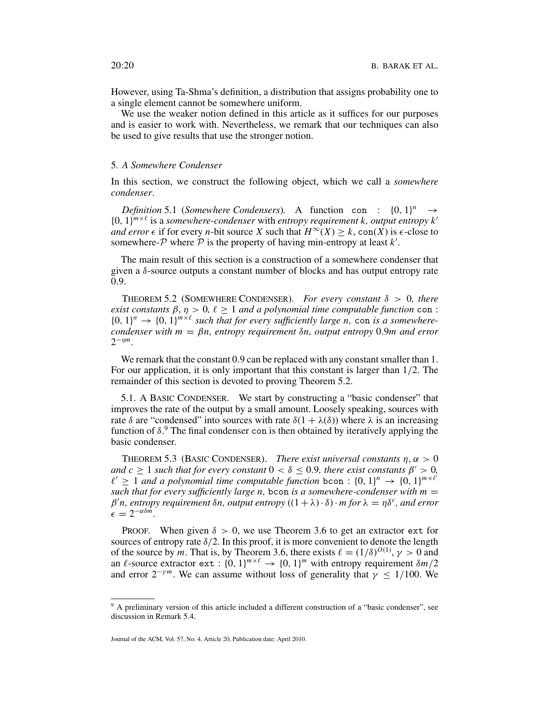However, using Ta-Shma's definition, a distribution that assigns probability one to a single element cannot be somewhere uniform.

We use the weaker notion defined in this article as it suffices for our purposes and is easier to work with. Nevertheless, we remark that our techniques can also be used to give results that use the stronger notion.

# 5*. A Somewhere Condenser*

In this section, we construct the following object, which we call a *somewhere condenser*.

*Definition* 5.1 (*Somewhere Condensers*). A function con :  $\{0, 1\}^n \rightarrow$  ${0, 1}^{m \times \ell}$  is a *somewhere-condenser* with *entropy requirement k, output entropy k' and error*  $\epsilon$  if for every *n*-bit source *X* such that  $H^\infty(X) > k$ , con(*X*) is  $\epsilon$ -close to somewhere- $P$  where  $\overline{P}$  is the property of having min-entropy at least  $k'$ .

The main result of this section is a construction of a somewhere condenser that given a δ-source outputs a constant number of blocks and has output entropy rate 0.9.

THEOREM 5.2 (SOMEWHERE CONDENSER). *For every constant*  $\delta > 0$ *, there exist constants*  $\beta, \eta > 0, \ell \geq 1$  *and a polynomial time computable function* con :  ${0, 1}^n \rightarrow {0, 1}^{m \times \ell}$  such that for every sufficiently large *n*, con *is a somewherecondenser with*  $m = \beta n$ *, entropy requirement*  $\delta n$ *, output entropy* 0.9*m and error* 2<sup>−</sup>η*m.*

We remark that the constant 0.9 can be replaced with any constant smaller than 1. For our application, it is only important that this constant is larger than 1/2. The remainder of this section is devoted to proving Theorem 5.2.

5.1. A BASIC CONDENSER. We start by constructing a "basic condenser" that improves the rate of the output by a small amount. Loosely speaking, sources with rate  $\delta$  are "condensed" into sources with rate  $\delta(1 + \lambda(\delta))$  where  $\lambda$  is an increasing function of  $\delta$ .<sup>9</sup> The final condenser con is then obtained by iteratively applying the basic condenser.

THEOREM 5.3 (BASIC CONDENSER). *There exist universal constants*  $\eta, \alpha > 0$ *and c*  $> 1$  *such that for every constant*  $0 < \delta < 0.9$ *, there exist constants*  $\beta' > 0$ *,*  $l' > 1$  *and a polynomial time computable function* bcon :  $\{0, 1\}^n \rightarrow \{0, 1\}^{m \times l'}$ *such that for every sufficiently large n, bcon is a somewhere-condenser with m*  $=$  $β'n$ , entropy requirement  $δn$ , output entropy  $((1 + λ) \cdot δ) \cdot m$  for  $λ = ηδ<sup>c</sup>$ , and error  $\epsilon = 2^{-\alpha \delta m}$ .

PROOF. When given  $\delta > 0$ , we use Theorem 3.6 to get an extractor ext for sources of entropy rate  $\delta/2$ . In this proof, it is more convenient to denote the length of the source by *m*. That is, by Theorem 3.6, there exists  $\ell = (1/\delta)^{O(1)}$ ,  $\gamma > 0$  and an  $\ell$ -source extractor ext : {0, 1}<sup>*m*× $\ell$ </sup>  $\rightarrow$  {0, 1}<sup>*m*</sup> with entropy requirement  $\delta m/2$ and error  $2^{-\gamma m}$ . We can assume without loss of generality that  $\gamma \leq 1/100$ . We

<sup>&</sup>lt;sup>9</sup> A preliminary version of this article included a different construction of a "basic condenser", see discussion in Remark 5.4.

Journal of the ACM, Vol. 57, No. 4, Article 20, Publication date: April 2010.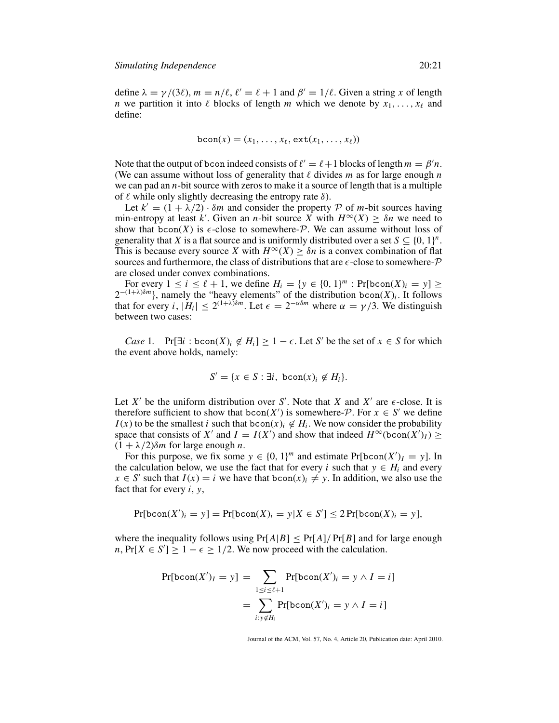define  $\lambda = \gamma/(3\ell)$ ,  $m = n/\ell$ ,  $\ell' = \ell + 1$  and  $\beta' = 1/\ell$ . Given a string x of length *n* we partition it into  $\ell$  blocks of length *m* which we denote by  $x_1, \ldots, x_\ell$  and define:

$$
\text{bcon}(x) = (x_1, \ldots, x_\ell, \text{ext}(x_1, \ldots, x_\ell))
$$

Note that the output of bcon indeed consists of  $\ell' = \ell + 1$  blocks of length  $m = \beta' n$ . (We can assume without loss of generality that  $\ell$  divides  $m$  as for large enough  $n$ we can pad an *n*-bit source with zeros to make it a source of length that is a multiple of  $\ell$  while only slightly decreasing the entropy rate  $\delta$ ).

Let  $k' = (1 + \lambda/2) \cdot \delta m$  and consider the property P of m-bit sources having min-entropy at least k'. Given an *n*-bit source X with  $H^\infty(X) \geq \delta n$  we need to show that  $bcon(X)$  is  $\epsilon$ -close to somewhere- $\mathcal P$ . We can assume without loss of generality that *X* is a flat source and is uniformly distributed over a set  $S \subseteq \{0, 1\}^n$ . This is because every source *X* with  $H^{\infty}(X) \geq \delta n$  is a convex combination of flat sources and furthermore, the class of distributions that are  $\epsilon$ -close to somewhere- $\mathcal{P}$ are closed under convex combinations.

For every  $1 \le i \le \ell + 1$ , we define  $H_i = \{y \in \{0, 1\}^m : \Pr[\text{bcon}(X)_i = y] \ge$  $2^{-(1+\lambda)\delta m}$ , namely the "heavy elements" of the distribution bcon(*X*)<sub>*i*</sub>. It follows that for every *i*,  $|H_i| \leq 2^{(1+\lambda)\delta m}$ . Let  $\epsilon = 2^{-\alpha \delta m}$  where  $\alpha = \gamma/3$ . We distinguish between two cases:

*Case* 1. Pr[ $\exists i : \text{bcon}(X)_i \notin H_i$ ]  $\geq 1 - \epsilon$ . Let *S'* be the set of  $x \in S$  for which the event above holds, namely:

$$
S' = \{x \in S : \exists i, \text{ bcon}(x)_i \notin H_i\}.
$$

Let *X'* be the uniform distribution over *S'*. Note that *X* and *X'* are  $\epsilon$ -close. It is therefore sufficient to show that  $bcon(X')$  is somewhere-P. For  $x \in S'$  we define  $I(x)$  to be the smallest *i* such that bcon $(x)$ *i*  $\notin H$ *i*. We now consider the probability space that consists of *X'* and *I* = *I*(*X'*) and show that indeed  $H^{\infty}(\text{bcon}(X')_I) \ge$  $(1 + \lambda/2)\delta m$  for large enough *n*.

For this purpose, we fix some  $y \in \{0, 1\}^m$  and estimate  $Pr[bcon(X')_I = y]$ . In the calculation below, we use the fact that for every *i* such that  $y \in H_i$  and every  $x \in S'$  such that  $I(x) = i$  we have that  $bcon(x)_i \neq y$ . In addition, we also use the fact that for every *i*, *y*,

$$
Pr[bcon(X')_i = y] = Pr[bcon(X)_i = y | X \in S'] \le 2 Pr[bcon(X)_i = y],
$$

where the inequality follows using  $Pr[A|B] \le Pr[A]/Pr[B]$  and for large enough *n*, Pr[ $X \in S'$ ]  $\geq 1 - \epsilon \geq 1/2$ . We now proceed with the calculation.

$$
\Pr[\text{bcon}(X')_I = y] = \sum_{1 \le i \le \ell+1} \Pr[\text{bcon}(X')_i = y \land I = i]
$$

$$
= \sum_{i: y \notin H_i} \Pr[\text{bcon}(X')_i = y \land I = i]
$$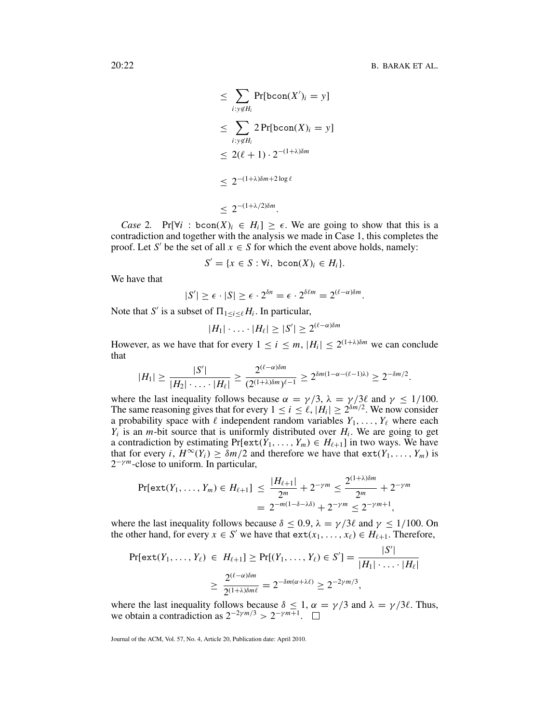$$
\leq \sum_{i: y \notin H_i} \Pr[\text{bcon}(X')_i = y]
$$
  
\n
$$
\leq \sum_{i: y \notin H_i} 2 \Pr[\text{bcon}(X)_i = y]
$$
  
\n
$$
\leq 2(\ell + 1) \cdot 2^{-(1 + \lambda)\delta m}
$$
  
\n
$$
\leq 2^{-(1 + \lambda)\delta m + 2\log \ell}
$$
  
\n
$$
\leq 2^{-(1 + \lambda/2)\delta m}.
$$

*Case* 2. Pr[ $\forall i$  : bcon( $X$ )*i*  $\in$   $H_i$ ]  $\geq$   $\in$ . We are going to show that this is a contradiction and together with the analysis we made in Case 1, this completes the proof. Let *S'* be the set of all  $x \in S$  for which the event above holds, namely:

$$
S' = \{x \in S : \forall i, \text{ bcon}(X)_i \in H_i\}.
$$

We have that

$$
|S'| \geq \epsilon \cdot |S| \geq \epsilon \cdot 2^{\delta n} = \epsilon \cdot 2^{\delta \ell m} = 2^{(\ell - \alpha)\delta m}.
$$

Note that *S'* is a subset of  $\Pi_{1 \le i \le \ell} H_i$ . In particular,

$$
|H_1|\cdot\ldots\cdot|H_\ell|\geq |S'|\geq 2^{(\ell-\alpha)\delta m}
$$

However, as we have that for every  $1 \le i \le m$ ,  $|H_i| \le 2^{(1+\lambda)\delta m}$  we can conclude that

$$
|H_1| \geq \frac{|S'|}{|H_2| \cdot \ldots \cdot |H_\ell|} \geq \frac{2^{(\ell-\alpha)\delta m}}{(2^{(1+\lambda)\delta m})^{\ell-1}} \geq 2^{\delta m(1-\alpha-(\ell-1)\lambda)} \geq 2^{-\delta m/2}.
$$

where the last inequality follows because  $\alpha = \gamma/3$ ,  $\lambda = \gamma/3\ell$  and  $\gamma \le 1/100$ . The same reasoning gives that for every  $1 \le i \le \ell$ ,  $|H_i| \ge 2^{\delta m/2}$ . We now consider a probability space with  $\ell$  independent random variables  $Y_1, \ldots, Y_\ell$  where each  $Y_i$  is an *m*-bit source that is uniformly distributed over  $H_i$ . We are going to get a contradiction by estimating  $Pr[\text{ext}(Y_1, ..., Y_m) \in H_{\ell+1}]$  in two ways. We have that for every *i*,  $H^{\infty}(Y_i) \geq \delta m/2$  and therefore we have that  $ext(Y_1, \ldots, Y_m)$  is 2<sup>−</sup><sup>γ</sup> *<sup>m</sup>*-close to uniform. In particular,

$$
\Pr[\text{ext}(Y_1,\ldots,Y_m)\in H_{\ell+1}] \leq \frac{|H_{\ell+1}|}{2^m} + 2^{-\gamma m} \leq \frac{2^{(1+\lambda)\delta m}}{2^m} + 2^{-\gamma m}
$$
  
=  $2^{-m(1-\delta-\lambda\delta)} + 2^{-\gamma m} \leq 2^{-\gamma m+1}$ ,

where the last inequality follows because  $\delta \leq 0.9$ ,  $\lambda = \gamma/3\ell$  and  $\gamma \leq 1/100$ . On the other hand, for every  $x \in S'$  we have that  $ext(x_1, \ldots, x_\ell) \in H_{\ell+1}$ . Therefore,

$$
\Pr[\text{ext}(Y_1, ..., Y_\ell) \in H_{\ell+1}] \ge \Pr[(Y_1, ..., Y_\ell) \in S'] = \frac{|S'|}{|H_1| \cdot ... \cdot |H_\ell|}
$$
  
 
$$
\ge \frac{2^{(\ell-\alpha)\delta m}}{2^{(1+\lambda)\delta m\ell}} = 2^{-\delta m(\alpha+\lambda\ell)} \ge 2^{-2\gamma m/3},
$$

where the last inequality follows because  $\delta \leq 1$ ,  $\alpha = \gamma/3$  and  $\lambda = \gamma/3\ell$ . Thus, we obtain a contradiction as  $2^{-2\gamma m/3}$  >  $2^{-\gamma m+1}$ . □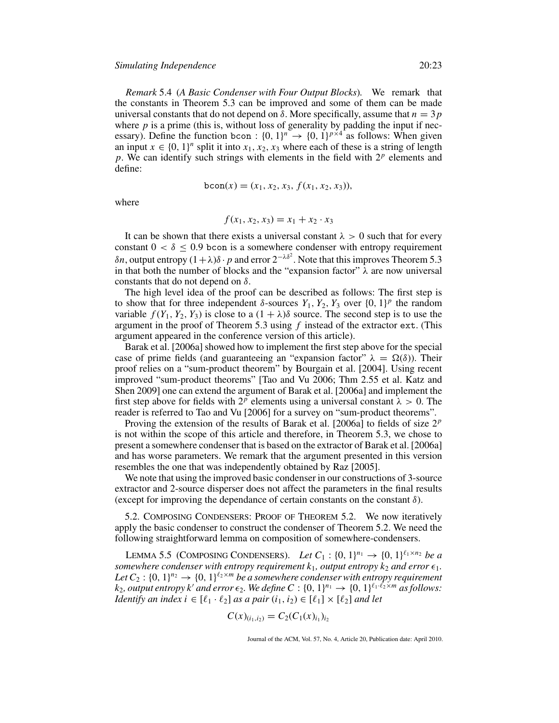*Remark* 5.4 (*A Basic Condenser with Four Output Blocks*)*.* We remark that the constants in Theorem 5.3 can be improved and some of them can be made universal constants that do not depend on  $\delta$ . More specifically, assume that  $n = 3p$ where  $p$  is a prime (this is, without loss of generality by padding the input if necessary). Define the function bcon :  $\{0, 1\}^n \rightarrow \{0, 1\}^{p \times 4}$  as follows: When given an input  $x \in \{0, 1\}^n$  split it into  $x_1, x_2, x_3$  where each of these is a string of length *p*. We can identify such strings with elements in the field with 2*<sup>p</sup>* elements and define:

$$
bcon(x) = (x_1, x_2, x_3, f(x_1, x_2, x_3)),
$$

where

$$
f(x_1, x_2, x_3) = x_1 + x_2 \cdot x_3
$$

It can be shown that there exists a universal constant  $\lambda > 0$  such that for every constant  $0 < \delta \leq 0.9$  bcon is a somewhere condenser with entropy requirement δ*n*, output entropy  $(1 + \lambda)δ \cdot p$  and error  $2^{-\lambda δ^2}$ . Note that this improves Theorem 5.3 in that both the number of blocks and the "expansion factor"  $\lambda$  are now universal constants that do not depend on  $\delta$ .

The high level idea of the proof can be described as follows: The first step is to show that for three independent  $\delta$ -sources  $Y_1, Y_2, Y_3$  over  $\{0, 1\}^p$  the random variable  $f(Y_1, Y_2, Y_3)$  is close to a  $(1 + \lambda)\delta$  source. The second step is to use the argument in the proof of Theorem 5.3 using *f* instead of the extractor ext. (This argument appeared in the conference version of this article).

Barak et al. [2006a] showed how to implement the first step above for the special case of prime fields (and guaranteeing an "expansion factor"  $\lambda = \Omega(\delta)$ ). Their proof relies on a "sum-product theorem" by Bourgain et al. [2004]. Using recent improved "sum-product theorems" [Tao and Vu 2006; Thm 2.55 et al. Katz and Shen 2009] one can extend the argument of Barak et al. [2006a] and implement the first step above for fields with  $2^p$  elements using a universal constant  $\lambda > 0$ . The reader is referred to Tao and Vu [2006] for a survey on "sum-product theorems".

Proving the extension of the results of Barak et al. [2006a] to fields of size 2*<sup>p</sup>* is not within the scope of this article and therefore, in Theorem 5.3, we chose to present a somewhere condenser that is based on the extractor of Barak et al. [2006a] and has worse parameters. We remark that the argument presented in this version resembles the one that was independently obtained by Raz [2005].

We note that using the improved basic condenser in our constructions of 3-source extractor and 2-source disperser does not affect the parameters in the final results (except for improving the dependance of certain constants on the constant  $\delta$ ).

5.2. COMPOSING CONDENSERS: PROOF OF THEOREM 5.2. We now iteratively apply the basic condenser to construct the condenser of Theorem 5.2. We need the following straightforward lemma on composition of somewhere-condensers.

LEMMA 5.5 (COMPOSING CONDENSERS). Let  $C_1$  :  $\{0, 1\}^{n_1} \to \{0, 1\}^{\ell_1 \times n_2}$  be a *somewhere condenser with entropy requirement*  $k_1$ *, output entropy*  $k_2$  *and error*  $\epsilon_1$ *. Let*  $C_2$  : {0, 1}<sup>*n*2</sup>  $\rightarrow$  {0, 1}<sup>*l*2×*m*</sup> *be a somewhere condenser with entropy requirement*  $k_2$ , *output entropy k' and error*  $\epsilon_2$ . We define  $C : \{0, 1\}^{n_1} \rightarrow \{0, 1\}^{\ell_1 \cdot \ell_2 \times m}$  *as follows: Identify an index i*  $\in$  [ $\ell_1 \cdot \ell_2$ ] *as a pair*  $(i_1, i_2) \in [\ell_1] \times [\ell_2]$  *and let* 

$$
C(x)_{(i_1,i_2)} = C_2(C_1(x)_{i_1})_{i_2}
$$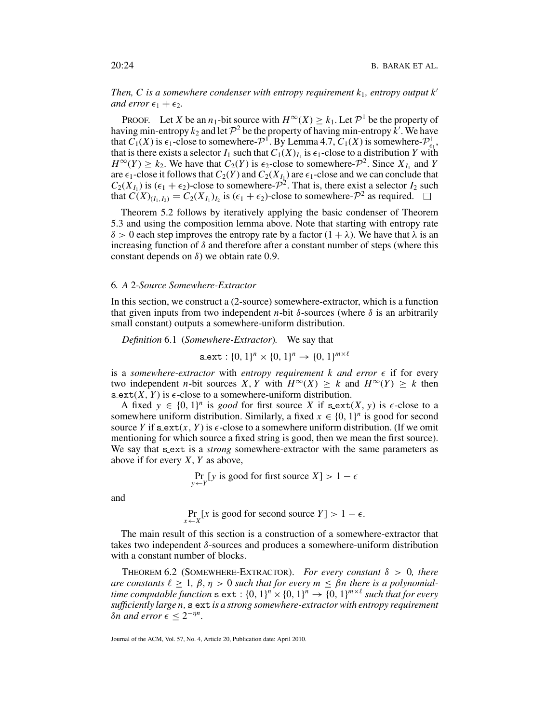*Then, C is a somewhere condenser with entropy requirement k*1*, entropy output k and error*  $\epsilon_1 + \epsilon_2$ *.* 

PROOF. Let *X* be an *n*<sub>1</sub>-bit source with  $H^{\infty}(X) \geq k_1$ . Let  $\mathcal{P}^1$  be the property of having min-entropy  $k_2$  and let  $\mathcal{P}^2$  be the property of having min-entropy  $\hat{k}'$ . We have that  $\overline{C_1}(X)$  is  $\epsilon_1$ -close to somewhere- $\mathcal{P}^1$ . By Lemma 4.7,  $\overline{C_1}(X)$  is somewhere- $\mathcal{P}^1_{\epsilon_1}$ , that is there exists a selector  $I_1$  such that  $C_1(X)_{I_1}$  is  $\epsilon_1$ -close to a distribution *Y* with  $H^{\infty}(Y) \geq k_2$ . We have that  $C_2(Y)$  is  $\epsilon_2$ -close to somewhere- $\mathcal{P}^2$ . Since  $X_{I_1}$  and *Y* are  $\epsilon_1$ -close it follows that  $C_2(Y)$  and  $C_2(X_{I_k})$  are  $\epsilon_1$ -close and we can conclude that  $C_2(X_{I_1})$  is  $(\epsilon_1 + \epsilon_2)$ -close to somewhere- $\mathcal{P}^2$ . That is, there exist a selector  $I_2$  such that  $C(X)_{(I_1,I_2)} = C_2(X_{I_1})_{I_2}$  is  $(\epsilon_1 + \epsilon_2)$ -close to somewhere- $\mathcal{P}^2$  as required.  $\square$ 

Theorem 5.2 follows by iteratively applying the basic condenser of Theorem 5.3 and using the composition lemma above. Note that starting with entropy rate  $\delta > 0$  each step improves the entropy rate by a factor  $(1 + \lambda)$ . We have that  $\lambda$  is an increasing function of  $\delta$  and therefore after a constant number of steps (where this constant depends on  $\delta$ ) we obtain rate 0.9.

# 6*. A* 2*-Source Somewhere-Extractor*

In this section, we construct a (2-source) somewhere-extractor, which is a function that given inputs from two independent *n*-bit  $\delta$ -sources (where  $\delta$  is an arbitrarily small constant) outputs a somewhere-uniform distribution.

*Definition* 6.1 (*Somewhere-Extractor*)*.* We say that

 $s$ **ext**:  $\{0, 1\}^n \times \{0, 1\}^n \rightarrow \{0, 1\}^{m \times \ell}$ 

is a *somewhere-extractor* with *entropy requirement* k and error  $\epsilon$  if for every two independent *n*-bit sources *X*, *Y* with  $H^\infty(X) \geq k$  and  $H^\infty(Y) \geq k$  then  $s$  ext(*X*, *Y*) is  $\epsilon$ -close to a somewhere-uniform distribution.

A fixed  $y \in \{0, 1\}^n$  is good for first source X if  $\text{sext}(X, y)$  is  $\epsilon$ -close to a somewhere uniform distribution. Similarly, a fixed  $x \in \{0, 1\}^n$  is good for second source *Y* if  $s$  ext(*x*, *Y*) is  $\epsilon$ -close to a somewhere uniform distribution. (If we omit mentioning for which source a fixed string is good, then we mean the first source). We say that sext is a *strong* somewhere-extractor with the same parameters as above if for every *X*, *Y* as above,

$$
\Pr_{y \leftarrow Y} [y \text{ is good for first source } X] > 1 - \epsilon
$$

and

$$
\Pr_{x \leftarrow X} [x \text{ is good for second source } Y] > 1 - \epsilon.
$$

The main result of this section is a construction of a somewhere-extractor that takes two independent  $\delta$ -sources and produces a somewhere-uniform distribution with a constant number of blocks.

THEOREM 6.2 (SOMEWHERE-EXTRACTOR). *For every constant* δ > 0*, there are constants*  $\ell \geq 1$ ,  $\beta$ ,  $\eta > 0$  *such that for every*  $m \leq \beta n$  *there is a polynomialtime computable function*  $\text{sext} : \{0, 1\}^n \times \{0, 1\}^n \rightarrow \{0, 1\}^{m \times \ell}$  *such that for every sufficiently large n,* s ext *is a strong somewhere-extractor with entropy requirement δn and error*  $\epsilon$  ≤ 2<sup>*-ηn*</sup>.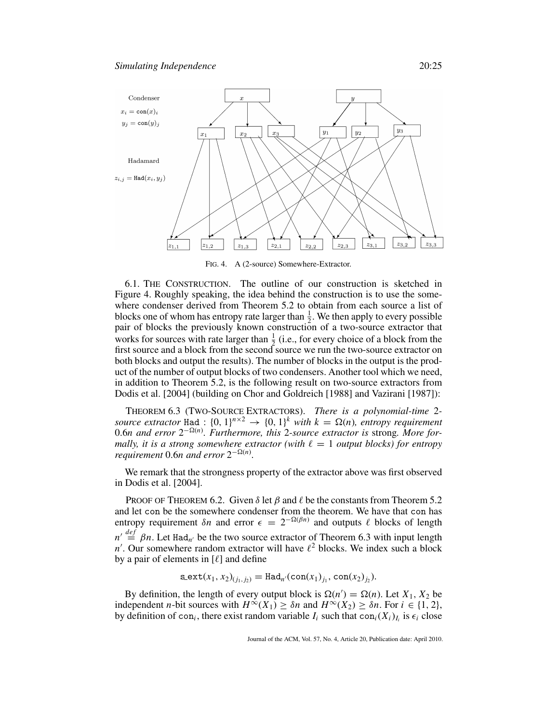

FIG. 4. A (2-source) Somewhere-Extractor.

6.1. THE CONSTRUCTION. The outline of our construction is sketched in Figure 4. Roughly speaking, the idea behind the construction is to use the somewhere condenser derived from Theorem 5.2 to obtain from each source a list of blocks one of whom has entropy rate larger than  $\frac{1}{2}$ . We then apply to every possible pair of blocks the previously known construction of a two-source extractor that works for sources with rate larger than  $\frac{1}{2}$  (i.e., for every choice of a block from the first source and a block from the second source we run the two-source extractor on both blocks and output the results). The number of blocks in the output is the product of the number of output blocks of two condensers. Another tool which we need, in addition to Theorem 5.2, is the following result on two-source extractors from Dodis et al. [2004] (building on Chor and Goldreich [1988] and Vazirani [1987]):

THEOREM 6.3 (TWO-SOURCE EXTRACTORS). *There is a polynomial-time* 2 *source extractor* Had :  $\{0, 1\}^{n \times 2} \rightarrow \{0, 1\}^k$  *with*  $k = \Omega(n)$ *, entropy requirement* 0.6*n and error* 2<sup>−</sup>(*n*) *. Furthermore, this* 2*-source extractor is* strong*. More formally, it is a strong somewhere extractor (with*  $\ell = 1$  *output blocks) for entropy requirement* 0.6*n* and error  $2^{-\Omega(n)}$ .

We remark that the strongness property of the extractor above was first observed in Dodis et al. [2004].

PROOF OF THEOREM 6.2. Given  $\delta$  let  $\beta$  and  $\ell$  be the constants from Theorem 5.2 and let con be the somewhere condenser from the theorem. We have that con has entropy requirement  $\delta n$  and error  $\epsilon = 2^{-\Omega(\beta n)}$  and outputs  $\ell$  blocks of length  $n' \stackrel{def}{=} \beta n$ . Let Had<sub>n'</sub> be the two source extractor of Theorem 6.3 with input length  $n'$ . Our somewhere random extractor will have  $\ell^2$  blocks. We index such a block by a pair of elements in  $[\ell]$  and define

$$
\texttt{s}.\texttt{ext}(x_1, x_2)_{(j_1, j_2)} = \texttt{Had}_{n'}(\texttt{con}(x_1)_{j_1}, \texttt{con}(x_2)_{j_2}).
$$

By definition, the length of every output block is  $\Omega(n') = \Omega(n)$ . Let  $X_1, X_2$  be independent *n*-bit sources with  $H^{\infty}(X_1) \geq \delta n$  and  $H^{\infty}(X_2) \geq \delta n$ . For  $i \in \{1, 2\}$ , by definition of con<sub>*i*</sub>, there exist random variable  $I_i$  such that con<sub>*i*</sub>( $X_i$ )<sub>*I<sub>i</sub>* is  $\epsilon_i$  close</sub>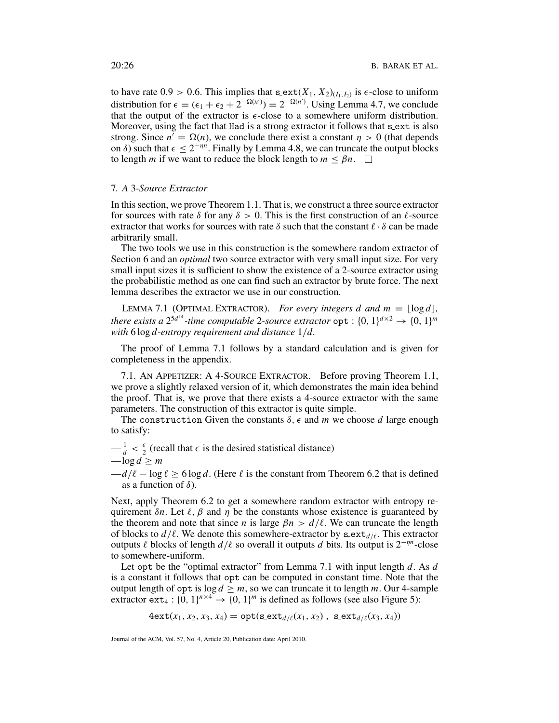to have rate  $0.9 > 0.6$ . This implies that  $\text{sext}(X_1, X_2)_{(I_1, I_2)}$  is  $\epsilon$ -close to uniform distribution for  $\epsilon = (\epsilon_1 + \epsilon_2 + 2^{-\Omega(n)}) = 2^{-\Omega(n')}$ . Using Lemma 4.7, we conclude that the output of the extractor is  $\epsilon$ -close to a somewhere uniform distribution. Moreover, using the fact that Had is a strong extractor it follows that sext is also strong. Since  $n' = \Omega(n)$ , we conclude there exist a constant  $\eta > 0$  (that depends on  $\delta$ ) such that  $\epsilon \leq 2^{-\eta n}$ . Finally by Lemma 4.8, we can truncate the output blocks to length *m* if we want to reduce the block length to  $m \leq \beta n$ .  $\Box$ 

# 7*. A* 3*-Source Extractor*

In this section, we prove Theorem 1.1. That is, we construct a three source extractor for sources with rate  $\delta$  for any  $\delta > 0$ . This is the first construction of an  $\ell$ -source extractor that works for sources with rate  $\delta$  such that the constant  $\ell \cdot \delta$  can be made arbitrarily small.

The two tools we use in this construction is the somewhere random extractor of Section 6 and an *optimal* two source extractor with very small input size. For very small input sizes it is sufficient to show the existence of a 2-source extractor using the probabilistic method as one can find such an extractor by brute force. The next lemma describes the extractor we use in our construction.

LEMMA 7.1 (OPTIMAL EXTRACTOR). *For every integers d and m* =  $|\log d|$ , *there exists a*  $2^{5d^{14}}$ *-time computable* 2*-source extractor*  $\text{opt} : \{0, 1\}^{d \times 2} \rightarrow \{0, 1\}^{m}$ *with* 6 log *d-entropy requirement and distance* 1/*d.*

The proof of Lemma 7.1 follows by a standard calculation and is given for completeness in the appendix.

7.1. AN APPETIZER: A 4-SOURCE EXTRACTOR. Before proving Theorem 1.1, we prove a slightly relaxed version of it, which demonstrates the main idea behind the proof. That is, we prove that there exists a 4-source extractor with the same parameters. The construction of this extractor is quite simple.

The construction Given the constants  $\delta$ ,  $\epsilon$  and *m* we choose *d* large enough to satisfy:

 $-\frac{1}{d} < \frac{\epsilon}{2}$  (recall that  $\epsilon$  is the desired statistical distance)  $-\log d > m$ 

 $-d/\ell - \log \ell \ge 6 \log d$ . (Here  $\ell$  is the constant from Theorem 6.2 that is defined as a function of  $\delta$ ).

Next, apply Theorem 6.2 to get a somewhere random extractor with entropy requirement  $\delta n$ . Let  $\ell$ ,  $\beta$  and  $\eta$  be the constants whose existence is guaranteed by the theorem and note that since *n* is large  $\beta n > d/\ell$ . We can truncate the length of blocks to  $d/\ell$ . We denote this somewhere-extractor by  $\texttt{s}$ -ext<sub>d</sub> $\ell$ . This extractor outputs  $\ell$  blocks of length  $d/\ell$  so overall it outputs  $d$  bits. Its output is  $2^{-\eta n}$ -close to somewhere-uniform.

Let opt be the "optimal extractor" from Lemma 7.1 with input length *d*. As *d* is a constant it follows that opt can be computed in constant time. Note that the output length of  $opt$  is  $log d \ge m$ , so we can truncate it to length *m*. Our 4-sample extractor ext<sub>4</sub> : { $0, 1$ }<sup>*n*×4</sup>  $\rightarrow$  {0, 1}<sup>*m*</sup> is defined as follows (see also Figure 5):

 $4ext(x_1, x_2, x_3, x_4) = opt(s_1, x_2, x_3)$ ,  $s_2ext(x_1, x_2)$ ,  $s_3ext(x_3, x_4)$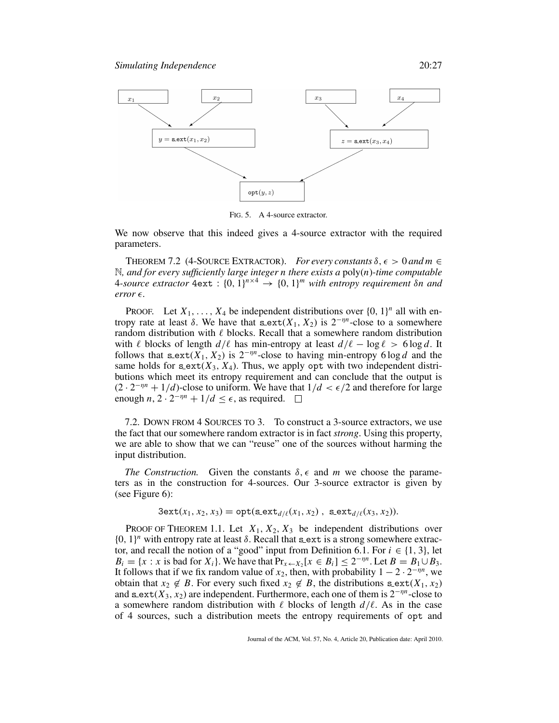

FIG. 5. A 4-source extractor.

We now observe that this indeed gives a 4-source extractor with the required parameters.

THEOREM 7.2 (4-SOURCE EXTRACTOR). *For every constants*  $\delta$ ,  $\epsilon > 0$  and  $m \in$ N*, and for every sufficiently large integer n there exists a* poly(*n*)*-time computable* 4*-source extractor*  $4ext : \{0, 1\}^{n \times 4} \rightarrow \{0, 1\}^{m}$  *with entropy requirement δn and*  $error \in$ .

PROOF. Let  $X_1, \ldots, X_4$  be independent distributions over  $\{0, 1\}^n$  all with entropy rate at least δ. We have that  $s$  ext( $X_1, X_2$ ) is  $2^{-\eta n}$ -close to a somewhere random distribution with  $\ell$  blocks. Recall that a somewhere random distribution with  $\ell$  blocks of length  $d/\ell$  has min-entropy at least  $d/\ell - \log \ell > 6 \log d$ . It follows that  $\texttt{sext}(X_1, X_2)$  is  $2^{-\eta n}$ -close to having min-entropy 6 log *d* and the same holds for  $s$  ext $(X_3, X_4)$ . Thus, we apply opt with two independent distributions which meet its entropy requirement and can conclude that the output is  $(2 \cdot 2^{-\eta n} + 1/d)$ -close to uniform. We have that  $1/d < \epsilon/2$  and therefore for large enough  $n, 2 \cdot 2^{-\eta n} + 1/d \leq \epsilon$ , as required.  $\square$ 

7.2. DOWN FROM 4 SOURCES TO 3. To construct a 3-source extractors, we use the fact that our somewhere random extractor is in fact *strong*. Using this property, we are able to show that we can "reuse" one of the sources without harming the input distribution.

*The Construction.* Given the constants  $\delta$ ,  $\epsilon$  and *m* we choose the parameters as in the construction for 4-sources. Our 3-source extractor is given by (see Figure 6):

$$
3ext(x_1, x_2, x_3) = opt(sext_{d/\ell}(x_1, x_2), sext_{d/\ell}(x_3, x_2)).
$$

PROOF OF THEOREM 1.1. Let  $X_1, X_2, X_3$  be independent distributions over  ${0, 1}<sup>n</sup>$  with entropy rate at least  $\delta$ . Recall that sext is a strong somewhere extractor, and recall the notion of a "good" input from Definition 6.1. For  $i \in \{1, 3\}$ , let  $B_i = \{x : x \text{ is bad for } X_i\}$ . We have that  $\Pr_{x \leftarrow X_2}[x \in B_i] \leq 2^{-\eta n}$ . Let  $B = B_1 \cup B_3$ . It follows that if we fix random value of  $x_2$ , then, with probability  $1 - 2 \cdot 2^{-\eta n}$ , we obtain that  $x_2 \notin B$ . For every such fixed  $x_2 \notin B$ , the distributions  $\texttt{sext}(X_1, x_2)$ and  $s$  ext( $X_3, x_2$ ) are independent. Furthermore, each one of them is  $2^{-\eta n}$ -close to a somewhere random distribution with  $\ell$  blocks of length  $d/\ell$ . As in the case of 4 sources, such a distribution meets the entropy requirements of opt and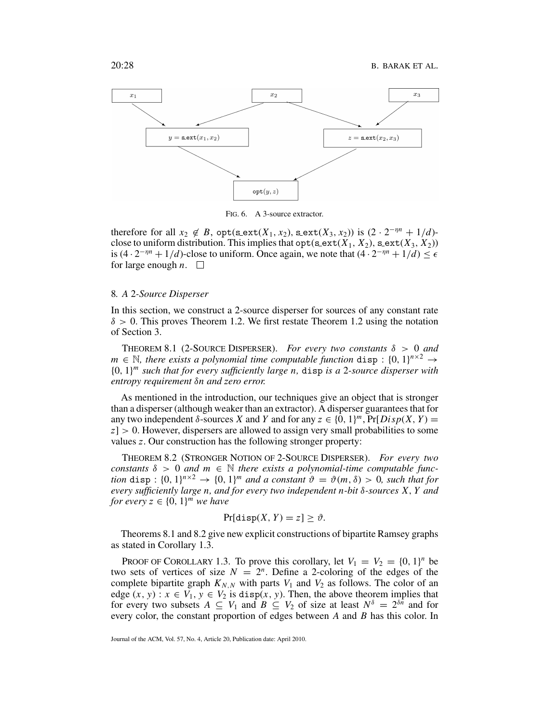

FIG. 6. A 3-source extractor.

therefore for all  $x_2 \notin B$ ,  $opt(\texttt{sext}(X_1, x_2), \texttt{sext}(X_3, x_2))$  is  $(2 \cdot 2^{-\eta n} + 1/d)$ close to uniform distribution. This implies that  $opt(s$ <sub>1</sub>,  $X_2)$ ,  $s$ <sub>e</sub>xt( $X_3$ ,  $X_2$ )) is  $(4 \cdot 2^{-\eta n} + 1/d)$ -close to uniform. Once again, we note that  $(4 \cdot 2^{-\eta n} + 1/d) \le \epsilon$ for large enough  $n.$ 

#### 8*. A* 2*-Source Disperser*

In this section, we construct a 2-source disperser for sources of any constant rate  $\delta > 0$ . This proves Theorem 1.2. We first restate Theorem 1.2 using the notation of Section 3.

THEOREM 8.1 (2-SOURCE DISPERSER). *For every two constants*  $\delta > 0$  *and*  $m \in \mathbb{N}$ , there exists a polynomial time computable function disp :  $\{0, 1\}^{n \times 2} \rightarrow$ {0, 1}*<sup>m</sup> such that for every sufficiently large n,* disp *is a* 2*-source disperser with entropy requirement* δ*n and zero error.*

As mentioned in the introduction, our techniques give an object that is stronger than a disperser (although weaker than an extractor). A disperser guarantees that for any two independent  $\delta$ -sources *X* and *Y* and for any  $z \in \{0, 1\}^m$ ,  $Pr[Disp(X, Y)]$ *z*] > 0. However, dispersers are allowed to assign very small probabilities to some values *z*. Our construction has the following stronger property:

THEOREM 8.2 (STRONGER NOTION OF 2-SOURCE DISPERSER). *For every two constants*  $\delta > 0$  *and*  $m \in \mathbb{N}$  *there exists a polynomial-time computable function* disp :  $\{0, 1\}^{n \times 2} \rightarrow \{0, 1\}^{m}$  *and a constant*  $\vartheta = \vartheta(m, \delta) > 0$ *, such that for every sufficiently large n, and for every two independent n-bit* δ*-sources X*, *Y and for every*  $z \in \{0, 1\}^m$  *we have* 

$$
Pr[disp(X, Y) = z] \ge \vartheta.
$$

Theorems 8.1 and 8.2 give new explicit constructions of bipartite Ramsey graphs as stated in Corollary 1.3.

PROOF OF COROLLARY 1.3. To prove this corollary, let  $V_1 = V_2 = \{0, 1\}^n$  be two sets of vertices of size  $N = 2^n$ . Define a 2-coloring of the edges of the complete bipartite graph  $K_{N,N}$  with parts  $V_1$  and  $V_2$  as follows. The color of an edge  $(x, y)$ :  $x \in V_1$ ,  $y \in V_2$  is disp( $x, y$ ). Then, the above theorem implies that for every two subsets  $A \subseteq V_1$  and  $B \subseteq V_2$  of size at least  $N^{\delta} = 2^{\delta n}$  and for every color, the constant proportion of edges between *A* and *B* has this color. In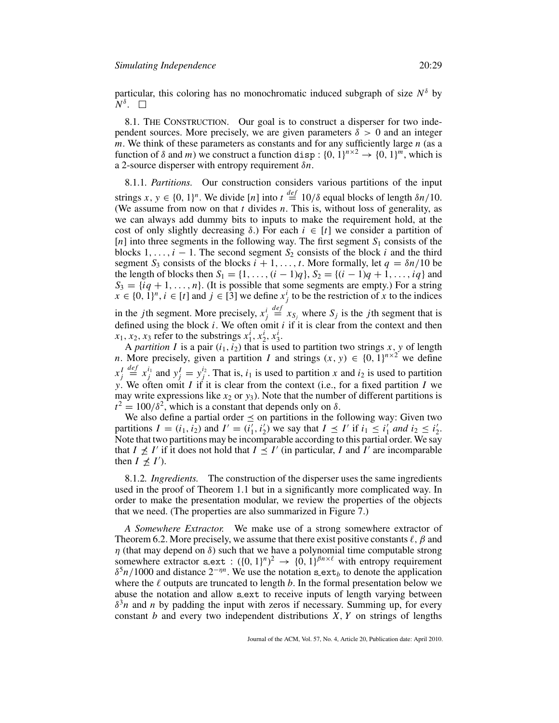particular, this coloring has no monochromatic induced subgraph of size  $N^{\delta}$  by  $N^{\delta}$ .  $\Box$ 

8.1. THE CONSTRUCTION. Our goal is to construct a disperser for two independent sources. More precisely, we are given parameters  $\delta > 0$  and an integer *m*. We think of these parameters as constants and for any sufficiently large *n* (as a function of  $\delta$  and *m*) we construct a function disp:  $\{0, 1\}^{n \times 2} \rightarrow \{0, 1\}^{m}$ , which is a 2-source disperser with entropy requirement δ*n*.

8.1.1*. Partitions.* Our construction considers various partitions of the input strings  $x, y \in \{0, 1\}^n$ . We divide [*n*] into  $t \stackrel{\text{def}}{=} 10/\delta$  equal blocks of length  $\delta n/10$ . (We assume from now on that *t* divides *n*. This is, without loss of generality, as we can always add dummy bits to inputs to make the requirement hold, at the cost of only slightly decreasing  $\delta$ .) For each  $i \in [t]$  we consider a partition of [*n*] into three segments in the following way. The first segment  $S_1$  consists of the blocks  $1, \ldots, i - 1$ . The second segment  $S_2$  consists of the block *i* and the third segment  $S_3$  consists of the blocks  $i + 1, \ldots, t$ . More formally, let  $q = \delta n/10$  be the length of blocks then  $S_1 = \{1, ..., (i-1)q\}$ ,  $S_2 = \{(i-1)q + 1, ..., iq\}$  and  $S_3 = \{iq + 1, \ldots, n\}$ . (It is possible that some segments are empty.) For a string  $x \in \{0, 1\}^n$ ,  $i \in [t]$  and  $j \in [3]$  we define  $x_j^i$  to be the restriction of *x* to the indices in the *j*th segment. More precisely,  $x_j^i$  $\stackrel{def}{=} x_{S_j}$  where  $S_j$  is the *j*th segment that is defined using the block *i*. We often omit *i* if it is clear from the context and then

 $x_1, x_2, x_3$  refer to the substrings  $x_1^i, x_2^i, x_3^i$ . A *partition I* is a pair  $(i_1, i_2)$  that is used to partition two strings *x*, *y* of length *n*. More precisely, given a partition *I* and strings  $(x, y) \in \{0, 1\}^{n \times 2}$  we define  $x_j^I$  $\stackrel{def}{=} x_j^{i_1}$  and  $y_j^I = y_j^{i_2}$ . That is, *i*<sub>1</sub> is used to partition *x* and *i*<sub>2</sub> is used to partition *y*. We often omit *I* if it is clear from the context (i.e., for a fixed partition *I* we

may write expressions like  $x_2$  or  $y_3$ ). Note that the number of different partitions is  $t^2 = 100/\delta^2$ , which is a constant that depends only on  $\delta$ .

We also define a partial order  $\leq$  on partitions in the following way: Given two partitions  $I = (i_1, i_2)$  and  $I' = (i'_1, i'_2)$  we say that  $I \preceq I'$  if  $i_1 \leq i'_1$  and  $i_2 \leq i'_2$ . Note that two partitions may be incomparable according to this partial order. We say that  $I \npreceq I'$  if it does not hold that  $I \leq I'$  (in particular, *I* and *I'* are incomparable then  $I \not\leq I'$ ).

8.1.2*. Ingredients.* The construction of the disperser uses the same ingredients used in the proof of Theorem 1.1 but in a significantly more complicated way. In order to make the presentation modular, we review the properties of the objects that we need. (The properties are also summarized in Figure 7.)

*A Somewhere Extractor.* We make use of a strong somewhere extractor of Theorem 6.2. More precisely, we assume that there exist positive constants  $\ell$ ,  $\beta$  and  $\eta$  (that may depend on  $\delta$ ) such that we have a polynomial time computable strong somewhere extractor s ext :  $({0, 1})^n$ <sup>2</sup>  $\rightarrow$   $({0, 1})^{\beta n \times \ell}$  with entropy requirement  $\delta^5 n/1000$  and distance  $2^{-\eta n}$ . We use the notation s\_ext<sub>*b*</sub> to denote the application where the  $\ell$  outputs are truncated to length  $b$ . In the formal presentation below we abuse the notation and allow s ext to receive inputs of length varying between  $\delta^3 n$  and *n* by padding the input with zeros if necessary. Summing up, for every constant *b* and every two independent distributions *X*, *Y* on strings of lengths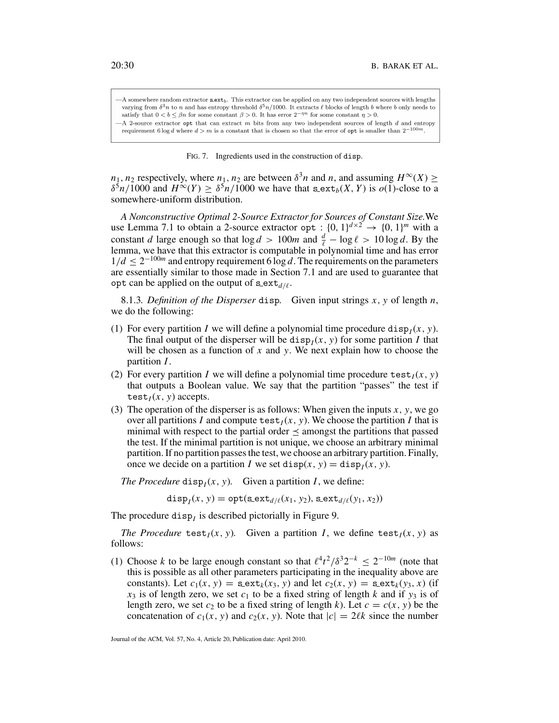-A somewhere random extractor  $\texttt{scxt}_b$ . This extractor can be applied on any two independent sources with lengths varying from  $\delta^3 n$  to n and has entropy threshold  $\delta^5 n/1000$ . It extracts  $\ell$  blocks of length b where b only needs to satisfy that  $0 < b \le \beta n$  for some constant  $\beta > 0$ . It has error  $2^{-\eta n}$  for some constant  $\eta > 0$ . -A 2-source extractor opt that can extract  $m$  bits from any two independent sources of length  $d$  and entropy

requirement 6 log d where  $d > m$  is a constant that is chosen so that the error of opt is smaller than  $2^{-100m}$ 

#### FIG. 7. Ingredients used in the construction of disp.

 $n_1$ ,  $n_2$  respectively, where  $n_1$ ,  $n_2$  are between  $\delta^3 n$  and  $n$ , and assuming  $H^\infty(X)$  >  $\delta^5 n/1000$  and  $H^\infty(Y) > \delta^5 n/1000$  we have that  $\mathfrak{s} = \mathfrak{ext}_b(X, Y)$  is  $o(1)$ -close to a somewhere-uniform distribution.

*A Nonconstructive Optimal 2-Source Extractor for Sources of Constant Size.*We use Lemma 7.1 to obtain a 2-source extractor opt :  $\{0, 1\}^{d \times 2} \rightarrow \{0, 1\}^m$  with a constant *d* large enough so that  $\log d > 100m$  and  $\frac{d}{\ell} - \log \ell > 10 \log d$ . By the lemma, we have that this extractor is computable in polynomial time and has error  $1/d \leq 2^{-100m}$  and entropy requirement 6 log *d*. The requirements on the parameters are essentially similar to those made in Section 7.1 and are used to guarantee that opt can be applied on the output of  $\texttt{s}$  ext<sub>*d*/</sub>.

8.1.3*. Definition of the Disperser* disp*.* Given input strings *x*, *y* of length *n*, we do the following:

- (1) For every partition *I* we will define a polynomial time procedure disp<sub>*I*</sub>( $x$ ,  $y$ ). The final output of the disperser will be  $\text{disp}_I(x, y)$  for some partition *I* that will be chosen as a function of *x* and *y*. We next explain how to choose the partition *I*.
- (2) For every partition *I* we will define a polynomial time procedure test $I(x, y)$ that outputs a Boolean value. We say that the partition "passes" the test if test $I(x, y)$  accepts.
- (3) The operation of the disperser is as follows: When given the inputs  $x$ ,  $y$ , we go over all partitions *I* and compute  $\text{test}_I(x, y)$ . We choose the partition *I* that is minimal with respect to the partial order  $\leq$  amongst the partitions that passed the test. If the minimal partition is not unique, we choose an arbitrary minimal partition. If no partition passes the test, we choose an arbitrary partition. Finally, once we decide on a partition *I* we set disp(*x*, *y*) = disp<sub>*I*</sub>(*x*, *y*).

*The Procedure* disp<sub>*I*</sub>(*x*, *y*). Given a partition *I*, we define:

disp<sub>*I*</sub>(*x*, *y*) = opt(s\_ext<sub>*d*/{</sub>(*x*<sub>1</sub>, *y*<sub>2</sub>), s\_ext<sub>*d*/{</sub>(*y*<sub>1</sub>, *x*<sub>2</sub>))

The procedure disp<sub>I</sub> is described pictorially in Figure 9.

*The Procedure* test<sub>*I*</sub>(*x*, *y*)*.* Given a partition *I*, we define test<sub>*I*</sub>(*x*, *y*) as follows:

(1) Choose *k* to be large enough constant so that  $\ell^4t^2/\delta^32^{-k} \leq 2^{-10m}$  (note that this is possible as all other parameters participating in the inequality above are constants). Let  $c_1(x, y) = \texttt{sext}_k(x_3, y)$  and let  $c_2(x, y) = \texttt{sext}_k(y_3, x)$  (if  $x_3$  is of length zero, we set  $c_1$  to be a fixed string of length *k* and if  $y_3$  is of length zero, we set  $c_2$  to be a fixed string of length k). Let  $c = c(x, y)$  be the concatenation of  $c_1(x, y)$  and  $c_2(x, y)$ . Note that  $|c| = 2\ell k$  since the number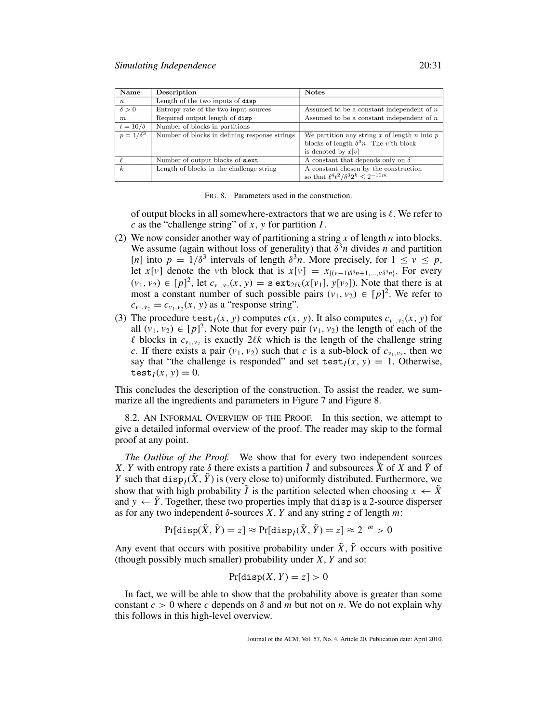| Name             | Description                                   | <b>Notes</b>                                   |
|------------------|-----------------------------------------------|------------------------------------------------|
| $\boldsymbol{n}$ | Length of the two inputs of disp              |                                                |
| $\delta > 0$     | Entropy rate of the two input sources         | Assumed to be a constant independent of $n$    |
| $m_{\cdot}$      | Required output length of disp                | Assumed to be a constant independent of $n$    |
| $t=10/\delta$    | Number of blocks in partitions                |                                                |
| $p=1/\delta^3$   | Number of blocks in defining response strings | We partition any string x of length n into $p$ |
|                  |                                               | blocks of length $\delta^3 n$ . The v'th block |
|                  |                                               | is denoted by $x[v]$                           |
|                  | Number of output blocks of sext               | A constant that depends only on $\delta$       |
| k                | Length of blocks in the challenge string      | A constant chosen by the construction          |
|                  |                                               | so that $\ell^4t^2/\delta^32^k < 2^{-10m}$     |

FIG. 8. Parameters used in the construction.

of output blocks in all somewhere-extractors that we are using is  $\ell$ . We refer to *c* as the "challenge string" of *x*, *y* for partition *I*.

- (2) We now consider another way of partitioning a string *x* of length *n* into blocks. We assume (again without loss of generality) that  $\delta^3 n$  divides *n* and partition [*n*] into  $p = 1/\delta^3$  intervals of length  $\delta^3 n$ . More precisely, for  $1 \le v \le p$ , let *x*[*v*] denote the *v*th block that is  $x[v] = x_{\{(v-1)\delta^3 n+1,\dots,v\delta^3 n\}}$ . For every  $(v_1, v_2) \in [p]^2$ , let  $c_{v_1, v_2}(x, y) = \texttt{s}.\texttt{ext}_{2\ell k}(x[v_1], y[v_2])$ . Note that there is at most a constant number of such possible pairs  $(v_1, v_2) \in [p]^2$ . We refer to  $c_{v_1, v_2} = c_{v_1, v_2}(x, y)$  as a "response string".
- (3) The procedure test<sub>*I*</sub>(*x*, *y*) computes *c*(*x*, *y*). It also computes  $c_{v_1, v_2}(x, y)$  for all  $(v_1, v_2) \in [p]^2$ . Note that for every pair  $(v_1, v_2)$  the length of each of the  $\ell$  blocks in  $c_{v_1,v_2}$  is exactly  $2\ell k$  which is the length of the challenge string *c*. If there exists a pair  $(v_1, v_2)$  such that *c* is a sub-block of  $c_{v_1, v_2}$ , then we say that "the challenge is responded" and set test $I(x, y) = 1$ . Otherwise, test<sub>*I*</sub> $(x, y) = 0$ .

This concludes the description of the construction. To assist the reader, we summarize all the ingredients and parameters in Figure 7 and Figure 8.

8.2. AN INFORMAL OVERVIEW OF THE PROOF. In this section, we attempt to give a detailed informal overview of the proof. The reader may skip to the formal proof at any point.

*The Outline of the Proof.* We show that for every two independent sources *X*, *Y* with entropy rate  $\delta$  there exists a partition  $\tilde{I}$  and subsources  $\tilde{X}$  of *X* and  $\tilde{Y}$  of *Y* such that disp $\tilde{\gamma}(\tilde{X}, \tilde{Y})$  is (very close to) uniformly distributed. Furthermore, we show that with high probability  $\tilde{I}$  is the partition selected when choosing  $x \leftarrow \tilde{X}$ and  $y \leftarrow \tilde{Y}$ . Together, these two properties imply that disp is a 2-source disperser as for any two independent  $\delta$ -sources *X*, *Y* and any string *z* of length *m*:

$$
Pr[disp(\tilde{X}, \tilde{Y}) = z] \approx Pr[disp_{\tilde{I}}(\tilde{X}, \tilde{Y}) = z] \approx 2^{-m} > 0
$$

Any event that occurs with positive probability under  $\tilde{X}$ ,  $\tilde{Y}$  occurs with positive (though possibly much smaller) probability under *X*, *Y* and so:

$$
\Pr[\text{disp}(X, Y) = z] > 0
$$

In fact, we will be able to show that the probability above is greater than some constant  $c > 0$  where *c* depends on  $\delta$  and *m* but not on *n*. We do not explain why this follows in this high-level overview.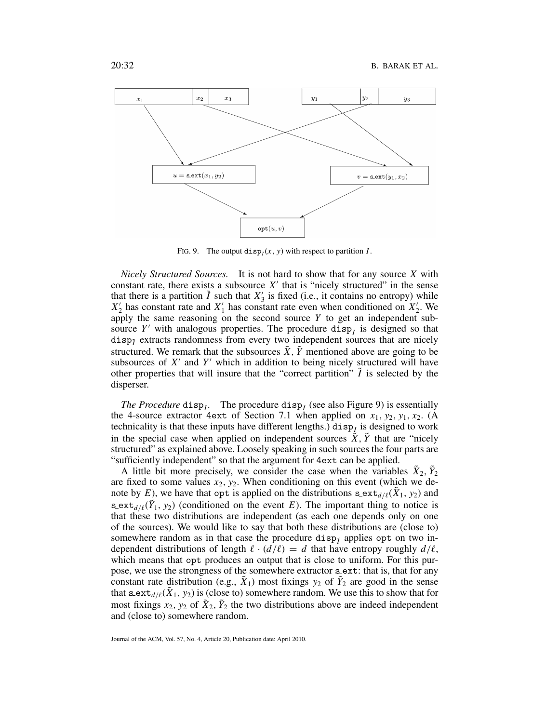

FIG. 9. The output disp<sub>I</sub> $(x, y)$  with respect to partition *I*.

*Nicely Structured Sources.* It is not hard to show that for any source *X* with constant rate, there exists a subsource  $X'$  that is "nicely structured" in the sense that there is a partition  $\tilde{I}$  such that  $X'_{3}$  is fixed (i.e., it contains no entropy) while  $X_2'$  has constant rate and  $X_1'$  has constant rate even when conditioned on  $X_2'$ . We apply the same reasoning on the second source *Y* to get an independent subsource  $Y'$  with analogous properties. The procedure disp<sub>I</sub> is designed so that disp $\tilde{p}$  extracts randomness from every two independent sources that are nicely structured. We remark that the subsources  $\tilde{X}$ ,  $\tilde{Y}$  mentioned above are going to be subsources of  $X'$  and  $Y'$  which in addition to being nicely structured will have other properties that will insure that the "correct partition"  $\hat{I}$  is selected by the disperser.

*The Procedure* disp<sub>*I*</sub>. The procedure disp<sub>*I*</sub> (see also Figure 9) is essentially the 4-source extractor 4ext of Section 7.1 when applied on  $x_1, y_2, y_1, x_2$ . (A technicality is that these inputs have different lengths.) disp<sub>I</sub> is designed to work in the special case when applied on independent sources  $\tilde{X}$ ,  $\tilde{Y}$  that are "nicely structured" as explained above. Loosely speaking in such sources the four parts are "sufficiently independent" so that the argument for 4ext can be applied.

A little bit more precisely, we consider the case when the variables  $\tilde{X}_2, \tilde{Y}_2$ are fixed to some values  $x_2$ ,  $y_2$ . When conditioning on this event (which we denote by *E*), we have that opt is applied on the distributions  $\texttt{s}$  ext<sub> $d/\ell$ </sub>( $\tilde{X}_1$ ,  $y_2$ ) and s ext<sub>d</sub>/ $\ell(\tilde{Y}_1, y_2)$  (conditioned on the event *E*). The important thing to notice is that these two distributions are independent (as each one depends only on one of the sources). We would like to say that both these distributions are (close to) somewhere random as in that case the procedure disp<sub>7</sub> applies opt on two independent distributions of length  $\ell \cdot (d/\ell) = d$  that have entropy roughly  $d/\ell$ , which means that opt produces an output that is close to uniform. For this purpose, we use the strongness of the somewhere extractor s ext: that is, that for any constant rate distribution (e.g.,  $\tilde{X}_1$ ) most fixings  $y_2$  of  $\tilde{Y}_2$  are good in the sense that  $\texttt{s}$  ext<sub>d/(</sub>( $\tilde{X}_1$ ,  $y_2$ ) is (close to) somewhere random. We use this to show that for most fixings  $x_2, y_2$  of  $\tilde{X}_2, \tilde{Y}_2$  the two distributions above are indeed independent and (close to) somewhere random.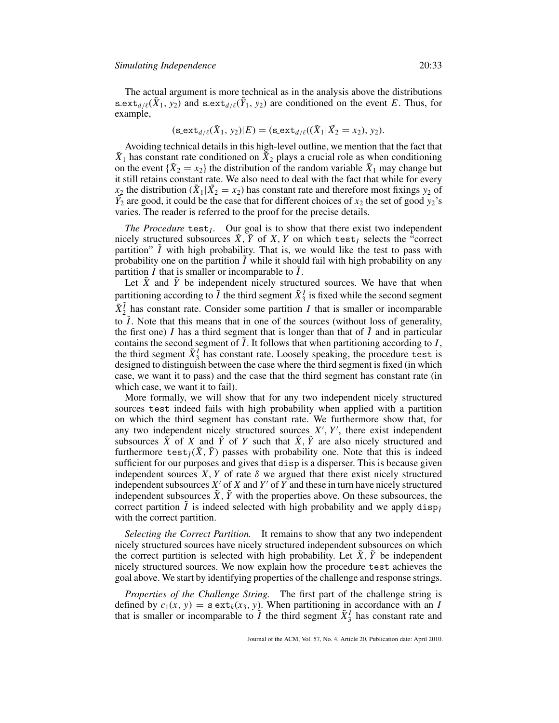The actual argument is more technical as in the analysis above the distributions s ext<sub>d/ $\ell(\tilde{X}_1, y_2)$  and s ext<sub>d/ $\ell(\tilde{Y}_1, y_2)$  are conditioned on the event *E*. Thus, for</sub></sub> example,

$$
(\texttt{sext}_{d/\ell}(\tilde{X}_1, y_2)|E) = (\texttt{sext}_{d/\ell}((\tilde{X}_1|\tilde{X}_2 = x_2), y_2).
$$

Avoiding technical details in this high-level outline, we mention that the fact that  $\tilde{X}_1$  has constant rate conditioned on  $\tilde{X}_2$  plays a crucial role as when conditioning on the event  ${\tilde{X}}_2 = x_2$  the distribution of the random variable  $\tilde{X}_1$  may change but it still retains constant rate. We also need to deal with the fact that while for every  $x_2$  the distribution ( $\tilde{X}_1|\tilde{X}_2=x_2$ ) has constant rate and therefore most fixings  $y_2$  of  $\tilde{Y_2}$  are good, it could be the case that for different choices of  $x_2$  the set of good  $\tilde{y_2}$ 's varies. The reader is referred to the proof for the precise details.

*The Procedure* test<sub>*I*</sub>. Our goal is to show that there exist two independent nicely structured subsources  $X, Y$  of  $X, Y$  on which test<sub>I</sub> selects the "correct partition"  $\tilde{I}$  with high probability. That is, we would like the test to pass with probability one on the partition  $\tilde{I}$  while it should fail with high probability on any partition *I* that is smaller or incomparable to *I*.

Let  $\tilde{X}$  and  $\tilde{Y}$  be independent nicely structured sources. We have that when partitioning according to  $\tilde{I}$  the third segment  $\tilde{X}_3^{\tilde{I}}$  is fixed while the second segment  $\tilde{X}_2^{\tilde{I}}$  has constant rate. Consider some partition *I* that is smaller or incomparable to  $\tilde{I}$ . Note that this means that in one of the sources (without loss of generality, the first one) *I* has a third segment that is longer than that of  $\tilde{I}$  and in particular contains the second segment of  $\tilde{I}$ . It follows that when partitioning according to  $I$ , the third segment  $\tilde{X}_3^I$  has constant rate. Loosely speaking, the procedure test is designed to distinguish between the case where the third segment is fixed (in which case, we want it to pass) and the case that the third segment has constant rate (in which case, we want it to fail).

More formally, we will show that for any two independent nicely structured sources test indeed fails with high probability when applied with a partition on which the third segment has constant rate. We furthermore show that, for any two independent nicely structured sources  $X'$ ,  $Y'$ , there exist independent subsources  $\tilde{X}$  of *X* and  $\tilde{Y}$  of *Y* such that  $\tilde{X}$ ,  $\tilde{Y}$  are also nicely structured and furthermore test<sub> $\tilde{I}(\tilde{X}, \tilde{Y})$  passes with probability one. Note that this is indeed</sub> sufficient for our purposes and gives that disp is a disperser. This is because given independent sources  $X, Y$  of rate  $\delta$  we argued that there exist nicely structured independent subsources  $X'$  of  $X$  and  $Y'$  of  $Y$  and these in turn have nicely structured independent subsources  $\tilde{X}$ ,  $\tilde{Y}$  with the properties above. On these subsources, the correct partition  $\tilde{I}$  is indeed selected with high probability and we apply disp $\tilde{I}$ with the correct partition.

*Selecting the Correct Partition.* It remains to show that any two independent nicely structured sources have nicely structured independent subsources on which the correct partition is selected with high probability. Let  $\bar{X}$ ,  $\bar{Y}$  be independent nicely structured sources. We now explain how the procedure test achieves the goal above. We start by identifying properties of the challenge and response strings.

*Properties of the Challenge String.* The first part of the challenge string is defined by  $c_1(x, y) = \textbf{s}\text{-} \textbf{ext}_k(x_3, y)$ . When partitioning in accordance with an *I* that is smaller or incomparable to  $\tilde{I}$  the third segment  $\tilde{X}^I_3$  has constant rate and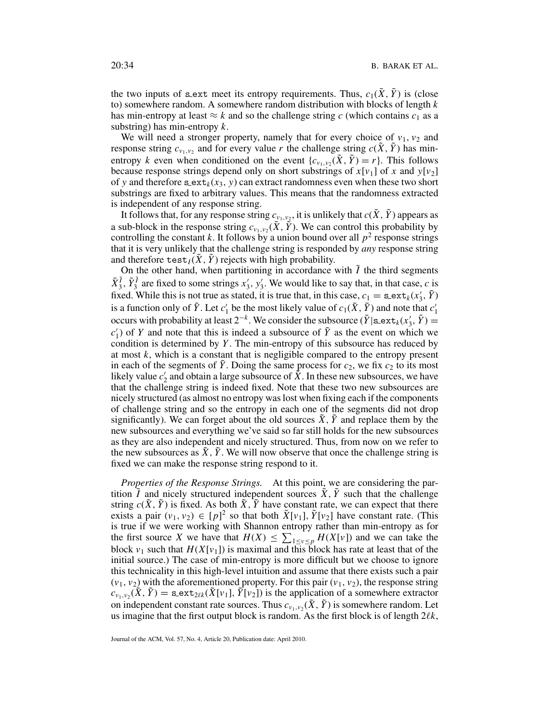the two inputs of sext meet its entropy requirements. Thus,  $c_1(\tilde{X}, \tilde{Y})$  is (close to) somewhere random. A somewhere random distribution with blocks of length *k* has min-entropy at least  $\approx k$  and so the challenge string *c* (which contains  $c_1$  as a substring) has min-entropy *k*.

We will need a stronger property, namely that for every choice of  $v_1$ ,  $v_2$  and response string  $c_{v_1,v_2}$  and for every value *r* the challenge string  $c(\tilde{X}, \tilde{Y})$  has minentropy *k* even when conditioned on the event  $\{c_{\nu_1,\nu_2}(\tilde{X}, \tilde{Y}) = r\}$ . This follows because response strings depend only on short substrings of  $x[v_1]$  of x and  $y[v_2]$ of y and therefore  $\text{sext}_k(x_3, y)$  can extract randomness even when these two short substrings are fixed to arbitrary values. This means that the randomness extracted is independent of any response string.

It follows that, for any response string  $c_{v_1,v_2}$ , it is unlikely that  $c(\tilde{X}, \tilde{Y})$  appears as a sub-block in the response string  $c_{v_1,v_2}(\tilde{X}, \tilde{Y})$ . We can control this probability by controlling the constant *k*. It follows by a union bound over all  $p^2$  response strings that it is very unlikely that the challenge string is responded by *any* response string and therefore  $\text{test}_I(X, Y)$  rejects with high probability.

On the other hand, when partitioning in accordance with  $\tilde{I}$  the third segments  $\tilde{X}_3^{\tilde{I}}$ ,  $\tilde{Y}_3^{\tilde{I}}$  are fixed to some strings  $x'_3$ ,  $y'_3$ . We would like to say that, in that case, *c* is fixed. While this is not true as stated, it is true that, in this case,  $c_1 = \texttt{s}.\texttt{ext}_k(x'_3, \tilde{Y})$ is a function only of  $\tilde{Y}$ . Let  $c'_1$  be the most likely value of  $c_1(\tilde{X}, \tilde{Y})$  and note that  $c'_1$ occurs with probability at least  $2^{-k}$ . We consider the subsource ( $\tilde{Y}$ |s\_ext<sub>*k*</sub>( $x'_3$ ,  $\tilde{Y}$ ) =  $c'_1$ ) of *Y* and note that this is indeed a subsource of  $\tilde{Y}$  as the event on which we condition is determined by *Y* . The min-entropy of this subsource has reduced by at most *k*, which is a constant that is negligible compared to the entropy present in each of the segments of  $\tilde{Y}$ . Doing the same process for  $c_2$ , we fix  $c_2$  to its most likely value  $c'_2$  and obtain a large subsource of  $\tilde{X}$ . In these new subsources, we have that the challenge string is indeed fixed. Note that these two new subsources are nicely structured (as almost no entropy was lost when fixing each if the components of challenge string and so the entropy in each one of the segments did not drop significantly). We can forget about the old sources  $\ddot{X}$ ,  $\ddot{Y}$  and replace them by the new subsources and everything we've said so far still holds for the new subsources as they are also independent and nicely structured. Thus, from now on we refer to the new subsources as  $\ddot{X}$ ,  $\ddot{Y}$ . We will now observe that once the challenge string is fixed we can make the response string respond to it.

*Properties of the Response Strings.* At this point, we are considering the partition  $I$  and nicely structured independent sources  $X, Y$  such that the challenge string  $c(\tilde{X}, \tilde{Y})$  is fixed. As both  $\tilde{X}, \tilde{Y}$  have constant rate, we can expect that there exists a pair  $(v_1, v_2) \in [p]^2$  so that both  $\tilde{X}[v_1], \tilde{Y}[v_2]$  have constant rate. (This is true if we were working with Shannon entropy rather than min-entropy as for the first source *X* we have that  $H(X) \leq \sum_{1 \leq v \leq p} H(X[v])$  and we can take the block  $v_1$  such that  $H(X[v_1])$  is maximal and this block has rate at least that of the initial source.) The case of min-entropy is more difficult but we choose to ignore this technicality in this high-level intuition and assume that there exists such a pair  $(v_1, v_2)$  with the aforementioned property. For this pair  $(v_1, v_2)$ , the response string  $c_{v_1,v_2}(\tilde{X}, \tilde{Y}) =$  s. ext<sub>2 $\ell k(\tilde{X}[v_1], \tilde{Y}[v_2])$  is the application of a somewhere extractor</sub> on independent constant rate sources. Thus  $c_{v_1,v_2}(\tilde{X}, \tilde{Y})$  is somewhere random. Let us imagine that the first output block is random. As the first block is of length 2*k*,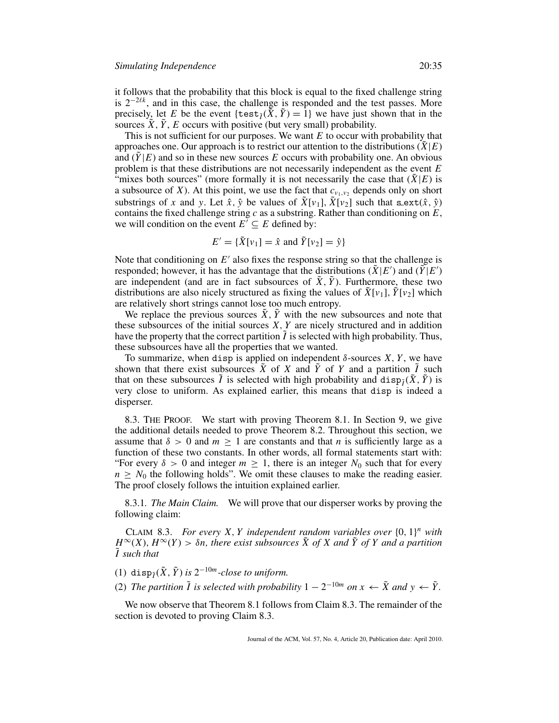it follows that the probability that this block is equal to the fixed challenge string is 2<sup>−</sup>2*<sup>k</sup>* , and in this case, the challenge is responded and the test passes. More precisely, let *E* be the event { $\text{test}_{\tilde{I}}(\tilde{X}, \tilde{Y}) = 1$ } we have just shown that in the sources  $\tilde{X}$ ,  $\tilde{Y}$ ,  $E$  occurs with positive (but very small) probability.

This is not sufficient for our purposes. We want *E* to occur with probability that approaches one. Our approach is to restrict our attention to the distributions  $(X|E)$ and  $(Y|E)$  and so in these new sources E occurs with probability one. An obvious problem is that these distributions are not necessarily independent as the event *E* "mixes both sources" (more formally it is not necessarily the case that  $(X|E)$  is a subsource of *X*). At this point, we use the fact that  $c_{v_1, v_2}$  depends only on short substrings of *x* and *y*. Let  $\hat{x}$ ,  $\hat{y}$  be values of  $\tilde{X}[v_1], \tilde{X}[v_2]$  such that sext $(\hat{x}, \hat{y})$ contains the fixed challenge string *c* as a substring. Rather than conditioning on *E*, we will condition on the event  $E' \subseteq E$  defined by:

$$
E' = \{ \tilde{X}[v_1] = \hat{x} \text{ and } \tilde{Y}[v_2] = \hat{y} \}
$$

Note that conditioning on  $E'$  also fixes the response string so that the challenge is responded; however, it has the advantage that the distributions ( $\tilde{X}$ |*E*') and ( $\tilde{Y}$ |*E'*) are independent (and are in fact subsources of  $\overline{X}$ ,  $\overline{Y}$ ). Furthermore, these two distributions are also nicely structured as fixing the values of  $\tilde{X}[v_1], \tilde{Y}[v_2]$  which are relatively short strings cannot lose too much entropy.

We replace the previous sources  $\tilde{X}$ ,  $\tilde{Y}$  with the new subsources and note that these subsources of the initial sources *X*, *Y* are nicely structured and in addition have the property that the correct partition  $\tilde{I}$  is selected with high probability. Thus, these subsources have all the properties that we wanted.

To summarize, when disp is applied on independent  $\delta$ -sources *X*, *Y*, we have shown that there exist subsources  $\tilde{X}$  of  $X$  and  $\tilde{Y}$  of  $Y$  and a partition  $\tilde{I}$  such that on these subsources  $\tilde{I}$  is selected with high probability and disp $\tilde{I}(\tilde{X}, \tilde{Y})$  is very close to uniform. As explained earlier, this means that disp is indeed a disperser.

8.3. THE PROOF. We start with proving Theorem 8.1. In Section 9, we give the additional details needed to prove Theorem 8.2. Throughout this section, we assume that  $\delta > 0$  and  $m \ge 1$  are constants and that *n* is sufficiently large as a function of these two constants. In other words, all formal statements start with: "For every  $\delta > 0$  and integer  $m \geq 1$ , there is an integer  $N_0$  such that for every  $n \geq N_0$  the following holds". We omit these clauses to make the reading easier. The proof closely follows the intuition explained earlier.

8.3.1*. The Main Claim.* We will prove that our disperser works by proving the following claim:

CLAIM 8.3. *For every X, Y independent random variables over*  $\{0, 1\}^n$  *with*  $H^{\infty}(X)$ ,  $H^{\infty}(Y) > \delta n$ , there exist subsources  $\tilde{X}$  of X and  $\tilde{Y}$  of Y and a partition ˜*I such that*

(1) disp $\tilde{\gamma}(\tilde{X}, \tilde{Y})$  *is*  $2^{-10m}$ -close to uniform.

(2) *The partition*  $\tilde{I}$  *is selected with probability*  $1 - 2^{-10m}$  *on*  $x \leftarrow \tilde{X}$  *and*  $y \leftarrow \tilde{Y}$ *.* 

We now observe that Theorem 8.1 follows from Claim 8.3. The remainder of the section is devoted to proving Claim 8.3.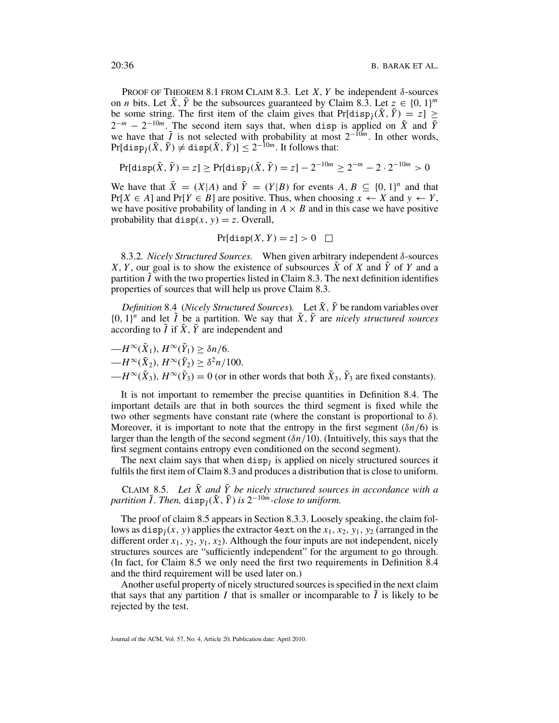PROOF OF THEOREM 8.1 FROM CLAIM 8.3. Let *X*, *Y* be independent  $\delta$ -sources on *n* bits. Let  $\tilde{X}$ ,  $\tilde{Y}$  be the subsources guaranteed by Claim 8.3. Let  $z \in \{0, 1\}^m$ be some string. The first item of the claim gives that  $Pr[\text{disp}_{\tilde{I}}(\tilde{X}, \tilde{Y}) = z] \ge$  $2^{-m} - 2^{-10m}$ . The second item says that, when disp is applied on  $\tilde{X}$  and  $\tilde{Y}$ we have that  $\tilde{I}$  is not selected with probability at most  $2^{-10m}$ . In other words,  $Pr[\text{disp}_{\tilde{I}}(\tilde{X}, \tilde{Y}) \neq \text{disp}(\tilde{X}, \tilde{Y})] \leq 2^{-10m}$ . It follows that:

$$
\Pr[\text{disp}(\tilde{X}, \tilde{Y}) = z] \ge \Pr[\text{disp}_{\tilde{I}}(\tilde{X}, \tilde{Y}) = z] - 2^{-10m} \ge 2^{-m} - 2 \cdot 2^{-10m} > 0
$$

We have that  $\tilde{X} = (X|A)$  and  $\tilde{Y} = (Y|B)$  for events  $A, B \subseteq \{0, 1\}^n$  and that  $Pr[X \in A]$  and  $Pr[Y \in B]$  are positive. Thus, when choosing  $x \leftarrow X$  and  $y \leftarrow Y$ , we have positive probability of landing in  $A \times B$  and in this case we have positive probability that  $\text{disp}(x, y) = z$ . Overall,

$$
Pr[disp(X, Y) = z] > 0 \quad \Box
$$

8.3.2*. Nicely Structured Sources.* When given arbitrary independent δ-sources *X*, *Y*, our goal is to show the existence of subsources  $\tilde{X}$  of *X* and  $\tilde{Y}$  of *Y* and a partition  $\tilde{I}$  with the two properties listed in Claim 8.3. The next definition identifies properties of sources that will help us prove Claim 8.3.

*Definition* 8.4 (*Nicely Structured Sources*). Let  $\tilde{X}$ ,  $\tilde{Y}$  be random variables over  ${0, 1}$ <sup>*n*</sup> and let  $\tilde{I}$  be a partition. We say that  $\tilde{X}$ ,  $\tilde{Y}$  are *nicely structured sources* according to  $\tilde{I}$  if  $\tilde{X}$ ,  $\tilde{Y}$  are independent and

 $-H^{\infty}(\tilde{X}_1), H^{\infty}(\tilde{Y}_1) > \delta n/6.$  $-H^{\infty}(\tilde{X}_2), H^{\infty}(\tilde{Y}_2) > \delta^2 n/100.$  $-H^{\infty}(\tilde{X}_3), H^{\infty}(\tilde{Y}_3) = 0$  (or in other words that both  $\tilde{X}_3$ ,  $\tilde{Y}_3$  are fixed constants).

It is not important to remember the precise quantities in Definition 8.4. The important details are that in both sources the third segment is fixed while the two other segments have constant rate (where the constant is proportional to  $\delta$ ). Moreover, it is important to note that the entropy in the first segment  $(\delta n/6)$  is larger than the length of the second segment (δ*n*/10). (Intuitively, this says that the first segment contains entropy even conditioned on the second segment).

The next claim says that when  $\text{disp}_i$  is applied on nicely structured sources it fulfils the first item of Claim 8.3 and produces a distribution that is close to uniform.

CLAIM 8.5. Let  $\tilde{X}$  and  $\tilde{Y}$  be nicely structured sources in accordance with a  $p$ artition  $\tilde{I}$ *. Then,* dis $p_{\tilde{I}}(\tilde{X}, \tilde{Y})$  is  $2^{-10m}$ -close to uniform.

The proof of claim 8.5 appears in Section 8.3.3. Loosely speaking, the claim follows as  $disp_1(x, y)$  applies the extractor 4ext on the  $x_1, x_2, y_1, y_2$  (arranged in the different order  $x_1, y_2, y_1, x_2$ ). Although the four inputs are not independent, nicely structures sources are "sufficiently independent" for the argument to go through. (In fact, for Claim 8.5 we only need the first two requirements in Definition 8.4 and the third requirement will be used later on.)

Another useful property of nicely structured sources is specified in the next claim that says that any partition *I* that is smaller or incomparable to  $\hat{I}$  is likely to be rejected by the test.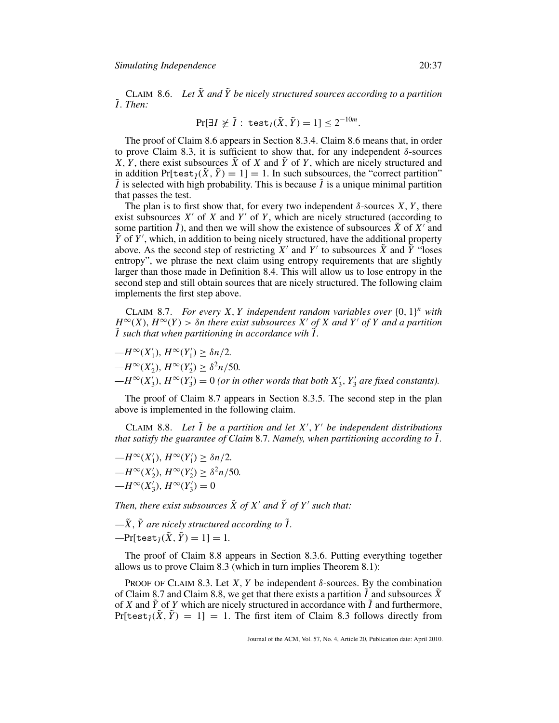CLAIM 8.6. Let  $\tilde{X}$  and  $\tilde{Y}$  be nicely structured sources according to a partition ˜*I . Then:*

$$
\Pr[\exists I \not\geq \tilde{I} : \text{test}_I(\tilde{X}, \tilde{Y}) = 1] \leq 2^{-10m}.
$$

The proof of Claim 8.6 appears in Section 8.3.4. Claim 8.6 means that, in order to prove Claim 8.3, it is sufficient to show that, for any independent  $\delta$ -sources *X*, *Y*, there exist subsources  $\tilde{X}$  of *X* and  $\tilde{Y}$  of *Y*, which are nicely structured and in addition Pr[test $\tilde{\jmath}(\tilde{X}, \tilde{Y}) = 1$ ] = 1. In such subsources, the "correct partition"  $\tilde{I}$  is selected with high probability. This is because  $\tilde{I}$  is a unique minimal partition that passes the test.

The plan is to first show that, for every two independent  $\delta$ -sources *X*, *Y*, there exist subsources  $X'$  of  $X$  and  $Y'$  of  $Y$ , which are nicely structured (according to some partition  $\tilde{I}$ ), and then we will show the existence of subsources  $\tilde{X}$  of  $X'$  and  $\tilde{Y}$  of  $\tilde{Y}'$ , which, in addition to being nicely structured, have the additional property above. As the second step of restricting  $X'$  and  $Y'$  to subsources  $\tilde{X}$  and  $\tilde{Y}$  "loses entropy", we phrase the next claim using entropy requirements that are slightly larger than those made in Definition 8.4. This will allow us to lose entropy in the second step and still obtain sources that are nicely structured. The following claim implements the first step above.

CLAIM 8.7. *For every X, Y independent random variables over*  $\{0, 1\}^n$  *with*  $H^{\infty}(X)$ ,  $H^{\infty}(Y) > \delta n$  there exist subsources X' of X and Y' of Y and a partition  $\tilde{I}$  such that when partitioning in accordance wih  $\tilde{I}$ .

$$
-H^{\infty}(X'_1), H^{\infty}(Y'_1) \ge \delta n/2.
$$
  
\n
$$
-H^{\infty}(X'_2), H^{\infty}(Y'_2) \ge \delta^2 n/50.
$$
  
\n
$$
-H^{\infty}(X'_3), H^{\infty}(Y'_3) = 0 \text{ (or in other words that both } X'_3, Y'_3 \text{ are fixed constants)}.
$$

The proof of Claim 8.7 appears in Section 8.3.5. The second step in the plan above is implemented in the following claim.

CLAIM 8.8. *Let* ˜*I be a partition and let X* , *Y be independent distributions that satisfy the guarantee of Claim* 8.7*. Namely, when partitioning according to* ˜*I .*

$$
-H^{\infty}(X'_1), H^{\infty}(Y'_1) \ge \delta n/2.
$$
  
\n
$$
-H^{\infty}(X'_2), H^{\infty}(Y'_2) \ge \delta^2 n/50.
$$
  
\n
$$
-H^{\infty}(X'_3), H^{\infty}(Y'_3) = 0
$$

*Then, there exist subsources*  $\tilde{X}$  *of*  $X'$  *and*  $\tilde{Y}$  *of*  $Y'$  *such that:* 

 $-\tilde{X}$ ,  $\tilde{Y}$  are nicely structured according to  $\tilde{I}$ .

 $-\Pr[\text{test}_{\tilde{I}}(\tilde{X}, \tilde{Y}) = 1] = 1.$ 

The proof of Claim 8.8 appears in Section 8.3.6. Putting everything together allows us to prove Claim 8.3 (which in turn implies Theorem 8.1):

PROOF OF CLAIM 8.3. Let *X*, *Y* be independent  $\delta$ -sources. By the combination of Claim 8.7 and Claim 8.8, we get that there exists a partition  $\tilde{I}$  and subsources  $\tilde{X}$ of *X* and *Y*˜ of *Y* which are nicely structured in accordance with ˜*I* and furthermore,  $Pr[test_{\tilde{I}}(\tilde{X}, \tilde{Y}) = 1] = 1$ . The first item of Claim 8.3 follows directly from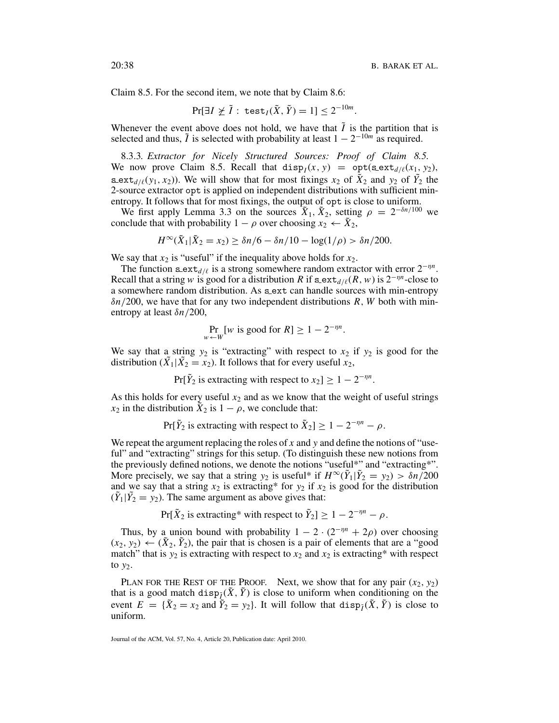Claim 8.5. For the second item, we note that by Claim 8.6:

$$
\Pr[\exists I \not\geq \tilde{I} : \text{test}_I(\tilde{X}, \tilde{Y}) = 1] \leq 2^{-10m}.
$$

Whenever the event above does not hold, we have that  $\tilde{I}$  is the partition that is selected and thus,  $\tilde{I}$  is selected with probability at least  $1 - 2^{-10m}$  as required.

8.3.3*. Extractor for Nicely Structured Sources: Proof of Claim 8.5.* We now prove Claim 8.5. Recall that  $\text{disp}_I(x, y) = \text{opt}(\texttt{sext}_{d/\ell}(x_1, y_2))$ , s ext<sub>*d*/ $\ell$ </sub>(*y*<sub>1</sub>, *x*<sub>2</sub>)). We will show that for most fixings *x*<sub>2</sub> of  $\tilde{X}_2$  and *y*<sub>2</sub> of  $\tilde{Y}_2$  the 2-source extractor opt is applied on independent distributions with sufficient minentropy. It follows that for most fixings, the output of opt is close to uniform.

We first apply Lemma 3.3 on the sources  $\tilde{X}_1$ ,  $\tilde{X}_2$ , setting  $\rho = 2^{-\delta n/100}$  we conclude that with probability  $1 - \rho$  over choosing  $x_2 \leftarrow \tilde{X}_2$ ,

$$
H^{\infty}(\tilde{X}_1 | \tilde{X}_2 = x_2) \ge \delta n/6 - \delta n/10 - \log(1/\rho) > \delta n/200.
$$

We say that  $x_2$  is "useful" if the inequality above holds for  $x_2$ .

The function s\_ext<sub>*d*/ $\ell$ </sub> is a strong somewhere random extractor with error  $2^{-\eta n}$ . Recall that a string *w* is good for a distribution *R* if  $\text{sext}_{d/\ell}(R, w)$  is  $2^{-\eta n}$ -close to a somewhere random distribution. As s ext can handle sources with min-entropy δ*n*/200, we have that for any two independent distributions *R*, *W* both with minentropy at least δ*n*/200,

$$
\Pr_{w \leftarrow W}[w \text{ is good for } R] \ge 1 - 2^{-\eta n}.
$$

We say that a string  $y_2$  is "extracting" with respect to  $x_2$  if  $y_2$  is good for the distribution  $(\tilde{X}_1 | \tilde{X}_2 = x_2)$ . It follows that for every useful  $x_2$ ,

 $Pr[\tilde{Y}_2]$  is extracting with respect to  $x_2$  |  $\geq 1 - 2^{-\eta n}$ .

As this holds for every useful  $x_2$  and as we know that the weight of useful strings  $x_2$  in the distribution  $\tilde{X}_2$  is  $1 - \rho$ , we conclude that:

$$
Pr[\tilde{Y}_2 \text{ is extracting with respect to } \tilde{X}_2] \ge 1 - 2^{-\eta n} - \rho.
$$

We repeat the argument replacing the roles of x and y and define the notions of "useful" and "extracting" strings for this setup. (To distinguish these new notions from the previously defined notions, we denote the notions "useful\*" and "extracting\*". More precisely, we say that a string  $y_2$  is useful\* if  $H^\infty(\tilde{Y}_1 | \tilde{Y}_2 = y_2) > \delta n/200$ and we say that a string  $x_2$  is extracting\* for  $y_2$  if  $x_2$  is good for the distribution  $(\tilde{Y}_1 | \tilde{Y}_2 = y_2)$ . The same argument as above gives that:

 $Pr[\tilde{X}_2]$  is extracting\* with respect to  $\tilde{Y}_2$  |  $\geq 1 - 2^{-\eta n} - \rho$ .

Thus, by a union bound with probability  $1 - 2 \cdot (2^{-\eta n} + 2\rho)$  over choosing  $(x_2, y_2) \leftarrow (\tilde{X}_2, \tilde{Y}_2)$ , the pair that is chosen is a pair of elements that are a "good" match" that is  $y_2$  is extracting with respect to  $x_2$  and  $x_2$  is extracting\* with respect to  $y_2$ .

PLAN FOR THE REST OF THE PROOF. Next, we show that for any pair  $(x_2, y_2)$ that is a good match disp $\tilde{\gamma}(X, \tilde{Y})$  is close to uniform when conditioning on the event  $E = {\tilde{X}_2 = x_2}$  and  $\tilde{Y}_2 = y_2$ . It will follow that  $\text{disp}_{\tilde{I}}(\tilde{X}, \tilde{Y})$  is close to uniform.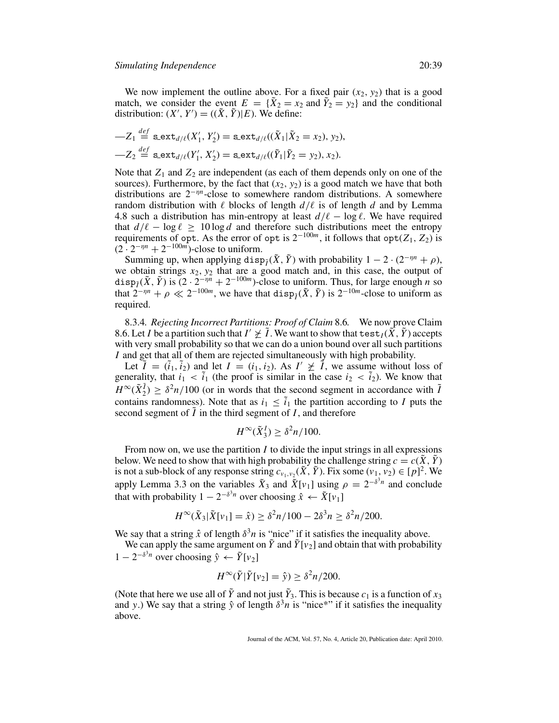$\overline{a}$ 

We now implement the outline above. For a fixed pair  $(x_2, y_2)$  that is a good match, we consider the event  $E = {\tilde{X}_2 = x_2}$  and  $\tilde{Y}_2 = y_2$  and the conditional distribution:  $(X', Y') = ((\tilde{X}, \tilde{Y})|E)$ . We define:

$$
-Z_1 \stackrel{def}{=} \mathtt{sext}_{d/\ell}(X'_1, Y'_2) = \mathtt{sext}_{d/\ell}((\tilde{X}_1 | \tilde{X}_2 = x_2), y_2),
$$
  

$$
-Z_2 \stackrel{def}{=} \mathtt{sext}_{d/\ell}(Y'_1, X'_2) = \mathtt{sext}_{d/\ell}((\tilde{Y}_1 | \tilde{Y}_2 = y_2), x_2).
$$

Note that  $Z_1$  and  $Z_2$  are independent (as each of them depends only on one of the sources). Furthermore, by the fact that  $(x_2, y_2)$  is a good match we have that both distributions are 2<sup>−</sup>η*<sup>n</sup>*-close to somewhere random distributions. A somewhere random distribution with  $\ell$  blocks of length  $d/\ell$  is of length  $d$  and by Lemma 4.8 such a distribution has min-entropy at least  $d/\ell - \log \ell$ . We have required that  $d/\ell - \log \ell \geq 10 \log d$  and therefore such distributions meet the entropy requirements of opt. As the error of opt is  $2^{-100m}$ , it follows that opt(*Z*<sub>1</sub>, *Z*<sub>2</sub>) is  $(2 \cdot 2^{-\eta n} + 2^{-100m})$ -close to uniform.

Summing up, when applying disp $\tilde{\chi}(X, \tilde{Y})$  with probability  $1 - 2 \cdot (2^{-\eta n} + \rho)$ , we obtain strings  $x_2, y_2$  that are a good match and, in this case, the output of disp<sub> $\tilde{i}$ </sub>( $\tilde{X}$ ,  $\tilde{Y}$ ) is  $(2 \cdot 2^{-\eta n} + 2^{-100m})$ -close to uniform. Thus, for large enough *n* so that  $2^{-\eta n} + \rho \ll 2^{-100m}$ , we have that disp<sub>*i*</sub>( $\tilde{X}$ ,  $\tilde{Y}$ ) is  $2^{-10m}$ -close to uniform as required.

8.3.4*. Rejecting Incorrect Partitions: Proof of Claim* 8.6*.* We now prove Claim 8.6. Let *I* be a partition such that  $I' \not\geq \tilde{I}$ . We want to show that  $\text{test}_I(\tilde{X}, \tilde{Y})$  accepts with very small probability so that we can do a union bound over all such partitions *I* and get that all of them are rejected simultaneously with high probability.

Let  $\tilde{I} = (\tilde{i}_1, \tilde{i}_2)$  and let  $I = (i_1, i_2)$ . As  $I' \not\geq \tilde{I}$ , we assume without loss of generality, that  $i_1 < \tilde{i}_1$  (the proof is similar in the case  $i_2 < \tilde{i}_2$ ). We know that  $H^{\infty}(\tilde{X}_2^{\tilde{I}}) \geq \delta^2 n/100$  (or in words that the second segment in accordance with  $\tilde{I}$ contains randomness). Note that as  $i_1 \leq \tilde{i}_1$  the partition according to *I* puts the second segment of  $\tilde{I}$  in the third segment of  $I$ , and therefore

$$
H^{\infty}(\tilde{X}_3^I) \ge \delta^2 n/100.
$$

From now on, we use the partition *I* to divide the input strings in all expressions below. We need to show that with high probability the challenge string  $c = c(X, Y)$ is not a sub-block of any response string  $c_{v_1,v_2}(\tilde{X}, \tilde{Y})$ . Fix some  $(v_1, v_2) \in [p]^2$ . We apply Lemma 3.3 on the variables  $\tilde{X}_3$  and  $\tilde{X}[v_1]$  using  $\rho = 2^{-\delta^3 n}$  and conclude that with probability  $1 - 2^{-\delta^3 n}$  over choosing  $\hat{x} \leftarrow \tilde{X}[v_1]$ 

$$
H^{\infty}(\tilde{X}_3 | \tilde{X}[v_1] = \hat{x}) \ge \delta^2 n / 100 - 2\delta^3 n \ge \delta^2 n / 200.
$$

We say that a string  $\hat{x}$  of length  $\delta^3 n$  is "nice" if it satisfies the inequality above.

We can apply the same argument on  $\tilde{Y}$  and  $\tilde{Y}[v_2]$  and obtain that with probability 1 − 2<sup> $-\delta$ <sup>3</sup>*n*</sup> over choosing  $\hat{y} \leftarrow \tilde{Y}[v_2]$ 

$$
H^{\infty}(\tilde{Y}|\tilde{Y}[v_2] = \hat{y}) \ge \delta^2 n/200.
$$

(Note that here we use all of  $\tilde{Y}$  and not just  $\tilde{Y}_3$ . This is because  $c_1$  is a function of  $x_3$ and *y*.) We say that a string  $\hat{y}$  of length  $\delta^3 n$  is "nice\*" if it satisfies the inequality above.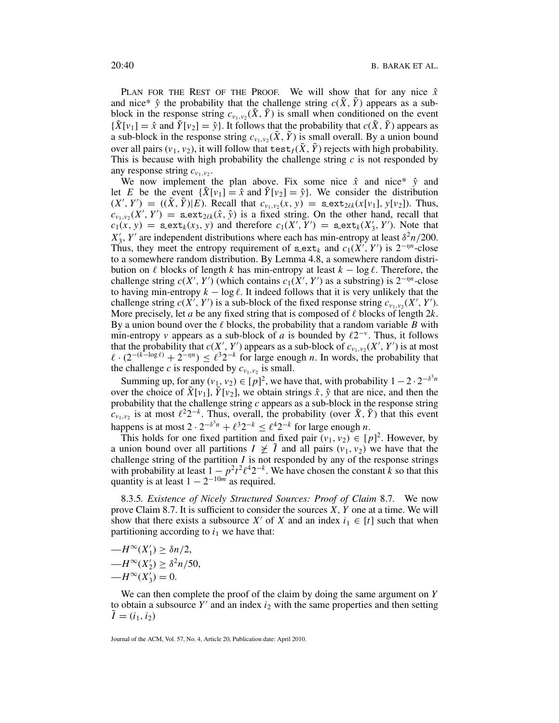PLAN FOR THE REST OF THE PROOF. We will show that for any nice  $\hat{x}$ and nice\*  $\hat{y}$  the probability that the challenge string  $c(\tilde{X}, \tilde{Y})$  appears as a subblock in the response string  $c_{v_1,v_2}(\tilde{X}, \tilde{Y})$  is small when conditioned on the event  ${\{\tilde{X}[v_1] = \hat{x} \text{ and } \tilde{Y}[v_2] = \hat{y}\}.$  It follows that the probability that  $c(\tilde{X}, \tilde{Y})$  appears as a sub-block in the response string  $c_{v_1,v_2}(\tilde{X}, \tilde{Y})$  is small overall. By a union bound over all pairs  $(v_1, v_2)$ , it will follow that test  $I(\tilde{X}, \tilde{Y})$  rejects with high probability. This is because with high probability the challenge string *c* is not responded by any response string  $c_{v_1,v_2}$ .

We now implement the plan above. Fix some nice  $\hat{x}$  and nice\*  $\hat{y}$  and let *E* be the event  ${X[v_1] = \hat{x}$  and  $Y[v_2] = \hat{y}}$ . We consider the distribution  $(X', Y') = ((\tilde{X}, \tilde{Y}) | E)$ . Recall that  $c_{v_1, v_2}(x, y) = \text{sext}_{2\ell k}(x[v_1], y[v_2])$ . Thus,  $c_{v_1, v_2}(X', Y') =$  sext<sub>2 $\ell k(\hat{x}, \hat{y})$  is a fixed string. On the other hand, recall that</sub>  $c_1(x, y) = \texttt{sext}_k(x_3, y)$  and therefore  $c_1(X', Y') = \texttt{sext}_k(X'_3, Y')$ . Note that  $X'_3$ , *Y'* are independent distributions where each has min-entropy at least  $\delta^2 n/200$ . Thus, they meet the entropy requirement of s\_ext<sub>k</sub> and  $c_1(\overline{X'}, Y')$  is  $2^{-\eta n}$ -close to a somewhere random distribution. By Lemma 4.8, a somewhere random distribution on  $\ell$  blocks of length  $k$  has min-entropy at least  $k - \log \ell$ . Therefore, the challenge string  $c(X', Y')$  (which contains  $c_1(X', Y')$  as a substring) is  $2^{-\eta n}$ -close to having min-entropy  $k - \log \ell$ . It indeed follows that it is very unlikely that the challenge string  $c(\hat{X}, Y')$  is a sub-block of the fixed response string  $c_{\nu_1, \nu_2}(X', Y')$ . More precisely, let *a* be any fixed string that is composed of  $\ell$  blocks of length 2*k*. By a union bound over the  $\ell$  blocks, the probability that a random variable  $\tilde{B}$  with min-entropy *v* appears as a sub-block of *a* is bounded by  $\ell 2^{-\nu}$ . Thus, it follows that the probability that  $c(X, Y)$  appears as a sub-block of  $c_{v_1, v_2}(X', Y')$  is at most  $\ell \cdot (2^{-(k-\log \ell)} + 2^{-\eta n}) \leq \ell^3 2^{-k}$  for large enough *n*. In words, the probability that the challenge *c* is responded by  $c_{v_1, v_2}$  is small.

Summing up, for any  $(v_1, v_2) \in [p]^2$ , we have that, with probability  $1 - 2 \cdot 2^{-\delta^3 n}$ over the choice of  $\tilde{X}[v_1]$ ,  $\tilde{Y}[v_2]$ , we obtain strings  $\hat{x}$ ,  $\hat{y}$  that are nice, and then the probability that the challenge string *c* appears as a sub-block in the response string  $c_{v_1,v_2}$  is at most  $\ell^2 2^{-k}$ . Thus, overall, the probability (over  $\tilde{X}, \tilde{Y}$ ) that this event happens is at most  $2 \cdot 2^{-\delta^3 n} + \ell^3 2^{-k} \leq \ell^4 2^{-k}$  for large enough *n*.

This holds for one fixed partition and fixed pair  $(v_1, v_2) \in [p]^2$ . However, by a union bound over all partitions  $I \not\geq \tilde{I}$  and all pairs  $(v_1, v_2)$  we have that the challenge string of the partition *I* is not responded by any of the response strings with probability at least  $1 - p^2t^2\ell^42^{-k}$ . We have chosen the constant *k* so that this quantity is at least  $1 - 2^{-10m}$  as required.

8.3.5*. Existence of Nicely Structured Sources: Proof of Claim* 8.7*.* We now prove Claim 8.7. It is sufficient to consider the sources *X*, *Y* one at a time. We will show that there exists a subsource *X'* of *X* and an index  $i_1 \in [t]$  such that when partitioning according to  $i_1$  we have that:

 $-H^{\infty}(X'_1) \geq \delta n/2,$  $-H^{\infty}(X_2') \geq \delta^2 n/50,$  $-H^{\infty}(X_3') = 0.$ 

We can then complete the proof of the claim by doing the same argument on *Y* to obtain a subsource *Y'* and an index  $i_2$  with the same properties and then setting  $\tilde{I} = (i_1, i_2)$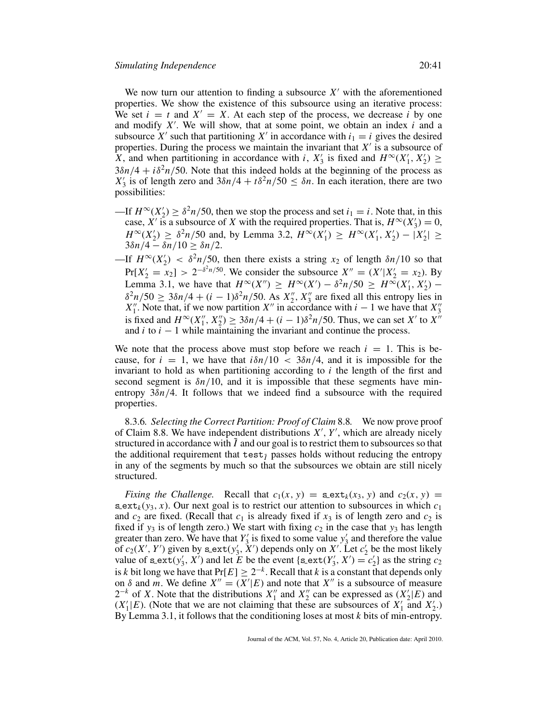We now turn our attention to finding a subsource  $X'$  with the aforementioned properties. We show the existence of this subsource using an iterative process: We set  $i = t$  and  $X' = X$ . At each step of the process, we decrease *i* by one and modify *X* . We will show, that at some point, we obtain an index *i* and a subsource *X'* such that partitioning *X'* in accordance with  $i_1 = i$  gives the desired properties. During the process we maintain the invariant that  $X'$  is a subsource of X, and when partitioning in accordance with *i*,  $X'_3$  is fixed and  $H^\infty(X'_1, X'_2) \ge$  $3\delta n/4 + i\delta^2 n/50$ . Note that this indeed holds at the beginning of the process as  $X'_3$  is of length zero and  $3\delta n/4 + t\delta^2 n/50 \leq \delta n$ . In each iteration, there are two possibilities:

- —If  $H^{\infty}(X_2') \ge \delta^2 n/50$ , then we stop the process and set  $i_1 = i$ . Note that, in this case, *X'* is a subsource of *X* with the required properties. That is,  $H^{\infty}(X_3') = 0$ , *H*<sup>∞</sup>(*X*<sup>'</sup><sub>2</sub>) ≥  $\delta^2 n/50$  and, by Lemma 3.2,  $H^\infty(X_1') \ge H^\infty(X_1', X_2') - |X_2'|$  ≥  $3δn/4 - δn/10 ≥ δn/2.$
- —If  $H^{\infty}(X_2') < \delta^2 n/50$ , then there exists a string  $x_2$  of length  $\delta n/10$  so that  $Pr[X_2' = x_2] > 2^{-\delta^2 n/50}$ . We consider the subsource  $X'' = (X'|X_2' = x_2)$ . By Lemma 3.1, we have that  $H^{\infty}(X'') \ge H^{\infty}(X') - \delta^2 n/50 \ge H^{\infty}(X'_1, X'_2)$  –  $\delta^2 n/50 \geq 3\delta n/4 + (i-1)\delta^2 n/50$ . As  $X_2''$ ,  $X_3''$  are fixed all this entropy lies in *X*<sup>"</sup>. Note that, if we now partition *X*<sup>"</sup> in accordance with *i* − 1 we have that *X*<sup>"</sup><sub>3</sub> is fixed and  $H^{\infty}(X''_1, X''_2) \ge 3\delta n/4 + (i - 1)\delta^2 n/50$ . Thus, we can set *X'* to *X''* and  $i$  to  $i - 1$  while maintaining the invariant and continue the process.

We note that the process above must stop before we reach  $i = 1$ . This is because, for  $i = 1$ , we have that  $i\delta n/10 < 3\delta n/4$ , and it is impossible for the invariant to hold as when partitioning according to *i* the length of the first and second segment is  $\delta n/10$ , and it is impossible that these segments have minentropy  $3\delta n/4$ . It follows that we indeed find a subsource with the required properties.

8.3.6*. Selecting the Correct Partition: Proof of Claim* 8.8*.* We now prove proof of Claim 8.8. We have independent distributions  $X'$ ,  $Y'$ , which are already nicely structured in accordance with  $\tilde{I}$  and our goal is to restrict them to subsources so that the additional requirement that test<sub> $\tilde{I}$ </sub> passes holds without reducing the entropy in any of the segments by much so that the subsources we obtain are still nicely structured.

*Fixing the Challenge.* Recall that  $c_1(x, y) = \texttt{sext}_k(x_3, y)$  and  $c_2(x, y) =$  $s$ **ex** $t_k(y_3, x)$ . Our next goal is to restrict our attention to subsources in which  $c_1$ and  $c_2$  are fixed. (Recall that  $c_1$  is already fixed if  $x_3$  is of length zero and  $c_2$  is fixed if  $y_3$  is of length zero.) We start with fixing  $c_2$  in the case that  $y_3$  has length greater than zero. We have that  $Y'_3$  is fixed to some value  $y'_3$  and therefore the value of  $c_2(X', Y')$  given by  $s$  ext $(y'_3, X')$  depends only on X'. Let  $c'_2$  be the most likely value of  $s$  ext( $y'_3$ ,  $X'$ ) and let *E* be the event { $s$  ext( $Y'_3$ ,  $X'$ ) =  $c'_2$ } as the string  $c_2$ is *k* bit long we have that  $Pr[E] \geq 2^{-k}$ . Recall that *k* is a constant that depends only on  $\delta$  and *m*. We define  $X'' = (X'|E)$  and note that  $X''$  is a subsource of measure  $2^{-k}$  of *X*. Note that the distributions  $X_1''$  and  $X_2''$  can be expressed as  $(X_2'|E)$  and  $(X'_1|E)$ . (Note that we are not claiming that these are subsources of  $X'_1$  and  $X'_2$ .) By Lemma 3.1, it follows that the conditioning loses at most *k* bits of min-entropy.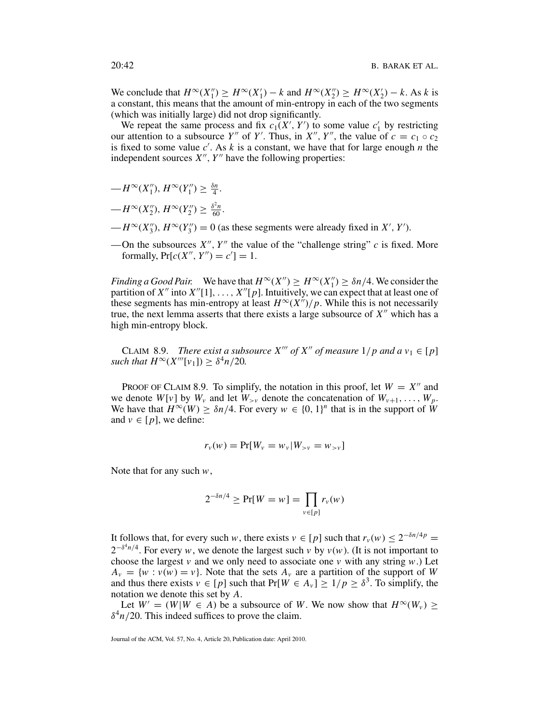We conclude that  $H^{\infty}(X_1'') \ge H^{\infty}(X_1') - k$  and  $H^{\infty}(X_2'') \ge H^{\infty}(X_2') - k$ . As *k* is a constant, this means that the amount of min-entropy in each of the two segments (which was initially large) did not drop significantly.

We repeat the same process and fix  $c_1(X', Y')$  to some value  $c'_1$  by restricting our attention to a subsource *Y*<sup>"</sup> of *Y*'. Thus, in *X*<sup>"</sup>, *Y*<sup>"</sup>, the value of  $c = c_1 \circ c_2$ is fixed to some value  $c'$ . As  $k$  is a constant, we have that for large enough  $n$  the independent sources  $X''$ ,  $Y''$  have the following properties:

 $-H^{\infty}(X''_1), H^{\infty}(Y''_1) \geq \frac{\delta n}{4}.$ 

$$
-H^{\infty}(X_2''), H^{\infty}(Y_2'') \geq \frac{\delta^2 n}{60}.
$$

- $-H^{\infty}(X_3'')$ ,  $H^{\infty}(Y_3'') = 0$  (as these segments were already fixed in *X'*, *Y'*).
- —On the subsources  $X''$ ,  $Y''$  the value of the "challenge string" *c* is fixed. More formally,  $Pr[c(X'', Y'') = c'] = 1$ .

*Finding a Good Pair.* We have that  $H^{\infty}(X'') \ge H^{\infty}(X''_1) \ge \delta n/4$ . We consider the partition of  $X''$  into  $X''[1], \ldots, X''[p]$ . Intuitively, we can expect that at least one of these segments has min-entropy at least  $H^{\infty}(X'')/p$ . While this is not necessarily true, the next lemma asserts that there exists a large subsource of  $X''$  which has a high min-entropy block.

CLAIM 8.9. *There exist a subsource*  $X'''$  of  $X''$  of measure  $1/p$  and  $a v_1 \in [p]$ *such that*  $H^{\infty}(X'''[v_1]) \geq \delta^4 n/20$ *.* 

PROOF OF CLAIM 8.9. To simplify, the notation in this proof, let  $W = X''$  and we denote  $W[v]$  by  $W_v$  and let  $W_{\geq v}$  denote the concatenation of  $W_{v+1}, \ldots, W_p$ . We have that  $H^{\infty}(W) \geq \delta n/4$ . For every  $w \in \{0, 1\}^n$  that is in the support of W and  $v \in [p]$ , we define:

$$
r_{v}(w) = \Pr[W_{v} = w_{v} | W_{>v} = w_{>v}]
$$

Note that for any such *w*,

$$
2^{-\delta n/4} \ge \Pr[W = w] = \prod_{v \in [p]} r_v(w)
$$

It follows that, for every such *w*, there exists  $v \in [p]$  such that  $r_v(w) \leq 2^{-\delta n/4p}$  $2^{-\delta^4 n/4}$ . For every *w*, we denote the largest such *v* by *v*(*w*). (It is not important to choose the largest *v* and we only need to associate one *v* with any string *w*.) Let  $A_v = \{w : v(w) = v\}$ . Note that the sets  $A_v$  are a partition of the support of *W* and thus there exists  $v \in [p]$  such that  $Pr[W \in A_v] \ge 1/p \ge \delta^3$ . To simplify, the notation we denote this set by *A*.

Let  $W' = (W|W \in A)$  be a subsource of *W*. We now show that  $H^{\infty}(W_v)$  >  $\delta^4 n/20$ . This indeed suffices to prove the claim.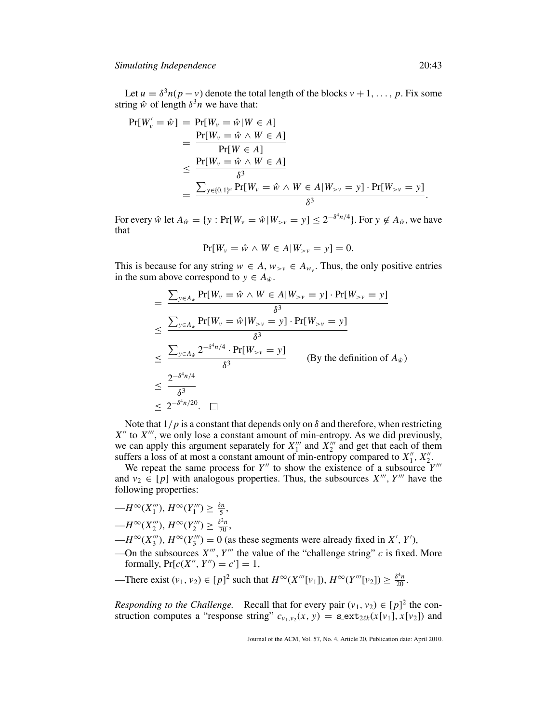Let  $u = \delta^3 n(p - v)$  denote the total length of the blocks  $v + 1, \ldots, p$ . Fix some string  $\hat{w}$  of length  $\delta^3 n$  we have that:

$$
Pr[W_v' = \hat{w}] = Pr[W_v = \hat{w} | W \in A]
$$
  
= 
$$
\frac{Pr[W_v = \hat{w} \land W \in A]}{Pr[W \in A]}
$$
  

$$
\leq \frac{Pr[W_v = \hat{w} \land W \in A]}{\delta^3}
$$
  
= 
$$
\frac{\sum_{y \in \{0,1\}^u} Pr[W_v = \hat{w} \land W \in A | W_{>v} = y] \cdot Pr[W_{>v} = y]}{\delta^3}.
$$

For every  $\hat{w}$  let  $A_{\hat{w}} = \{y : \Pr[W_v = \hat{w} | W_{>v} = y] \le 2^{-\delta^4 n/4}\}$ . For  $y \notin A_{\hat{w}}$ , we have that

$$
\Pr[W_v = \hat{w} \land W \in A | W_{>v} = y] = 0.
$$

This is because for any string  $w \in A$ ,  $w_{>v} \in A_{w_v}$ . Thus, the only positive entries in the sum above correspond to  $y \in A_{\hat{w}}$ .

$$
= \frac{\sum_{y \in A_{\hat{w}}} Pr[W_{v} = \hat{w} \land W \in A|W_{>v} = y] \cdot Pr[W_{>v} = y]}{\delta^{3}}
$$
  

$$
\leq \frac{\sum_{y \in A_{\hat{w}}} Pr[W_{v} = \hat{w} | W_{>v} = y] \cdot Pr[W_{>v} = y]}{\delta^{3}}
$$
  

$$
\leq \frac{\sum_{y \in A_{\hat{w}}} 2^{-\delta^{4} n/4} \cdot Pr[W_{>v} = y]}{\delta^{3}}
$$
 (By the definition of  $A_{\hat{w}}$ )  

$$
\leq \frac{2^{-\delta^{4} n/4}}{\delta^{3}}
$$
  

$$
\leq 2^{-\delta^{4} n/20}.\square
$$

Note that  $1/p$  is a constant that depends only on  $\delta$  and therefore, when restricting *X*<sup>*''*</sup> to *X*<sup>*'''*</sup>, we only lose a constant amount of min-entropy. As we did previously, we can apply this argument separately for  $X_1^{\prime\prime\prime}$  and  $X_2^{\prime\prime\prime}$  and get that each of them suffers a loss of at most a constant amount of min-entropy compared to  $X_1''$ ,  $X_2''$ .

We repeat the same process for  $Y''$  to show the existence of a subsource  $Y'''$ and  $v_2 \in [p]$  with analogous properties. Thus, the subsources  $X'''$ ,  $Y'''$  have the following properties:

$$
-H^{\infty}(X_1'''), H^{\infty}(Y_1''') \ge \frac{\delta n}{5},
$$
  

$$
-H^{\infty}(X_2'''), H^{\infty}(Y_2''') \ge \frac{\delta^2 n}{70},
$$

- $-H^{\infty}(X_3''')$ ,  $H^{\infty}(Y_3''') = 0$  (as these segments were already fixed in *X'*, *Y'*),
- —On the subsources  $X'''$ ,  $Y'''$  the value of the "challenge string"  $c$  is fixed. More formally,  $Pr[c(X'', Y'') = c'] = 1$ ,
- —There exist  $(v_1, v_2) \in [p]^2$  such that  $H^\infty(X'''[v_1]), H^\infty(Y'''[v_2]) \ge \frac{\delta^4 n}{20}$ .

*Responding to the Challenge.* Recall that for every pair  $(v_1, v_2) \in [p]^2$  the construction computes a "response string"  $c_{v_1,v_2}(x, y) = \textbf{s}\text{-}\textbf{ext}_{2\ell k}(x[v_1], x[v_2])$  and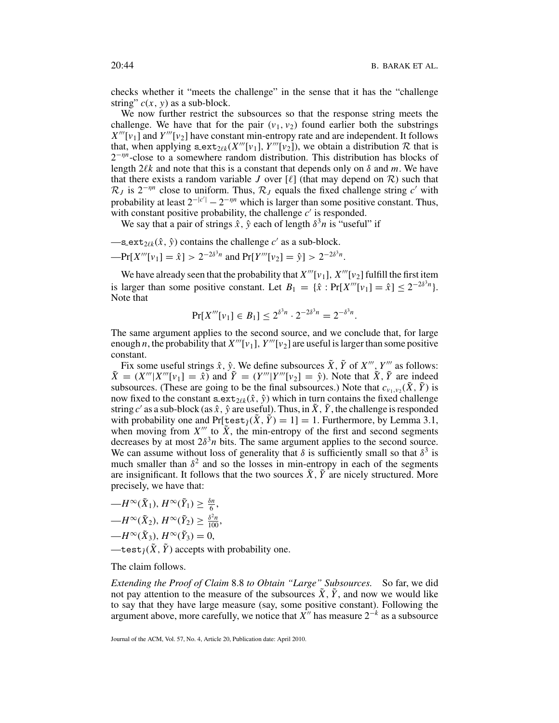checks whether it "meets the challenge" in the sense that it has the "challenge string"  $c(x, y)$  as a sub-block.

We now further restrict the subsources so that the response string meets the challenge. We have that for the pair  $(v_1, v_2)$  found earlier both the substrings  $X'''[v_1]$  and  $Y'''[v_2]$  have constant min-entropy rate and are independent. It follows that, when applying  $s$  ext<sub>2*k*</sub> (*X*<sup>*'''*</sup>[*v*<sub>1</sub>], *Y*<sup>*'''*</sup>[*v*<sub>2</sub>]), we obtain a distribution R that is 2<sup>−η*n*</sup>-close to a somewhere random distribution. This distribution has blocks of length  $2\ell k$  and note that this is a constant that depends only on  $\delta$  and *m*. We have that there exists a random variable *J* over  $[\ell]$  (that may depend on  $\mathcal{R}$ ) such that  $\mathcal{R}_J$  is 2<sup>-η*n*</sup> close to uniform. Thus,  $\mathcal{R}_J$  equals the fixed challenge string *c'* with probability at least  $2^{-|c'|} - 2^{-\eta n}$  which is larger than some positive constant. Thus, with constant positive probability, the challenge  $c'$  is responded.

We say that a pair of strings  $\hat{x}$ ,  $\hat{y}$  each of length  $\delta^3 n$  is "useful" if

—
$$
s_{\text{next}_{2\ell k}}(\hat{x}, \hat{y})
$$
 contains the challenge  $c'$  as a sub-block. 
$$
-Pr[X'''[v_1] = \hat{x}] > 2^{-2\delta^3 n}
$$
 and 
$$
Pr[Y'''[v_2] = \hat{y}] > 2^{-2\delta^3 n}
$$
.

We have already seen that the probability that  $X'''[v_1]$ ,  $X'''[v_2]$  fulfill the first item is larger than some positive constant. Let  $B_1 = {\hat{x}: Pr[X'''[v_1] = \hat{x}} > 2^{-2\delta^3 n}$ . Note that

$$
Pr[X'''[v_1] \in B_1] \le 2^{\delta^3 n} \cdot 2^{-2\delta^3 n} = 2^{-\delta^3 n}.
$$

The same argument applies to the second source, and we conclude that, for large enough *n*, the probability that  $X'''[v_1]$ ,  $Y'''[v_2]$  are useful is larger than some positive constant.

Fix some useful strings  $\hat{x}$ ,  $\hat{y}$ . We define subsources  $\tilde{X}$ ,  $\tilde{Y}$  of  $X'''$ ,  $Y'''$  as follows:  $\tilde{X} = (X''' | X'''[v_1] = \hat{x})$  and  $\tilde{Y} = (Y''' | Y'''[v_2] = \hat{y})$ . Note that  $\tilde{X}$ ,  $\tilde{Y}$  are indeed subsources. (These are going to be the final subsources.) Note that  $c_{v_1,v_2}(\tilde{X}, \tilde{Y})$  is now fixed to the constant  $\texttt{s}$  ext<sub>2/k</sub> $(\hat{x}, \hat{y})$  which in turn contains the fixed challenge string *c'* as a sub-block (as  $\hat{x}$ ,  $\hat{y}$  are useful). Thus, in  $\tilde{X}$ ,  $\tilde{Y}$ , the challenge is responded with probability one and  $Pr[\text{test}_I(\tilde{X}, \tilde{Y}) = 1] = 1$ . Furthermore, by Lemma 3.1, when moving from  $X'''$  to  $\tilde{X}$ , the min-entropy of the first and second segments decreases by at most  $2\delta^3 n$  bits. The same argument applies to the second source. We can assume without loss of generality that  $\delta$  is sufficiently small so that  $\delta^3$  is much smaller than  $\delta^2$  and so the losses in min-entropy in each of the segments are insignificant. It follows that the two sources  $\tilde{X}$ ,  $\tilde{Y}$  are nicely structured. More precisely, we have that:

$$
-H^{\infty}(\tilde{X}_1), H^{\infty}(\tilde{Y}_1) \ge \frac{\delta n}{6},
$$
  
\n
$$
-H^{\infty}(\tilde{X}_2), H^{\infty}(\tilde{Y}_2) \ge \frac{\delta^2 n}{100},
$$
  
\n
$$
-H^{\infty}(\tilde{X}_3), H^{\infty}(\tilde{Y}_3) = 0,
$$
  
\n
$$
-\text{test}_{\tilde{I}}(\tilde{X}, \tilde{Y})
$$
 accepts with probability one

The claim follows.

*Extending the Proof of Claim* 8.8 *to Obtain "Large" Subsources.* So far, we did not pay attention to the measure of the subsources  $\tilde{X}$ ,  $\tilde{Y}$ , and now we would like to say that they have large measure (say, some positive constant). Following the argument above, more carefully, we notice that  $X''$  has measure  $2^{-k}$  as a subsource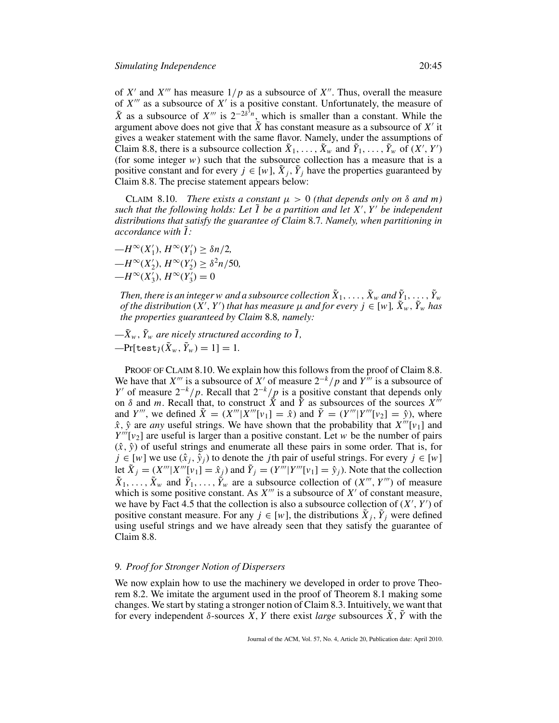of  $X'$  and  $X'''$  has measure  $1/p$  as a subsource of  $X''$ . Thus, overall the measure of  $X^{\prime\prime\prime}$  as a subsource of  $X^{\prime}$  is a positive constant. Unfortunately, the measure of  $\tilde{X}$  as a subsource of *X<sup>'''*</sup> is  $2^{-2\delta^3 n}$ , which is smaller than a constant. While the argument above does not give that  $\tilde{X}$  has constant measure as a subsource of  $X'$  it gives a weaker statement with the same flavor. Namely, under the assumptions of Claim 8.8, there is a subsource collection  $\tilde{X}_1, \ldots, \tilde{X}_w$  and  $\tilde{Y}_1, \ldots, \tilde{Y}_w$  of  $(X', Y')$ (for some integer  $w$ ) such that the subsource collection has a measure that is a positive constant and for every  $j \in [w]$ ,  $\tilde{X}_i$ ,  $\tilde{Y}_j$  have the properties guaranteed by Claim 8.8. The precise statement appears below:

CLAIM 8.10. *There exists a constant*  $\mu > 0$  *(that depends only on*  $\delta$  *and m) such that the following holds: Let* ˜*I be a partition and let X* , *Y be independent distributions that satisfy the guarantee of Claim* 8.7*. Namely, when partitioning in accordance with* ˜*I :*

 $-H^{\infty}(X'_{1}), H^{\infty}(Y'_{1}) \geq \delta n/2,$  $-H^{\infty}(X'_{2}), H^{\infty}(Y'_{2}) \geq \delta^{2}n/50,$  $-H^{\infty}(X'_{3}), H^{\infty}(Y'_{3})=0$ 

*Then, there is an integer w and a subsource collection*  $\tilde{X}_1, \ldots, \tilde{X}_w$  *and*  $\tilde{Y}_1, \ldots, \tilde{Y}_w$ *of the distribution*  $(X', Y')$  *that has measure*  $\mu$  *and for every*  $j \in [\psi]$ *,*  $\tilde{X}_w$ *,*  $\tilde{Y}_w$  *has the properties guaranteed by Claim* 8.8*, namely:*

 $-\tilde{X}_w$ ,  $\tilde{Y}_w$  *are nicely structured according to*  $\tilde{I}$ *,*  $-\Pr[\text{test}_{\tilde{I}}(\tilde{X}_w, \tilde{Y}_w) = 1] = 1.$ 

PROOF OF CLAIM 8.10. We explain how this follows from the proof of Claim 8.8. We have that *X<sup>'''</sup>* is a subsource of *X'* of measure  $2^{-k}/p$  and  $Y^{\hat{i}\hat{i}}$  is a subsource of *Y'* of measure  $2^{-k}/p$ . Recall that  $2^{-k}/p$  is a positive constant that depends only on  $\delta$  and *m*. Recall that, to construct  $\tilde{X}$  and  $\tilde{Y}$  as subsources of the sources  $X^{i}$ and *Y'''*, we defined  $\tilde{X} = (X''' | X'''[v_1] = \hat{x})$  and  $\tilde{Y} = (Y''' | Y'''[v_2] = \hat{y})$ , where  $\hat{x}$ ,  $\hat{y}$  are *any* useful strings. We have shown that the probability that  $X'''[v_1]$  and  $Y'''[v_2]$  are useful is larger than a positive constant. Let *w* be the number of pairs  $(\hat{x}, \hat{y})$  of useful strings and enumerate all these pairs in some order. That is, for *j* ∈ [*w*] we use  $(\hat{x}_j, \hat{y}_j)$  to denote the *j*th pair of useful strings. For every *j* ∈ [*w*] let  $\tilde{X}_j = (X''' | X'''[v_1] = \hat{x}_j)$  and  $\tilde{Y}_j = (Y''' | Y'''[v_1] = \hat{y}_j)$ . Note that the collection  $\tilde{X}_1, \ldots, \tilde{X}_w$  and  $\tilde{Y}_1, \ldots, \tilde{Y}_w$  are a subsource collection of  $(X''', Y''')$  of measure which is some positive constant. As  $X'''$  is a subsource of  $X'$  of constant measure, we have by Fact 4.5 that the collection is also a subsource collection of  $(X', Y')$  of positive constant measure. For any  $j \in [w]$ , the distributions  $X_j$ ,  $Y_j$  were defined using useful strings and we have already seen that they satisfy the guarantee of Claim 8.8.

# 9*. Proof for Stronger Notion of Dispersers*

We now explain how to use the machinery we developed in order to prove Theorem 8.2. We imitate the argument used in the proof of Theorem 8.1 making some changes. We start by stating a stronger notion of Claim 8.3. Intuitively, we want that for every independent  $\delta$ -sources *X*, *Y* there exist *large* subsources *X*, *Y* with the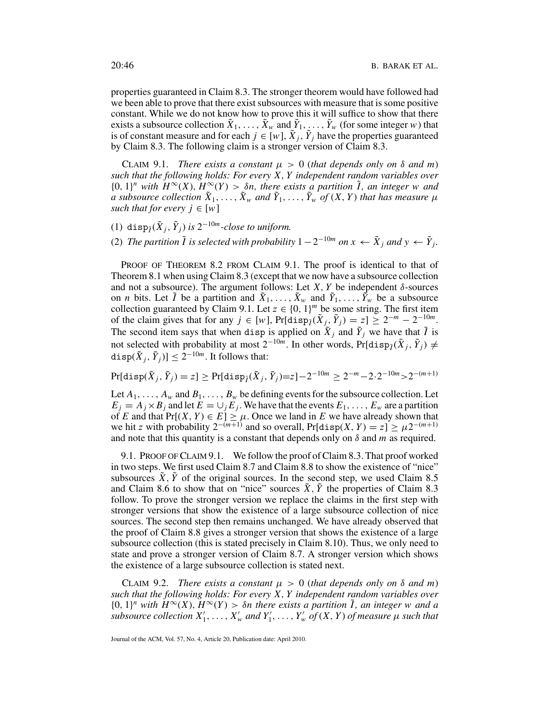properties guaranteed in Claim 8.3. The stronger theorem would have followed had we been able to prove that there exist subsources with measure that is some positive constant. While we do not know how to prove this it will suffice to show that there exists a subsource collection  $\tilde{X}_1, \ldots, \tilde{X}_w$  and  $\tilde{Y}_1, \ldots, \tilde{Y}_w$  (for some integer *w*) that is of constant measure and for each  $j \in [w]$ ,  $\tilde{X}_i$ ,  $\tilde{Y}_j$  have the properties guaranteed by Claim 8.3. The following claim is a stronger version of Claim 8.3.

CLAIM 9.1. *There exists a constant*  $\mu > 0$  (*that depends only on*  $\delta$  *and m*) *such that the following holds: For every X*, *Y independent random variables over*  ${0, 1}^n$  *with*  $H^\infty(X)$ ,  $H^\infty(Y) > \delta n$ , there exists a partition  $\tilde{I}$ , an integer w and *a* subsource collection  $\tilde{X}_1, \ldots, \tilde{X}_w$  and  $\tilde{Y}_1, \ldots, \tilde{Y}_w$  of  $(X, Y)$  that has measure  $\mu$ *such that for every*  $j \in [w]$ 

- (1) disp $\tilde{\gamma}(\tilde{X}_i, \tilde{Y}_i)$  *is* 2<sup>-10*m*</sup>-close to uniform.
- (2) *The partition*  $\tilde{I}$  *is selected with probability*  $1 2^{-10m}$  *on*  $x \leftarrow \tilde{X}_i$  *and*  $y \leftarrow \tilde{Y}_i$ *.*

PROOF OF THEOREM 8.2 FROM CLAIM 9.1. The proof is identical to that of Theorem 8.1 when using Claim 8.3 (except that we now have a subsource collection and not a subsource). The argument follows: Let *X*, *Y* be independent  $\delta$ -sources on *n* bits. Let  $\tilde{I}$  be a partition and  $\tilde{X}_1, \ldots, \tilde{X}_w$  and  $\tilde{Y}_1, \ldots, \tilde{Y}_w$  be a subsource collection guaranteed by Claim 9.1. Let  $z \in \{0, 1\}^m$  be some string. The first item of the claim gives that for any  $j \in [w]$ , Pr[disp $\tilde{\gamma}(X_j, \tilde{Y}_j) = z$ ]  $\geq 2^{-m} - 2^{-10m}$ . The second item says that when disp is applied on  $\tilde{X}_j$  and  $\tilde{Y}_j$  we have that  $\tilde{I}$  is not selected with probability at most  $2^{-10m}$ . In other words, Pr[disp<sub>*I*</sub>( $\tilde{X}_j$ ,  $\tilde{Y}_j$ ) ≠  $\text{disp}(\tilde{X}_i, \tilde{Y}_i)] \leq 2^{-10m}$ . It follows that:

 $Pr[\text{disp}(\tilde{X}_j, \tilde{Y}_j) = z] \geq Pr[\text{disp}_{\tilde{I}}(\tilde{X}_j, \tilde{Y}_j) = z] - 2^{-10m} \geq 2^{-m} - 2 \cdot 2^{-10m} > 2^{-(m+1)}$ 

Let  $A_1, \ldots, A_w$  and  $B_1, \ldots, B_w$  be defining events for the subsource collection. Let  $E_i = A_i \times B_i$  and let  $E = \bigcup_i E_i$ . We have that the events  $E_1, \ldots, E_w$  are a partition of *E* and that  $Pr[(X, Y) \in E] \ge \mu$ . Once we land in *E* we have already shown that we hit *z* with probability  $2^{-(m+1)}$  and so overall, Pr[disp(*X*, *Y*) =  $z$ ] ≥  $\mu 2^{-(m+1)}$ and note that this quantity is a constant that depends only on  $\delta$  and  $m$  as required.

9.1. PROOF OFCLAIM 9.1. We follow the proof of Claim 8.3. That proof worked in two steps. We first used Claim 8.7 and Claim 8.8 to show the existence of "nice" subsources  $\tilde{X}$ ,  $\tilde{Y}$  of the original sources. In the second step, we used Claim 8.5 and Claim 8.6 to show that on "nice" sources  $\tilde{X}$ ,  $\tilde{Y}$  the properties of Claim 8.3 follow. To prove the stronger version we replace the claims in the first step with stronger versions that show the existence of a large subsource collection of nice sources. The second step then remains unchanged. We have already observed that the proof of Claim 8.8 gives a stronger version that shows the existence of a large subsource collection (this is stated precisely in Claim 8.10). Thus, we only need to state and prove a stronger version of Claim 8.7. A stronger version which shows the existence of a large subsource collection is stated next.

CLAIM 9.2. *There exists a constant*  $\mu > 0$  (*that depends only on*  $\delta$  *and m*) *such that the following holds: For every X*, *Y independent random variables over*  $\{0, 1\}^n$  with  $H^\infty(X)$ ,  $H^\infty(Y) > \delta n$  there exists a partition I, an integer w and a *subsource collection*  $X'_1, \ldots, X'_w$  *and*  $Y'_1, \ldots, Y'_w$  *of*  $(X, Y)$  *of measure*  $\mu$  *such that*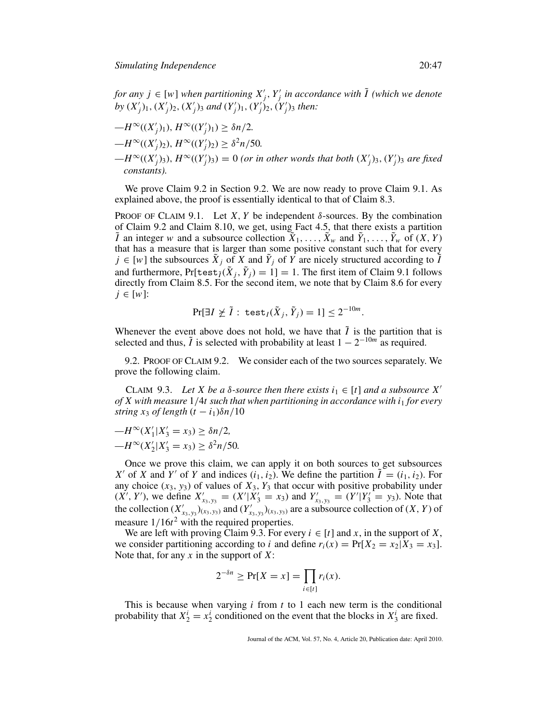*for any*  $j \in [w]$  *when partitioning*  $X'_{j}$ ,  $Y'_{j}$  *in accordance with*  $\tilde{I}$  *(which we denote by*  $(X'_j)_{1}$ ,  $(X'_j)_{2}$ ,  $(X'_j)_{3}$  *and*  $(Y'_j)_{1}$ ,  $(Y'_j)_{2}$ ,  $(Y'_j)_{3}$  *then:* 

$$
-H^{\infty}((X'_j)_1), H^{\infty}((Y'_j)_1) \ge \delta n/2.
$$
  
\n
$$
-H^{\infty}((X'_j)_2), H^{\infty}((Y'_j)_2) \ge \delta^2 n/50.
$$
  
\n
$$
-H^{\infty}((X'_j)_3), H^{\infty}((Y'_j)_3) = 0 \text{ (or in other words that both } (X'_j)_3, (Y'_j)_3 \text{ are fixed constants).}
$$

We prove Claim 9.2 in Section 9.2. We are now ready to prove Claim 9.1. As explained above, the proof is essentially identical to that of Claim 8.3.

PROOF OF CLAIM 9.1. Let *X*, *Y* be independent  $\delta$ -sources. By the combination of Claim 9.2 and Claim 8.10, we get, using Fact 4.5, that there exists a partition  $\tilde{I}$  an integer *w* and a subsource collection  $\tilde{X}_1, \ldots, \tilde{X}_w$  and  $\tilde{Y}_1, \ldots, \tilde{Y}_w$  of  $(X, Y)$ that has a measure that is larger than some positive constant such that for every  $j \in [w]$  the subsources  $\tilde{X}_j$  of *X* and  $\tilde{Y}_j$  of *Y* are nicely structured according to  $\tilde{I}$ and furthermore,  $Pr[test_{\tilde{I}}(\tilde{X}_i, \tilde{Y}_i) = 1] = 1$ . The first item of Claim 9.1 follows directly from Claim 8.5. For the second item, we note that by Claim 8.6 for every *j* ∈ [*w*]:

$$
\Pr[\exists I \not\geq \tilde{I}: \ \texttt{test}_I(\tilde{X}_j,\tilde{Y}_j) = 1] \leq 2^{-10m}.
$$

Whenever the event above does not hold, we have that  $\tilde{I}$  is the partition that is selected and thus,  $\tilde{I}$  is selected with probability at least  $1 - 2^{-10m}$  as required.

9.2. PROOF OF CLAIM 9.2. We consider each of the two sources separately. We prove the following claim.

CLAIM 9.3. Let X be a  $\delta$ -source then there exists  $i_1 \in [t]$  and a subsource X' *of X with measure* 1/4*t such that when partitioning in accordance with i*<sup>1</sup> *for every string x*<sub>3</sub> *of length*  $(t - i_1)\delta n/10$ 

$$
-H^{\infty}(X'_1|X'_3 = x_3) \ge \delta n/2,
$$
  

$$
-H^{\infty}(X'_2|X'_3 = x_3) \ge \delta^2 n/50.
$$

Once we prove this claim, we can apply it on both sources to get subsources *X'* of *X* and *Y'* of *Y* and indices  $(i_1, i_2)$ . We define the partition  $\hat{I} = (i_1, i_2)$ . For any choice  $(x_3, y_3)$  of values of  $X_3, Y_3$  that occur with positive probability under  $(X', Y')$ , we define  $X'_{x_3, y_3} = (X'|X'_3 = x_3)$  and  $Y'_{x_3, y_3} = (Y'|Y'_3 = y_3)$ . Note that the collection  $(X'_{x_3, y_3})_{(x_3, y_3)}$  and  $(Y'_{x_3, y_3})_{(x_3, y_3)}$  are a subsource collection of  $(X, Y)$  of measure  $1/16t^2$  with the required properties.

We are left with proving Claim 9.3. For every  $i \in [t]$  and  $x$ , in the support of  $X$ , we consider partitioning according to *i* and define  $r_i(x) = Pr[X_2 = x_2 | X_3 = x_3]$ . Note that, for any *x* in the support of *X*:

$$
2^{-\delta n} \ge \Pr[X = x] = \prod_{i \in [t]} r_i(x).
$$

This is because when varying *i* from *t* to 1 each new term is the conditional probability that  $X_2^i = x_2^i$  conditioned on the event that the blocks in  $X_3^i$  are fixed.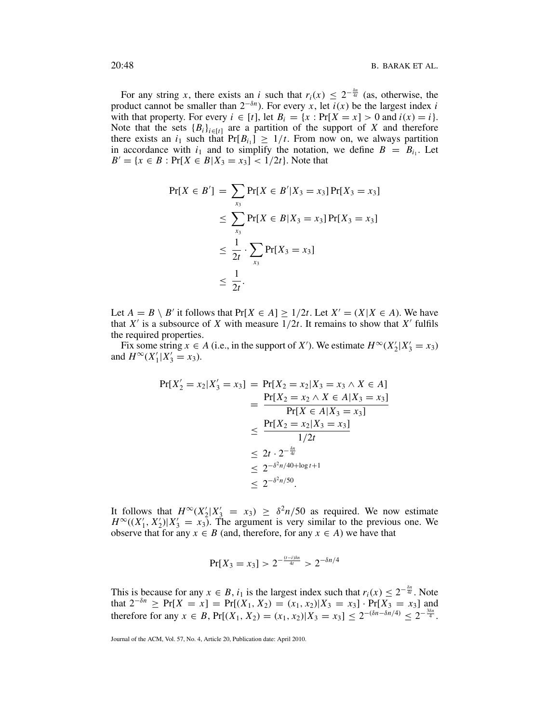For any string *x*, there exists an *i* such that  $r_i(x) \leq 2^{-\frac{\delta n}{4t}}$  (as, otherwise, the product cannot be smaller than  $2^{-\delta n}$ ). For every *x*, let  $\overline{i}(x)$  be the largest index *i* with that property. For every  $i \in [t]$ , let  $B_i = \{x : \Pr[X = x] > 0 \text{ and } i(x) = i\}.$ Note that the sets  ${B_i}_{i \in [t]}$  are a partition of the support of *X* and therefore there exists an  $i_1$  such that  $Pr[B_{i_1}] \geq 1/t$ . From now on, we always partition in accordance with  $i_1$  and to simplify the notation, we define  $B = B_i$ . Let  $B' = \{x \in B : \Pr[X \in B | X_3 = x_3] < 1/2t\}.$  Note that

$$
Pr[X \in B'] = \sum_{x_3} Pr[X \in B' | X_3 = x_3] Pr[X_3 = x_3]
$$
  
\n
$$
\leq \sum_{x_3} Pr[X \in B | X_3 = x_3] Pr[X_3 = x_3]
$$
  
\n
$$
\leq \frac{1}{2t} \cdot \sum_{x_3} Pr[X_3 = x_3]
$$
  
\n
$$
\leq \frac{1}{2t}.
$$

Let  $A = B \setminus B'$  it follows that  $Pr[X \in A] \ge 1/2t$ . Let  $X' = (X | X \in A)$ . We have that  $X'$  is a subsource of  $X$  with measure  $1/2t$ . It remains to show that  $X'$  fulfils the required properties.

Fix some string  $x \in A$  (i.e., in the support of *X'*). We estimate  $H^{\infty}(X_2'|X_3' = x_3)$ and  $H^{\infty}(X_1'|X_3' = x_3)$ .

$$
Pr[X'_{2} = x_{2}|X'_{3} = x_{3}] = Pr[X_{2} = x_{2}|X_{3} = x_{3} \land X \in A]
$$
  
= 
$$
\frac{Pr[X_{2} = x_{2} \land X \in A|X_{3} = x_{3}]}{Pr[X \in A|X_{3} = x_{3}]}
$$
  

$$
\leq \frac{Pr[X_{2} = x_{2}|X_{3} = x_{3}]}{1/2t}
$$
  

$$
\leq 2t \cdot 2^{-\frac{\delta n}{4t}}
$$
  

$$
\leq 2^{-\delta^{2}n/40 + \log t + 1}
$$
  

$$
\leq 2^{-\delta^{2}n/50}.
$$

It follows that  $H^{\infty}(X_2'|X_3' = x_3) \ge \delta^2 n/50$  as required. We now estimate  $H^{\infty}((X_1', X_2')|X_3' = x_3)$ . The argument is very similar to the previous one. We observe that for any  $x \in B$  (and, therefore, for any  $x \in A$ ) we have that

$$
Pr[X_3 = x_3] > 2^{-\frac{(t-i)\delta n}{4t}} > 2^{-\delta n/4}
$$

This is because for any  $x \in B$ ,  $i_1$  is the largest index such that  $r_i(x) \leq 2^{-\frac{\delta n}{4t}}$ . Note that  $2^{-\delta n}$  ≥ Pr[*X* = *x*] = Pr[(*X*<sub>1</sub>, *X*<sub>2</sub>) = (*x*<sub>1</sub>, *x*<sub>2</sub>)|*X*<sub>3</sub> = *x*<sub>3</sub>] · Pr[*X*<sub>3</sub> = *x*<sub>3</sub>] and therefore for any  $x \in B$ ,  $Pr[(X_1, X_2) = (x_1, x_2)|X_3 = x_3] \leq 2^{-(\delta n - \delta n/4)} \leq 2^{-\frac{3\delta n}{4}}$ .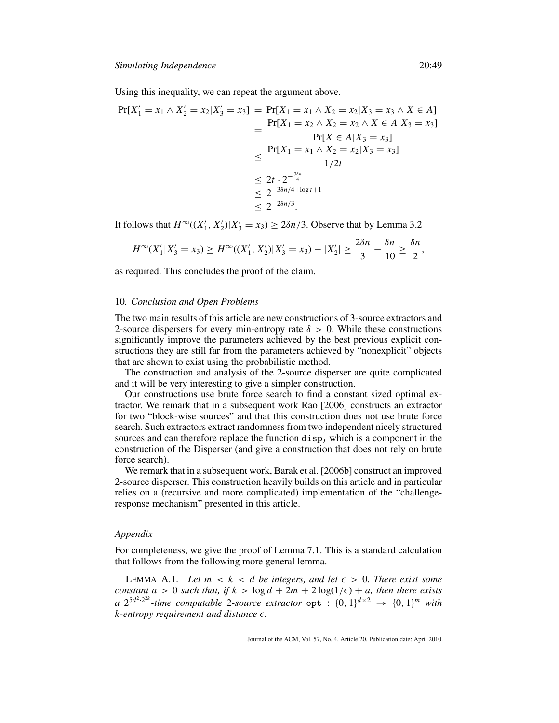Using this inequality, we can repeat the argument above.

$$
Pr[X'_{1} = x_{1} \land X'_{2} = x_{2} | X'_{3} = x_{3}] = Pr[X_{1} = x_{1} \land X_{2} = x_{2} | X_{3} = x_{3} \land X \in A]
$$
  
= 
$$
\frac{Pr[X_{1} = x_{2} \land X_{2} = x_{2} \land X \in A | X_{3} = x_{3}]}{Pr[X \in A | X_{3} = x_{3}]}
$$
  

$$
\leq \frac{Pr[X_{1} = x_{1} \land X_{2} = x_{2} | X_{3} = x_{3}]}{1/2t}
$$
  

$$
\leq 2t \cdot 2^{-\frac{3\delta n}{4}}
$$
  

$$
\leq 2^{-3\delta n/4 + \log t + 1}
$$
  

$$
\leq 2^{-2\delta n/3}.
$$

It follows that  $H^{\infty}((X'_1, X'_2)|X'_3 = x_3) \ge 2\delta n/3$ . Observe that by Lemma 3.2

$$
H^{\infty}(X'_1|X'_3=x_3) \geq H^{\infty}((X'_1,X'_2)|X'_3=x_3)-|X'_2| \geq \frac{2\delta n}{3} - \frac{\delta n}{10} \geq \frac{\delta n}{2},
$$

as required. This concludes the proof of the claim.

# 10*. Conclusion and Open Problems*

The two main results of this article are new constructions of 3-source extractors and 2-source dispersers for every min-entropy rate  $\delta > 0$ . While these constructions significantly improve the parameters achieved by the best previous explicit constructions they are still far from the parameters achieved by "nonexplicit" objects that are shown to exist using the probabilistic method.

The construction and analysis of the 2-source disperser are quite complicated and it will be very interesting to give a simpler construction.

Our constructions use brute force search to find a constant sized optimal extractor. We remark that in a subsequent work Rao [2006] constructs an extractor for two "block-wise sources" and that this construction does not use brute force search. Such extractors extract randomness from two independent nicely structured sources and can therefore replace the function  $\text{disp}_I$  which is a component in the construction of the Disperser (and give a construction that does not rely on brute force search).

We remark that in a subsequent work, Barak et al. [2006b] construct an improved 2-source disperser. This construction heavily builds on this article and in particular relies on a (recursive and more complicated) implementation of the "challengeresponse mechanism" presented in this article.

#### *Appendix*

For completeness, we give the proof of Lemma 7.1. This is a standard calculation that follows from the following more general lemma.

LEMMA A.1. Let  $m < k < d$  be integers, and let  $\epsilon > 0$ . There exist some *constant a* > 0 *such that, if*  $k$  >  $\log d + 2m + 2\log(1/\epsilon) + a$ *, then there exists a*  $2^{5d^2 \cdot 2^{2k}}$  -time computable 2-source extractor  $\varphi$  :  $\{0, 1\}^{d \times 2} \rightarrow \{0, 1\}^m$  with *k-entropy requirement and distance .*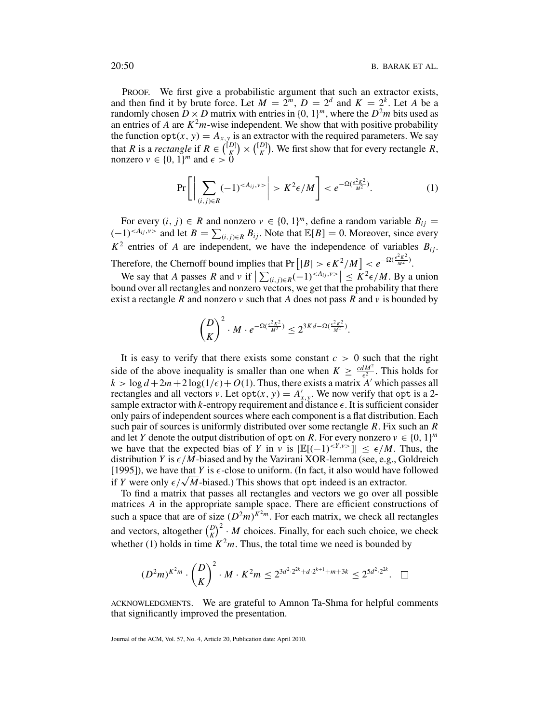PROOF. We first give a probabilistic argument that such an extractor exists, and then find it by brute force. Let  $M = 2^m$ ,  $D = 2^d$  and  $K = 2^k$ . Let A be a randomly chosen  $D \times D$  matrix with entries in  $\{0, 1\}^m$ , where the  $D^2m$  bits used as an entries of *A* are  $K^2m$ -wise independent. We show that with positive probability the function  $opt(x, y) = A_{x,y}$  is an extractor with the required parameters. We say that *R* is a *rectangle* if  $R \in \binom{[D]}{K} \times \binom{[D]}{K}$ . We first show that for every rectangle *R*, nonzero  $v \in \{0, 1\}^m$  and  $\epsilon > 0$ 

$$
\Pr\left[\left|\sum_{(i,j)\in R}(-1)^{}\right|>K^2\epsilon/M\right]
$$

For every  $(i, j) \in R$  and nonzero  $v \in \{0, 1\}^m$ , define a random variable  $B_{ij} =$  $(-1)^{(-A_{ij},y>}$  and let  $B = \sum_{(i,j)\in R} B_{ij}$ . Note that  $\mathbb{E}[B] = 0$ . Moreover, since every  $K^2$  entries of *A* are independent, we have the independence of variables  $B_{ij}$ . Therefore, the Chernoff bound implies that  $Pr\left[|B| > \epsilon K^2/M\right] < e^{-\Omega(\frac{\epsilon^2 K^2}{M^2})}$ .

We say that *A* passes *R* and *v* if  $\left| \sum_{(i,j)\in R} (-1)^{}\right| \leq K^2 \epsilon / M$ . By a union bound over all rectangles and nonzero vectors, we get that the probability that there exist a rectangle *R* and nonzero  $\nu$  such that *A* does not pass *R* and  $\nu$  is bounded by

$$
\binom{D}{K}^2 \cdot M \cdot e^{-\Omega(\frac{\epsilon^2 K^2}{M^2})} \leq 2^{3Kd - \Omega(\frac{\epsilon^2 K^2}{M^2})}.
$$

It is easy to verify that there exists some constant  $c > 0$  such that the right side of the above inequality is smaller than one when  $K \geq \frac{cdM^2}{\epsilon^2}$ . This holds for  $k > \log d + 2m + 2 \log(1/\epsilon) + O(1)$ . Thus, there exists a matrix *A'* which passes all rectangles and all vectors *v*. Let  $opt(x, y) = A'_{x,y}$ . We now verify that  $opt$  is a 2sample extractor with  $k$ -entropy requirement and distance  $\epsilon$ . It is sufficient consider only pairs of independent sources where each component is a flat distribution. Each such pair of sources is uniformly distributed over some rectangle *R*. Fix such an *R* and let *Y* denote the output distribution of opt on *R*. For every nonzero  $v \in \{0, 1\}^m$ we have that the expected bias of *Y* in *v* is  $|\mathbb{E}[(-1)^{}]| \leq \epsilon/M$ . Thus, the distribution *Y* is  $\epsilon/M$ -biased and by the Vazirani XOR-lemma (see, e.g., Goldreich [1995]), we have that *Y* is  $\epsilon$ -close to uniform. (In fact, it also would have followed if *Y* were only  $\epsilon / \sqrt{M}$ -biased.) This shows that opt indeed is an extractor.

To find a matrix that passes all rectangles and vectors we go over all possible matrices *A* in the appropriate sample space. There are efficient constructions of such a space that are of size  $(D^2m)^{K^2m}$ . For each matrix, we check all rectangles and vectors, altogether  $\binom{D}{K}^2 \cdot M$  choices. Finally, for each such choice, we check whether (1) holds in time  $K^2m$ . Thus, the total time we need is bounded by

$$
(D^2m)^{K^2m} \cdot {D \choose K}^2 \cdot M \cdot K^2m \le 2^{3d^2 \cdot 2^{2k} + d \cdot 2^{k+1} + m + 3k} \le 2^{5d^2 \cdot 2^{2k}}.\quad \Box
$$

ACKNOWLEDGMENTS. We are grateful to Amnon Ta-Shma for helpful comments that significantly improved the presentation.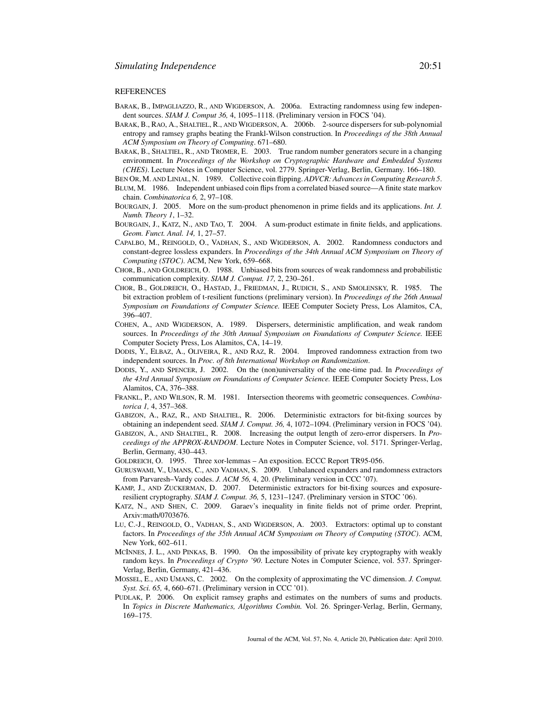#### REFERENCES

- BARAK, B., IMPAGLIAZZO, R., AND WIGDERSON, A. 2006a. Extracting randomness using few independent sources. *SIAM J. Comput 36,* 4, 1095–1118. (Preliminary version in FOCS '04).
- BARAK, B., RAO, A., SHALTIEL, R., AND WIGDERSON, A. 2006b. 2-source dispersers for sub-polynomial entropy and ramsey graphs beating the Frankl-Wilson construction. In *Proceedings of the 38th Annual ACM Symposium on Theory of Computing*. 671–680.
- BARAK, B., SHALTIEL, R., AND TROMER, E. 2003. True random number generators secure in a changing environment. In *Proceedings of the Workshop on Cryptographic Hardware and Embedded Systems (CHES)*. Lecture Notes in Computer Science, vol. 2779. Springer-Verlag, Berlin, Germany. 166–180.
- BEN OR, M. AND LINIAL, N. 1989. Collective coin flipping. *ADVCR: Advances in Computing Research 5*. BLUM, M. 1986. Independent unbiased coin flips from a correlated biased source—A finite state markov chain. *Combinatorica 6,* 2, 97–108.
- BOURGAIN, J. 2005. More on the sum-product phenomenon in prime fields and its applications. *Int. J. Numb. Theory 1*, 1–32.
- BOURGAIN, J., KATZ, N., AND TAO, T. 2004. A sum-product estimate in finite fields, and applications. *Geom. Funct. Anal. 14,* 1, 27–57.
- CAPALBO, M., REINGOLD, O., VADHAN, S., AND WIGDERSON, A. 2002. Randomness conductors and constant-degree lossless expanders. In *Proceedings of the 34th Annual ACM Symposium on Theory of Computing (STOC)*. ACM, New York, 659–668.
- CHOR, B., AND GOLDREICH, O. 1988. Unbiased bits from sources of weak randomness and probabilistic communication complexity. *SIAM J. Comput. 17,* 2, 230–261.
- CHOR, B., GOLDREICH, O., HASTAD, J., FRIEDMAN, J., RUDICH, S., AND SMOLENSKY, R. 1985. The bit extraction problem of t-resilient functions (preliminary version). In *Proceedings of the 26th Annual Symposium on Foundations of Computer Science.* IEEE Computer Society Press, Los Alamitos, CA, 396–407.
- COHEN, A., AND WIGDERSON, A. 1989. Dispersers, deterministic amplification, and weak random sources. In *Proceedings of the 30th Annual Symposium on Foundations of Computer Science.* IEEE Computer Society Press, Los Alamitos, CA, 14–19.
- DODIS, Y., ELBAZ, A., OLIVEIRA, R., AND RAZ, R. 2004. Improved randomness extraction from two independent sources. In *Proc. of 8th International Workshop on Randomization*.
- DODIS, Y., AND SPENCER, J. 2002. On the (non)universality of the one-time pad. In *Proceedings of the 43rd Annual Symposium on Foundations of Computer Science.* IEEE Computer Society Press, Los Alamitos, CA, 376–388.
- FRANKL, P., AND WILSON, R. M. 1981. Intersection theorems with geometric consequences. *Combinatorica 1,* 4, 357–368.
- GABIZON, A., RAZ, R., AND SHALTIEL, R. 2006. Deterministic extractors for bit-fixing sources by obtaining an independent seed. *SIAM J. Comput. 36,* 4, 1072–1094. (Preliminary version in FOCS '04).
- GABIZON, A., AND SHALTIEL, R. 2008. Increasing the output length of zero-error dispersers. In *Proceedings of the APPROX-RANDOM*. Lecture Notes in Computer Science, vol. 5171. Springer-Verlag, Berlin, Germany, 430–443.
- GOLDREICH, O. 1995. Three xor-lemmas An exposition. ECCC Report TR95-056.
- GURUSWAMI, V., UMANS, C., AND VADHAN, S. 2009. Unbalanced expanders and randomness extractors from Parvaresh–Vardy codes. *J. ACM 56,* 4, 20. (Preliminary version in CCC '07).
- KAMP, J., AND ZUCKERMAN, D. 2007. Deterministic extractors for bit-fixing sources and exposureresilient cryptography. *SIAM J. Comput. 36,* 5, 1231–1247. (Preliminary version in STOC '06).
- KATZ, N., AND SHEN, C. 2009. Garaev's inequality in finite fields not of prime order. Preprint, Arxiv:math/0703676.
- LU, C.-J., REINGOLD, O., VADHAN, S., AND WIGDERSON, A. 2003. Extractors: optimal up to constant factors. In *Proceedings of the 35th Annual ACM Symposium on Theory of Computing (STOC)*. ACM, New York, 602–611.
- MCINNES, J. L., AND PINKAS, B. 1990. On the impossibility of private key cryptography with weakly random keys. In *Proceedings of Crypto '90*. Lecture Notes in Computer Science, vol. 537. Springer-Verlag, Berlin, Germany, 421–436.
- MOSSEL, E., AND UMANS, C. 2002. On the complexity of approximating the VC dimension. *J. Comput. Syst. Sci. 65,* 4, 660–671. (Preliminary version in CCC '01).
- PUDLAK, P. 2006. On explicit ramsey graphs and estimates on the numbers of sums and products. In *Topics in Discrete Mathematics, Algorithms Combin.* Vol. 26. Springer-Verlag, Berlin, Germany, 169–175.